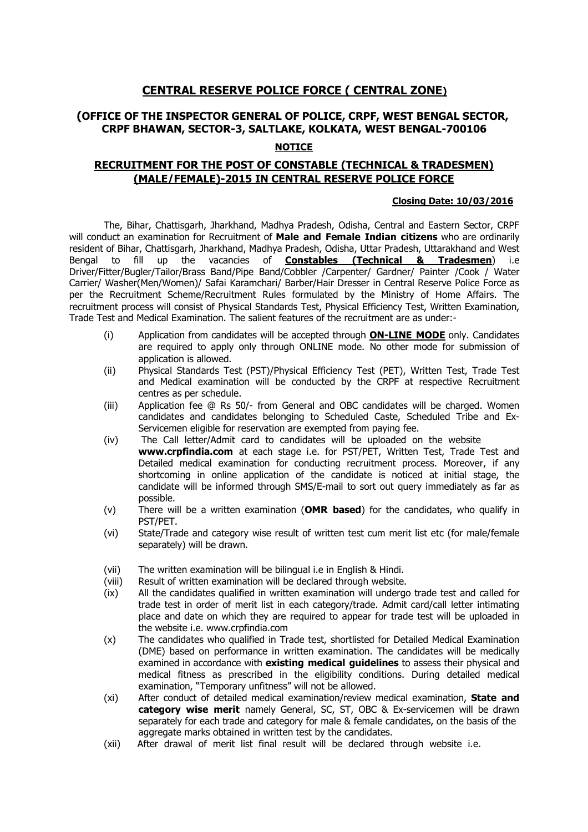# **CENTRAL RESERVE POLICE FORCE ( CENTRAL ZONE)**

## **(OFFICE OF THE INSPECTOR GENERAL OF POLICE, CRPF, WEST BENGAL SECTOR, CRPF BHAWAN, SECTOR-3, SALTLAKE, KOLKATA, WEST BENGAL-700106**

## **NOTICE**

## **RECRUITMENT FOR THE POST OF CONSTABLE (TECHNICAL & TRADESMEN) (MALE/FEMALE)-2015 IN CENTRAL RESERVE POLICE FORCE**

#### **Closing Date: 10/03/2016**

The, Bihar, Chattisgarh, Jharkhand, Madhya Pradesh, Odisha, Central and Eastern Sector, CRPF will conduct an examination for Recruitment of **Male and Female Indian citizens** who are ordinarily resident of Bihar, Chattisgarh, Jharkhand, Madhya Pradesh, Odisha, Uttar Pradesh, Uttarakhand and West Bengal to fill up the vacancies of **Constables (Technical & Tradesmen**) i.e Driver/Fitter/Bugler/Tailor/Brass Band/Pipe Band/Cobbler /Carpenter/ Gardner/ Painter /Cook / Water Carrier/ Washer(Men/Women)/ Safai Karamchari/ Barber/Hair Dresser in Central Reserve Police Force as per the Recruitment Scheme/Recruitment Rules formulated by the Ministry of Home Affairs. The recruitment process will consist of Physical Standards Test, Physical Efficiency Test, Written Examination, Trade Test and Medical Examination. The salient features of the recruitment are as under:-

- (i) Application from candidates will be accepted through **ON-LINE MODE** only. Candidates are required to apply only through ONLINE mode. No other mode for submission of application is allowed.
- (ii) Physical Standards Test (PST)/Physical Efficiency Test (PET), Written Test, Trade Test and Medical examination will be conducted by the CRPF at respective Recruitment centres as per schedule.
- (iii) Application fee @ Rs 50/- from General and OBC candidates will be charged. Women candidates and candidates belonging to Scheduled Caste, Scheduled Tribe and Ex-Servicemen eligible for reservation are exempted from paying fee.
- (iv) The Call letter/Admit card to candidates will be uploaded on the website **www.crpfindia.com** at each stage i.e. for PST/PET, Written Test, Trade Test and Detailed medical examination for conducting recruitment process. Moreover, if any shortcoming in online application of the candidate is noticed at initial stage, the candidate will be informed through SMS/E-mail to sort out query immediately as far as possible.
- (v) There will be a written examination (**OMR based**) for the candidates, who qualify in PST/PET.
- (vi) State/Trade and category wise result of written test cum merit list etc (for male/female separately) will be drawn.
- (vii) The written examination will be bilingual i.e in English & Hindi.
- (viii) Result of written examination will be declared through website.
- $(ix)$  All the candidates qualified in written examination will undergo trade test and called for trade test in order of merit list in each category/trade. Admit card/call letter intimating place and date on which they are required to appear for trade test will be uploaded in the website i.e. www.crpfindia.com
- (x) The candidates who qualified in Trade test, shortlisted for Detailed Medical Examination (DME) based on performance in written examination. The candidates will be medically examined in accordance with **existing medical guidelines** to assess their physical and medical fitness as prescribed in the eligibility conditions. During detailed medical examination, "Temporary unfitness" will not be allowed.
- (xi) After conduct of detailed medical examination/review medical examination, **State and category wise merit** namely General, SC, ST, OBC & Ex-servicemen will be drawn separately for each trade and category for male & female candidates, on the basis of the aggregate marks obtained in written test by the candidates.
- (xii) After drawal of merit list final result will be declared through website i.e.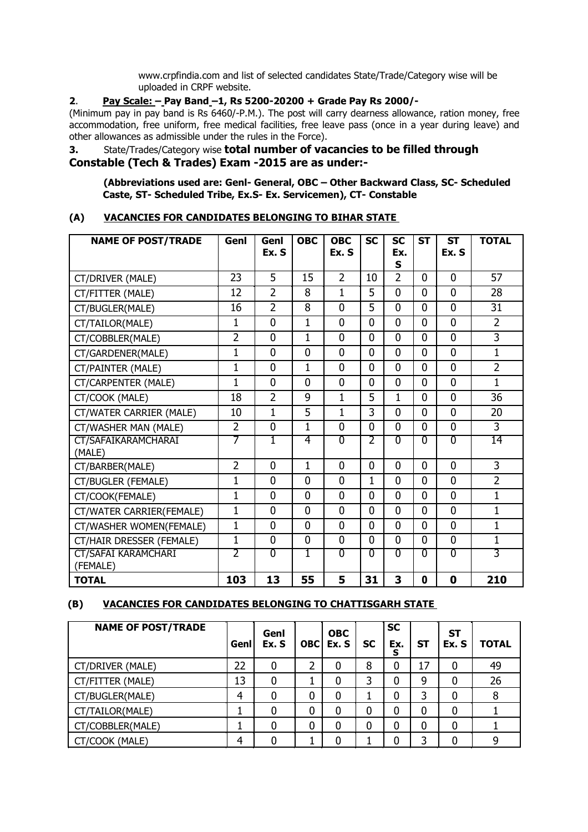www.crpfindia.com and list of selected candidates State/Trade/Category wise will be uploaded in CRPF website.

## **2**. **Pay Scale: – Pay Band –1, Rs 5200-20200 + Grade Pay Rs 2000/-**

(Minimum pay in pay band is Rs 6460/-P.M.). The post will carry dearness allowance, ration money, free accommodation, free uniform, free medical facilities, free leave pass (once in a year during leave) and other allowances as admissible under the rules in the Force).

# **3.** State/Trades/Category wise **total number of vacancies to be filled through Constable (Tech & Trades) Exam -2015 are as under:-**

**(Abbreviations used are: Genl- General, OBC – Other Backward Class, SC- Scheduled Caste, ST- Scheduled Tribe, Ex.S- Ex. Servicemen), CT- Constable**

### **(A) VACANCIES FOR CANDIDATES BELONGING TO BIHAR STATE**

| <b>NAME OF POST/TRADE</b>              | Genl           | Genl<br>Ex. S  | <b>OBC</b>     | <b>OBC</b><br>Ex. S | <b>SC</b>      | <b>SC</b><br>Ex.<br>S | <b>ST</b>      | <b>ST</b><br>Ex. S | <b>TOTAL</b>   |
|----------------------------------------|----------------|----------------|----------------|---------------------|----------------|-----------------------|----------------|--------------------|----------------|
| CT/DRIVER (MALE)                       | 23             | 5              | 15             | $\overline{2}$      | 10             | $\overline{2}$        | $\overline{0}$ | $\overline{0}$     | 57             |
| CT/FITTER (MALE)                       | 12             | $\overline{2}$ | 8              | 1                   | 5              | $\overline{0}$        | $\overline{0}$ | $\overline{0}$     | 28             |
| CT/BUGLER(MALE)                        | 16             | $\overline{2}$ | 8              | $\mathbf{0}$        | 5              | $\overline{0}$        | $\overline{0}$ | $\overline{0}$     | 31             |
| CT/TAILOR(MALE)                        | 1              | $\overline{0}$ | $\mathbf 1$    | $\mathbf{0}$        | $\mathbf 0$    | $\overline{0}$        | $\overline{0}$ | $\overline{0}$     | $\overline{2}$ |
| CT/COBBLER(MALE)                       | $\overline{2}$ | $\overline{0}$ | $\mathbf{1}$   | $\overline{0}$      | $\mathbf{0}$   | $\overline{0}$        | $\overline{0}$ | $\overline{0}$     | $\overline{3}$ |
| CT/GARDENER(MALE)                      | $\mathbf{1}$   | $\mathbf{0}$   | 0              | $\Omega$            | $\Omega$       | $\overline{0}$        | $\overline{0}$ | $\overline{0}$     | $\mathbf 1$    |
| CT/PAINTER (MALE)                      | $\mathbf{1}$   | $\mathbf 0$    | 1              | $\overline{0}$      | 0              | $\overline{0}$        | $\overline{0}$ | $\overline{0}$     | $\overline{2}$ |
| CT/CARPENTER (MALE)                    | $\mathbf{1}$   | $\overline{0}$ | $\Omega$       | $\overline{0}$      | $\mathbf{0}$   | $\overline{0}$        | $\overline{0}$ | $\overline{0}$     | $\mathbf{1}$   |
| CT/COOK (MALE)                         | 18             | $\overline{2}$ | 9              | $\mathbf{1}$        | 5              | 1                     | $\mathbf{0}$   | $\overline{0}$     | 36             |
| CT/WATER CARRIER (MALE)                | 10             | $\mathbf{1}$   | $\overline{5}$ | $\mathbf{1}$        | 3              | $\overline{0}$        | $\overline{0}$ | $\overline{0}$     | 20             |
| CT/WASHER MAN (MALE)                   | $\overline{2}$ | $\mathbf 0$    | $\mathbf 1$    | $\overline{0}$      | $\mathbf{0}$   | $\overline{0}$        | $\overline{0}$ | $\overline{0}$     | 3              |
| CT/SAFAIKARAMCHARAI<br>(MALE)          | 7              | 1              | 4              | $\overline{0}$      | 2              | $\overline{0}$        | $\overline{0}$ | $\overline{0}$     | 14             |
| CT/BARBER(MALE)                        | $\overline{2}$ | $\overline{0}$ | $\mathbf 1$    | $\overline{0}$      | $\mathbf{0}$   | $\overline{0}$        | $\overline{0}$ | $\overline{0}$     | 3              |
| CT/BUGLER (FEMALE)                     | $\mathbf{1}$   | $\mathbf{0}$   | $\overline{0}$ | $\overline{0}$      | $\overline{1}$ | $\overline{0}$        | $\overline{0}$ | $\overline{0}$     | $\overline{2}$ |
| CT/COOK(FEMALE)                        | $\mathbf{1}$   | $\overline{0}$ | $\overline{0}$ | $\overline{0}$      | $\mathbf{0}$   | $\overline{0}$        | $\overline{0}$ | $\overline{0}$     | $\mathbf{1}$   |
| CT/WATER CARRIER(FEMALE)               | $\mathbf{1}$   | $\mathbf{0}$   | $\Omega$       | $\overline{0}$      | $\mathbf{0}$   | $\overline{0}$        | $\overline{0}$ | $\overline{0}$     | 1              |
| CT/WASHER WOMEN(FEMALE)                | $\mathbf{1}$   | $\overline{0}$ | 0              | $\overline{0}$      | $\mathbf{0}$   | $\overline{0}$        | 0              | $\overline{0}$     | $\mathbf 1$    |
| CT/HAIR DRESSER (FEMALE)               | $\mathbf{1}$   | $\mathbf 0$    | $\overline{0}$ | $\overline{0}$      | $\mathbf{0}$   | $\overline{0}$        | $\overline{0}$ | $\overline{0}$     | $\mathbf 1$    |
| <b>CT/SAFAI KARAMCHARI</b><br>(FEMALE) | 2              | $\overline{0}$ | 1              | $\overline{0}$      | $\overline{0}$ | $\overline{0}$        | $\overline{0}$ | $\overline{0}$     | 3              |
| <b>TOTAL</b>                           | 103            | 13             | 55             | 5                   | 31             | 3                     | 0              | $\mathbf{0}$       | 210            |

## **(B) VACANCIES FOR CANDIDATES BELONGING TO CHATTISGARH STATE**

| <b>NAME OF POST/TRADE</b> | Genl | Genl<br>Ex. S | <b>OBC</b> | <b>OBC</b><br>Ex. S | <b>SC</b> | <b>SC</b><br>Ex.<br>s | <b>ST</b> | <b>ST</b><br>Ex. S | <b>TOTAL</b> |
|---------------------------|------|---------------|------------|---------------------|-----------|-----------------------|-----------|--------------------|--------------|
| CT/DRIVER (MALE)          | 22   | 0             | 2          | 0                   | 8         | 0                     | 17        | 0                  | 49           |
| CT/FITTER (MALE)          | 13   |               |            | 0                   | 3         | 0                     | 9         | 0                  | 26           |
| CT/BUGLER(MALE)           | 4    | 0             | 0          | 0                   |           | 0                     | 3         | 0                  | 8            |
| CT/TAILOR(MALE)           |      |               | 0          | 0                   | 0         | 0                     | 0         | 0                  |              |
| CT/COBBLER(MALE)          | ᅩ    | 0             | 0          | 0                   | 0         | 0                     | 0         | 0                  |              |
| CT/COOK (MALE)            | 4    |               |            |                     |           | 0                     | ີ         | 0                  | 9            |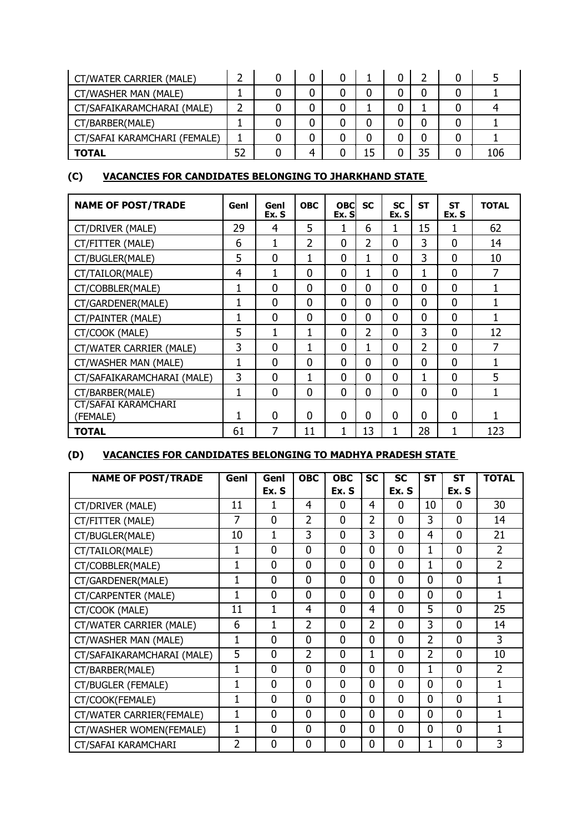| CT/WATER CARRIER (MALE)      |  |   |    |    |     |
|------------------------------|--|---|----|----|-----|
| CT/WASHER MAN (MALE)         |  |   |    |    |     |
| CT/SAFAIKARAMCHARAI (MALE)   |  |   |    |    |     |
| CT/BARBER(MALE)              |  |   |    |    |     |
| CT/SAFAI KARAMCHARI (FEMALE) |  |   |    |    |     |
| <b>TOTAL</b>                 |  | 4 | L5 | 35 | 106 |

# **(C) VACANCIES FOR CANDIDATES BELONGING TO JHARKHAND STATE**

| <b>NAME OF POST/TRADE</b>              | Genl         | Genl<br>Ex. S  | <b>OBC</b>     | <b>OBC</b><br>Ex. SI | <b>SC</b>      | <b>SC</b><br>Ex. SI | <b>ST</b>      | <b>ST</b><br>Ex. S | <b>TOTAL</b> |
|----------------------------------------|--------------|----------------|----------------|----------------------|----------------|---------------------|----------------|--------------------|--------------|
| CT/DRIVER (MALE)                       | 29           | 4              | 5              |                      | 6              |                     | 15             |                    | 62           |
| CT/FITTER (MALE)                       | 6            | 1              | $\overline{2}$ | $\overline{0}$       | $\overline{2}$ | $\overline{0}$      | 3              | $\mathbf{0}$       | 14           |
| CT/BUGLER(MALE)                        | 5            | 0              | 1              | 0                    | 1              | 0                   | 3              | $\mathbf{0}$       | 10           |
| CT/TAILOR(MALE)                        | 4            | 1              | $\mathbf{0}$   | $\overline{0}$       | 1              | $\overline{0}$      | 1              | $\mathbf{0}$       | 7            |
| CT/COBBLER(MALE)                       | 1            | $\Omega$       | $\Omega$       | $\overline{0}$       | 0              | 0                   | $\Omega$       | $\overline{0}$     | 1            |
| CT/GARDENER(MALE)                      | 1            | 0              | $\mathbf{0}$   | $\overline{0}$       | 0              | 0                   | $\mathbf{0}$   | $\mathbf 0$        | 1            |
| CT/PAINTER (MALE)                      | 1            | 0              | $\Omega$       | 0                    | 0              | 0                   | $\Omega$       | $\mathbf{0}$       | 1            |
| CT/COOK (MALE)                         | 5            | 1              | 1              | $\overline{0}$       | $\overline{2}$ | $\overline{0}$      | 3              | $\mathbf{0}$       | 12           |
| CT/WATER CARRIER (MALE)                | 3            | 0              | 1              | $\overline{0}$       | 1              | 0                   | $\overline{2}$ | $\overline{0}$     | 7            |
| CT/WASHER MAN (MALE)                   | $\mathbf{1}$ | 0              | $\mathbf{0}$   | 0                    | 0              | $\overline{0}$      | $\mathbf 0$    | $\mathbf 0$        | 1            |
| CT/SAFAIKARAMCHARAI (MALE)             | 3            | $\overline{0}$ | 1              | $\overline{0}$       | 0              | $\overline{0}$      | 1              | $\Omega$           | 5            |
| CT/BARBER(MALE)                        | $\mathbf{1}$ | 0              | $\mathbf{0}$   | $\overline{0}$       | 0              | 0                   | $\mathbf{0}$   | $\overline{0}$     | 1            |
| <b>CT/SAFAI KARAMCHARI</b><br>(FEMALE) | 1            | 0              | $\Omega$       | $\overline{0}$       | $\Omega$       | $\overline{0}$      | $\mathbf{0}$   | $\overline{0}$     | 1            |
| <b>TOTAL</b>                           | 61           | 7              | 11             | $\mathbf{1}$         | 13             | 1                   | 28             | 1                  | 123          |

# **(D) VACANCIES FOR CANDIDATES BELONGING TO MADHYA PRADESH STATE**

| <b>NAME OF POST/TRADE</b>  | <b>OBC</b><br><b>OBC</b><br>Genl<br>Genl |       | SC             | <b>SC</b>      | <b>ST</b>      | <b>ST</b> | <b>TOTAL</b>   |                |                |
|----------------------------|------------------------------------------|-------|----------------|----------------|----------------|-----------|----------------|----------------|----------------|
|                            |                                          | Ex. S |                | Ex. S          |                | Ex. S     |                | Ex. S          |                |
| CT/DRIVER (MALE)           | 11                                       |       | 4              | 0              | 4              | 0         | 10             | 0              | 30             |
| CT/FITTER (MALE)           | $\overline{7}$                           | 0     | $\overline{2}$ | $\overline{0}$ | $\overline{2}$ | 0         | 3              | 0              | 14             |
| CT/BUGLER(MALE)            | 10                                       | 1     | 3              | 0              | 3              | $\Omega$  | 4              | 0              | 21             |
| CT/TAILOR(MALE)            | 1                                        | 0     | $\overline{0}$ | 0              | 0              | 0         | 1              | $\overline{0}$ | $\overline{2}$ |
| CT/COBBLER(MALE)           | 1                                        | 0     | $\overline{0}$ | $\overline{0}$ | 0              | 0         | 1              | $\overline{0}$ | $\overline{2}$ |
| CT/GARDENER(MALE)          | 1                                        | 0     | $\overline{0}$ | 0              | 0              | 0         | $\overline{0}$ | $\overline{0}$ |                |
| CT/CARPENTER (MALE)        | 1                                        | 0     | $\mathbf{0}$   | $\Omega$       | $\Omega$       | 0         | $\Omega$       | $\overline{0}$ | 1              |
| CT/COOK (MALE)             | 11                                       | 1     | 4              | $\Omega$       | 4              | 0         | 5              | $\overline{0}$ | 25             |
| CT/WATER CARRIER (MALE)    | 6                                        | 1     | $\overline{2}$ | $\Omega$       | 2              | 0         | 3              | 0              | 14             |
| CT/WASHER MAN (MALE)       | 1                                        | 0     | $\Omega$       | $\Omega$       | 0              | 0         | $\overline{2}$ | $\overline{0}$ | 3              |
| CT/SAFAIKARAMCHARAI (MALE) | 5                                        | 0     | $\overline{2}$ | 0              | 1              | 0         | 2              | 0              | 10             |
| CT/BARBER(MALE)            | $\mathbf{1}$                             | 0     | $\mathbf{0}$   | 0              | 0              | 0         | 1              | 0              | $\mathfrak{p}$ |
| CT/BUGLER (FEMALE)         | 1                                        | 0     | $\mathbf{0}$   | $\mathbf{0}$   | 0              | 0         | $\Omega$       | 0              |                |
| CT/COOK(FEMALE)            | 1                                        | 0     | $\mathbf{0}$   | 0              | 0              | 0         | $\Omega$       | $\overline{0}$ |                |
| CT/WATER CARRIER(FEMALE)   | 1                                        | 0     | $\overline{0}$ | 0              | 0              | 0         | $\mathbf 0$    | $\overline{0}$ |                |
| CT/WASHER WOMEN(FEMALE)    | 1                                        |       | $\mathbf{0}$   | 0              | 0              | 0         | $\Omega$       | 0              |                |
| CT/SAFAI KARAMCHARI        | $\overline{2}$                           | 0     | $\mathbf{0}$   | 0              | 0              | 0         | 1              | 0              | 3              |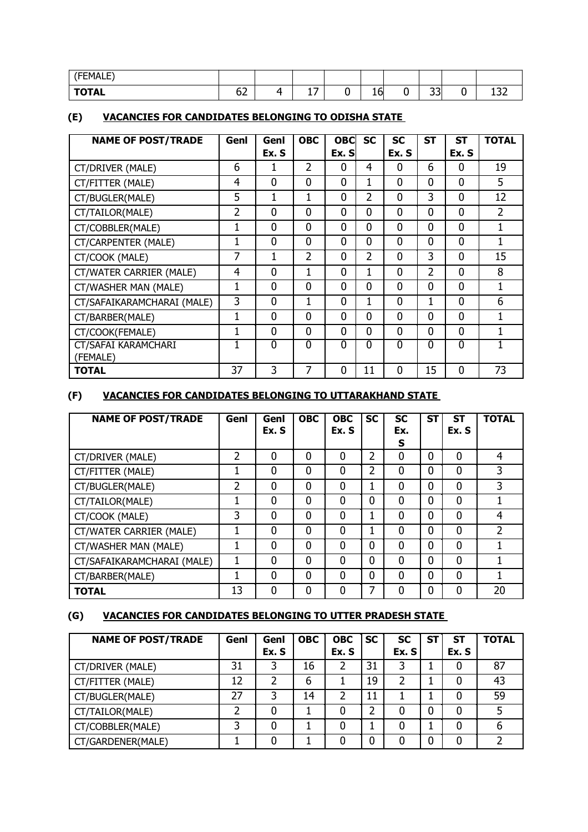| (FEMALE)     |              |   |   |        |                   |     |                            |
|--------------|--------------|---|---|--------|-------------------|-----|----------------------------|
| <b>TOTAL</b> | $\sim$<br>◡∠ | ↵ | . | L<br>∸ | $\mathbf{a}$<br>ັ | . . | $\sim$ $\sim$ $\sim$<br>ᅩJ |

# **(E) VACANCIES FOR CANDIDATES BELONGING TO ODISHA STATE**

| <b>NAME OF POST/TRADE</b>  | Genl | Genl           | <b>OBC</b>     |                | <b>OBC</b><br><b>SC</b> |                | <b>ST</b>      | <b>ST</b>      | <b>TOTAL</b>   |
|----------------------------|------|----------------|----------------|----------------|-------------------------|----------------|----------------|----------------|----------------|
|                            |      | Ex. S          |                | Ex. S          |                         | Ex. S          |                | Ex. S          |                |
| CT/DRIVER (MALE)           | 6    |                | 2              | 0              | 4                       | 0              | 6              | 0              | 19             |
| CT/FITTER (MALE)           | 4    | $\overline{0}$ | 0              | 0              | 1                       | $\mathbf 0$    | 0              | $\mathbf 0$    | 5              |
| CT/BUGLER(MALE)            | 5    | 1              | 1              | 0              | $\overline{2}$          | 0              | 3              | $\mathbf 0$    | 12             |
| CT/TAILOR(MALE)            | 2    | $\overline{0}$ | $\overline{0}$ | $\overline{0}$ | $\Omega$                | $\mathbf 0$    | $\overline{0}$ | $\overline{0}$ | $\overline{2}$ |
| CT/COBBLER(MALE)           | 1    | $\mathbf{0}$   | $\mathbf 0$    | 0              | 0                       | 0              | 0              | $\mathbf 0$    |                |
| CT/CARPENTER (MALE)        | 1    | $\overline{0}$ | $\overline{0}$ | 0              | 0                       | 0              | 0              | $\mathbf 0$    |                |
| CT/COOK (MALE)             | 7    | 1              | $\overline{2}$ | 0              | $\overline{2}$          | 0              | 3              | $\mathbf 0$    | 15             |
| CT/WATER CARRIER (MALE)    | 4    | $\overline{0}$ | 1              | $\overline{0}$ | 1                       | $\overline{0}$ | $\overline{2}$ | $\mathbf 0$    | 8              |
| CT/WASHER MAN (MALE)       | 1    | $\mathbf 0$    | 0              | 0              | 0                       | 0              | 0              | $\Omega$       |                |
| CT/SAFAIKARAMCHARAI (MALE) | 3    | $\overline{0}$ | 1              | 0              | 1                       | 0              | 1              | $\mathbf 0$    | 6              |
| CT/BARBER(MALE)            | 1    | $\mathbf{0}$   | $\mathbf 0$    | 0              | $\mathbf{0}$            | 0              | 0              | $\mathbf 0$    |                |
| CT/COOK(FEMALE)            | 1    | $\mathbf{0}$   | $\overline{0}$ | $\Omega$       | $\Omega$                | $\overline{0}$ | $\Omega$       | $\Omega$       |                |
| CT/SAFAI KARAMCHARI        |      | $\Omega$       | 0              | 0              | $\Omega$                | $\Omega$       | 0              | $\Omega$       |                |
| (FEMALE)                   |      |                |                |                |                         |                |                |                |                |
| TOTAL                      | 37   | 3              | 7              | $\Omega$       | 11                      | $\mathbf 0$    | 15             | $\mathbf 0$    | 73             |

# **(F) VACANCIES FOR CANDIDATES BELONGING TO UTTARAKHAND STATE**

| <b>NAME OF POST/TRADE</b>  | Genl | Genl<br>Ex. S | <b>OBC</b>   | <b>OBC</b><br>Ex. S | <b>SC</b>      | <b>SC</b><br>Ex.<br>S | <b>ST</b>   | <b>ST</b><br>Ex. S | <b>TOTAL</b>  |
|----------------------------|------|---------------|--------------|---------------------|----------------|-----------------------|-------------|--------------------|---------------|
| CT/DRIVER (MALE)           | 2    | 0             | $\mathbf 0$  | $\mathbf 0$         | $\overline{2}$ | 0                     | $\mathbf 0$ | 0                  | 4             |
| CT/FITTER (MALE)           |      | 0             | $\Omega$     | $\Omega$            | 2              | 0                     | $\Omega$    | 0                  | 3             |
| CT/BUGLER(MALE)            | 2    | $\Omega$      | $\mathbf 0$  | 0                   |                | 0                     | $\mathbf 0$ | 0                  | 3             |
| CT/TAILOR(MALE)            |      | 0             | $\mathbf 0$  | $\mathbf 0$         | $\mathbf 0$    | 0                     | $\mathbf 0$ | $\overline{0}$     |               |
| CT/COOK (MALE)             | 3    | 0             | $\mathbf 0$  | $\mathbf 0$         |                | 0                     | $\mathbf 0$ | 0                  | 4             |
| CT/WATER CARRIER (MALE)    |      | $\Omega$      | $\Omega$     | $\mathbf 0$         |                | 0                     | $\mathbf 0$ | 0                  | $\mathfrak z$ |
| CT/WASHER MAN (MALE)       |      | $\mathbf 0$   | $\mathbf{0}$ | 0                   | $\mathbf 0$    | 0                     | $\mathbf 0$ | 0                  |               |
| CT/SAFAIKARAMCHARAI (MALE) |      | $\mathbf 0$   | $\mathbf{0}$ | 0                   | $\mathbf 0$    | 0                     | $\mathbf 0$ | 0                  |               |
| CT/BARBER(MALE)            |      | $\mathbf 0$   | $\mathbf{0}$ | $\mathbf 0$         | $\mathbf 0$    | 0                     | $\mathbf 0$ | 0                  |               |
| <b>TOTAL</b>               | 13   | 0             | 0            | 0                   | 7              | 0                     | 0           | 0                  | 20            |

# **(G) VACANCIES FOR CANDIDATES BELONGING TO UTTER PRADESH STATE**

| <b>NAME OF POST/TRADE</b> | Genl | Genl  | <b>OBC</b> | <b>OBC</b> | <b>SC</b> | SC    | SТ | <b>ST</b> | <b>TOTAL</b> |
|---------------------------|------|-------|------------|------------|-----------|-------|----|-----------|--------------|
|                           |      | Ex. S |            | Ex. S      |           | Ex. S |    | Ex. S     |              |
| CT/DRIVER (MALE)          | 31   | 3     | 16         |            | 31        | ີ     |    | 0         | 87           |
| CT/FITTER (MALE)          | 12   |       | 6          |            | 19        |       |    | 0         | 43           |
| CT/BUGLER(MALE)           | 27   | 3     | 14         | າ          | 11        |       |    | 0         | 59           |
| CT/TAILOR(MALE)           |      | 0     |            | 0          | າ         |       | 0  | 0         | 5            |
| CT/COBBLER(MALE)          | 3    | 0     |            |            |           |       |    | 0         | b            |
| CT/GARDENER(MALE)         |      |       |            |            |           |       |    | 0         |              |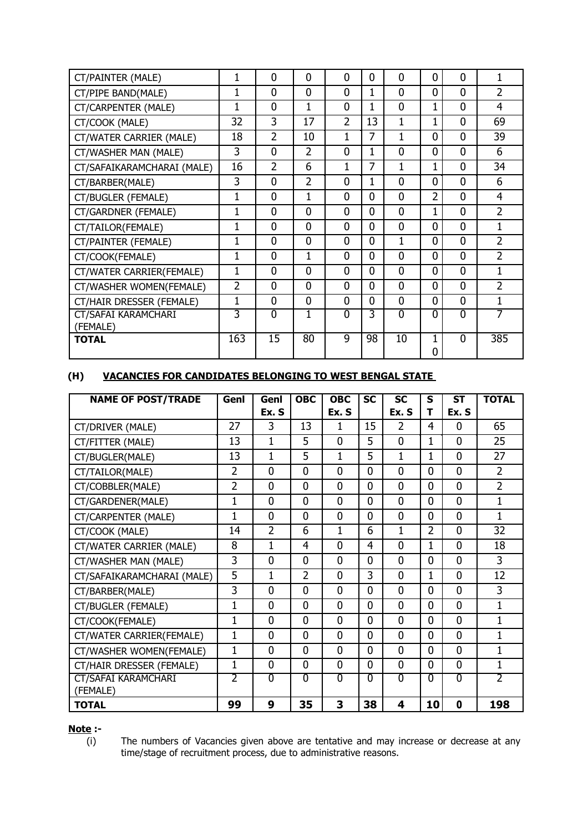| CT/PAINTER (MALE)                      | 1              | $\mathbf{0}$   | 0              | $\mathbf{0}$   | 0              | $\mathbf 0$    | $\mathbf{0}$   | 0              | 1              |
|----------------------------------------|----------------|----------------|----------------|----------------|----------------|----------------|----------------|----------------|----------------|
| CT/PIPE BAND(MALE)                     | 1              | $\mathbf{0}$   | $\Omega$       | $\overline{0}$ | 1              | $\mathbf{0}$   | $\overline{0}$ | $\overline{0}$ | $\overline{2}$ |
| CT/CARPENTER (MALE)                    | 1              | $\mathbf{0}$   | 1              | $\overline{0}$ | 1              | $\Omega$       | 1              | $\overline{0}$ | 4              |
| CT/COOK (MALE)                         | 32             | 3              | 17             | $\overline{2}$ | 13             | 1              | 1              | $\overline{0}$ | 69             |
| CT/WATER CARRIER (MALE)                | 18             | $\overline{2}$ | 10             | 1              | 7              | $\mathbf{1}$   | $\overline{0}$ | $\overline{0}$ | 39             |
| CT/WASHER MAN (MALE)                   | 3              | 0              | $\overline{2}$ | $\overline{0}$ | 1              | $\mathbf 0$    | 0              | $\overline{0}$ | 6              |
| CT/SAFAIKARAMCHARAI (MALE)             | 16             | $\overline{2}$ | 6              | 1              | 7              | 1              | 1              | $\overline{0}$ | 34             |
| CT/BARBER(MALE)                        | 3              | $\mathbf{0}$   | $\overline{2}$ | $\overline{0}$ | 1              | $\overline{0}$ | $\overline{0}$ | $\overline{0}$ | 6              |
| CT/BUGLER (FEMALE)                     | 1              | $\overline{0}$ | $\overline{1}$ | $\overline{0}$ | 0              | $\overline{0}$ | $\overline{2}$ | $\overline{0}$ | 4              |
| CT/GARDNER (FEMALE)                    | 1              | $\overline{0}$ | $\Omega$       | $\overline{0}$ | $\Omega$       | $\overline{0}$ | 1              | $\Omega$       | $\overline{2}$ |
| CT/TAILOR(FEMALE)                      | 1              | 0              | $\Omega$       | $\overline{0}$ | $\Omega$       | $\mathbf 0$    | $\Omega$       | $\Omega$       | 1              |
| CT/PAINTER (FEMALE)                    | 1              | 0              | $\overline{0}$ | $\overline{0}$ | $\overline{0}$ | 1              | $\overline{0}$ | $\overline{0}$ | $\overline{2}$ |
| CT/COOK(FEMALE)                        | 1              | $\mathbf 0$    | 1              | $\mathbf{0}$   | $\Omega$       | $\mathbf 0$    | $\overline{0}$ | $\overline{0}$ | $\overline{2}$ |
| CT/WATER CARRIER(FEMALE)               | 1              | 0              | $\Omega$       | $\mathbf{0}$   | $\Omega$       | $\mathbf 0$    | $\Omega$       | $\overline{0}$ | 1              |
| CT/WASHER WOMEN(FEMALE)                | $\overline{2}$ | $\overline{0}$ | $\Omega$       | $\overline{0}$ | $\Omega$       | $\mathbf{0}$   | $\overline{0}$ | $\overline{0}$ | $\overline{2}$ |
| CT/HAIR DRESSER (FEMALE)               | 1              | $\overline{0}$ | $\Omega$       | $\overline{0}$ | $\Omega$       | $\overline{0}$ | $\overline{0}$ | $\Omega$       | 1              |
| <b>CT/SAFAI KARAMCHARI</b><br>(FEMALE) | 3              | $\mathbf{0}$   | 1              | $\mathbf{0}$   | 3              | $\mathbf 0$    | 0              | $\Omega$       |                |
| <b>TOTAL</b>                           | 163            | 15             | 80             | 9              | 98             | 10             | 1<br>0         | $\Omega$       | 385            |

## **(H) VACANCIES FOR CANDIDATES BELONGING TO WEST BENGAL STATE**

| <b>NAME OF POST/TRADE</b>              | <b>OBC</b><br>Genl<br><b>OBC</b><br>Genl |                | <b>SC</b>      | <b>SC</b>      | S              | <b>ST</b>      | <b>TOTAL</b>   |                |                |
|----------------------------------------|------------------------------------------|----------------|----------------|----------------|----------------|----------------|----------------|----------------|----------------|
|                                        |                                          | Ex. S          |                | Ex. S          |                | Ex. S          | т              | Ex. S          |                |
| CT/DRIVER (MALE)                       | 27                                       | 3              | 13             | 1              | 15             | $\overline{2}$ | 4              | 0              | 65             |
| CT/FITTER (MALE)                       | 13                                       | 1              | 5              | $\mathbf 0$    | 5              | 0              | 1              | 0              | 25             |
| CT/BUGLER(MALE)                        | 13                                       | 1              | 5              | 1              | 5              | 1              | 1              | 0              | 27             |
| CT/TAILOR(MALE)                        | 2                                        | $\mathbf{0}$   | $\mathbf{0}$   | $\mathbf 0$    | 0              | $\mathbf 0$    | $\Omega$       | $\overline{0}$ | $\overline{2}$ |
| CT/COBBLER(MALE)                       | 2                                        | $\mathbf{0}$   | $\mathbf{0}$   | $\mathbf 0$    | $\Omega$       | 0              | $\Omega$       | $\overline{0}$ | $\overline{2}$ |
| CT/GARDENER(MALE)                      | 1                                        | 0              | 0              | $\mathbf 0$    | 0              | $\mathbf 0$    | $\Omega$       | 0              | 1              |
| CT/CARPENTER (MALE)                    | 1                                        | $\mathbf{0}$   | $\mathbf{0}$   | $\overline{0}$ | $\Omega$       | $\mathbf 0$    | $\overline{0}$ | $\overline{0}$ | 1              |
| CT/COOK (MALE)                         | 14                                       | $\overline{2}$ | 6              | 1              | 6              | 1              | $\overline{2}$ | $\overline{0}$ | 32             |
| CT/WATER CARRIER (MALE)                | 8                                        | $\mathbf{1}$   | 4              | $\overline{0}$ | 4              | $\mathbf{0}$   | $\mathbf{1}$   | $\overline{0}$ | 18             |
| CT/WASHER MAN (MALE)                   | 3                                        | $\overline{0}$ | 0              | $\mathbf 0$    | 0              | 0              | $\overline{0}$ | $\overline{0}$ | 3              |
| CT/SAFAIKARAMCHARAI (MALE)             | 5                                        | $\mathbf{1}$   | $\overline{2}$ | $\overline{0}$ | 3              | $\overline{0}$ | $\mathbf{1}$   | $\overline{0}$ | 12             |
| CT/BARBER(MALE)                        | 3                                        | $\overline{0}$ | 0              | $\mathbf 0$    | $\overline{0}$ | $\mathbf{0}$   | 0              | $\overline{0}$ | 3              |
| CT/BUGLER (FEMALE)                     | 1                                        | $\mathbf{0}$   | $\overline{0}$ | $\mathbf 0$    | $\overline{0}$ | $\mathbf 0$    | $\overline{0}$ | $\overline{0}$ | 1              |
| CT/COOK(FEMALE)                        | 1                                        | $\overline{0}$ | $\overline{0}$ | $\mathbf 0$    | 0              | 0              | 0              | $\overline{0}$ | 1              |
| CT/WATER CARRIER(FEMALE)               | 1                                        | $\overline{0}$ | $\overline{0}$ | $\overline{0}$ | $\overline{0}$ | $\mathbf 0$    | $\overline{0}$ | $\overline{0}$ | 1              |
| CT/WASHER WOMEN(FEMALE)                | 1                                        | $\overline{0}$ | 0              | $\Omega$       | $\Omega$       | 0              | 0              | $\overline{0}$ | 1              |
| CT/HAIR DRESSER (FEMALE)               | $\mathbf{1}$                             | $\mathbf 0$    | 0              | $\mathbf 0$    | $\Omega$       | 0              | $\Omega$       | 0              | 1              |
| <b>CT/SAFAI KARAMCHARI</b><br>(FEMALE) | 2                                        | $\overline{0}$ | $\Omega$       | $\overline{0}$ | $\Omega$       | $\overline{0}$ | $\Omega$       | $\overline{0}$ | 7              |
| <b>TOTAL</b>                           | 99                                       | 9              | 35             | 3              | 38             | 4              | 10             | 0              | 198            |

# **Note :-**

(i) The numbers of Vacancies given above are tentative and may increase or decrease at any time/stage of recruitment process, due to administrative reasons.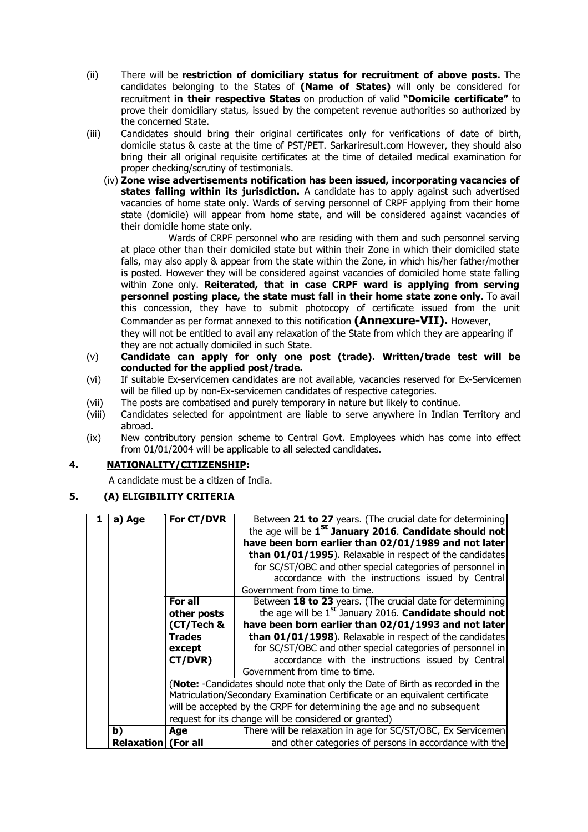- (ii) There will be **restriction of domiciliary status for recruitment of above posts.** The candidates belonging to the States of **(Name of States)** will only be considered for recruitment **in their respective States** on production of valid **"Domicile certificate"** to prove their domiciliary status, issued by the competent revenue authorities so authorized by the concerned State.
- (iii) Candidates should bring their original certificates only for verifications of date of birth, domicile status & caste at the time of PST/PET. Sarkariresult.com However, they should also bring their all original requisite certificates at the time of detailed medical examination for proper checking/scrutiny of testimonials.
	- (iv) **Zone wise advertisements notification has been issued, incorporating vacancies of states falling within its jurisdiction.** A candidate has to apply against such advertised vacancies of home state only. Wards of serving personnel of CRPF applying from their home state (domicile) will appear from home state, and will be considered against vacancies of their domicile home state only.

Wards of CRPF personnel who are residing with them and such personnel serving at place other than their domiciled state but within their Zone in which their domiciled state falls, may also apply & appear from the state within the Zone, in which his/her father/mother is posted. However they will be considered against vacancies of domiciled home state falling within Zone only. **Reiterated, that in case CRPF ward is applying from serving personnel posting place, the state must fall in their home state zone only**. To avail this concession, they have to submit photocopy of certificate issued from the unit Commander as per format annexed to this notification **(Annexure-VII).** However,

they will not be entitled to avail any relaxation of the State from which they are appearing if they are not actually domiciled in such State.

- (v) **Candidate can apply for only one post (trade). Written/trade test will be conducted for the applied post/trade.**
- (vi) If suitable Ex-servicemen candidates are not available, vacancies reserved for Ex-Servicemen will be filled up by non-Ex-servicemen candidates of respective categories.
- (vii) The posts are combatised and purely temporary in nature but likely to continue.
- (viii) Candidates selected for appointment are liable to serve anywhere in Indian Territory and abroad.
- (ix) New contributory pension scheme to Central Govt. Employees which has come into effect from 01/01/2004 will be applicable to all selected candidates.

## **4. NATIONALITY/CITIZENSHIP:**

A candidate must be a citizen of India.

## **5. (A) ELIGIBILITY CRITERIA**

| a) Age                     | For CT/DVR    | Between 21 to 27 years. (The crucial date for determining                     |  |  |  |  |  |  |  |  |
|----------------------------|---------------|-------------------------------------------------------------------------------|--|--|--|--|--|--|--|--|
|                            |               | the age will be 1 <sup>st</sup> January 2016. Candidate should not            |  |  |  |  |  |  |  |  |
|                            |               | have been born earlier than 02/01/1989 and not later                          |  |  |  |  |  |  |  |  |
|                            |               | than 01/01/1995). Relaxable in respect of the candidates                      |  |  |  |  |  |  |  |  |
|                            |               | for SC/ST/OBC and other special categories of personnel in                    |  |  |  |  |  |  |  |  |
|                            |               | accordance with the instructions issued by Central                            |  |  |  |  |  |  |  |  |
|                            |               | Government from time to time.                                                 |  |  |  |  |  |  |  |  |
|                            | For all       | Between 18 to 23 years. (The crucial date for determining                     |  |  |  |  |  |  |  |  |
|                            | other posts   | the age will be $1st$ January 2016. <b>Candidate should not</b>               |  |  |  |  |  |  |  |  |
|                            | (CT/Tech &    | have been born earlier than 02/01/1993 and not later                          |  |  |  |  |  |  |  |  |
|                            | <b>Trades</b> | than 01/01/1998). Relaxable in respect of the candidates                      |  |  |  |  |  |  |  |  |
|                            | except        | for SC/ST/OBC and other special categories of personnel in                    |  |  |  |  |  |  |  |  |
|                            | CT/DVR)       | accordance with the instructions issued by Central                            |  |  |  |  |  |  |  |  |
|                            |               | Government from time to time.                                                 |  |  |  |  |  |  |  |  |
|                            |               | (Note: -Candidates should note that only the Date of Birth as recorded in the |  |  |  |  |  |  |  |  |
|                            |               | Matriculation/Secondary Examination Certificate or an equivalent certificate  |  |  |  |  |  |  |  |  |
|                            |               | will be accepted by the CRPF for determining the age and no subsequent        |  |  |  |  |  |  |  |  |
|                            |               | request for its change will be considered or granted)                         |  |  |  |  |  |  |  |  |
| b)                         | Age           | There will be relaxation in age for SC/ST/OBC, Ex Servicemen                  |  |  |  |  |  |  |  |  |
| <b>Relaxation</b> (For all |               | and other categories of persons in accordance with the                        |  |  |  |  |  |  |  |  |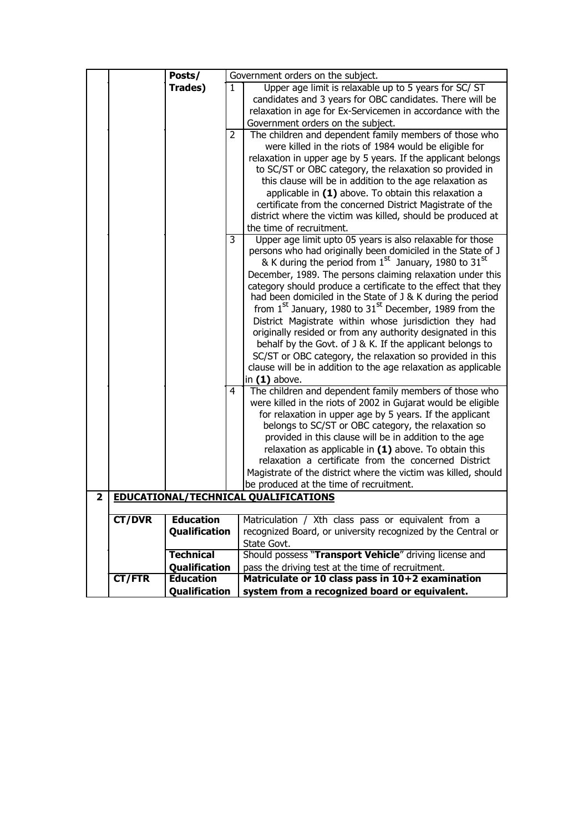|   |               | Posts/               |    | Government orders on the subject.                                                                                                                                                                                                                                                                                                                                                                                                                                                                                                                                                                                                                                                                                                                                                                    |
|---|---------------|----------------------|----|------------------------------------------------------------------------------------------------------------------------------------------------------------------------------------------------------------------------------------------------------------------------------------------------------------------------------------------------------------------------------------------------------------------------------------------------------------------------------------------------------------------------------------------------------------------------------------------------------------------------------------------------------------------------------------------------------------------------------------------------------------------------------------------------------|
|   |               | Trades)              | 1. | Upper age limit is relaxable up to 5 years for SC/ ST                                                                                                                                                                                                                                                                                                                                                                                                                                                                                                                                                                                                                                                                                                                                                |
|   |               |                      |    | candidates and 3 years for OBC candidates. There will be                                                                                                                                                                                                                                                                                                                                                                                                                                                                                                                                                                                                                                                                                                                                             |
|   |               |                      |    | relaxation in age for Ex-Servicemen in accordance with the                                                                                                                                                                                                                                                                                                                                                                                                                                                                                                                                                                                                                                                                                                                                           |
|   |               |                      |    | Government orders on the subject.                                                                                                                                                                                                                                                                                                                                                                                                                                                                                                                                                                                                                                                                                                                                                                    |
|   |               |                      | 2  | The children and dependent family members of those who<br>were killed in the riots of 1984 would be eligible for                                                                                                                                                                                                                                                                                                                                                                                                                                                                                                                                                                                                                                                                                     |
|   |               |                      |    | relaxation in upper age by 5 years. If the applicant belongs<br>to SC/ST or OBC category, the relaxation so provided in<br>this clause will be in addition to the age relaxation as<br>applicable in $(1)$ above. To obtain this relaxation a                                                                                                                                                                                                                                                                                                                                                                                                                                                                                                                                                        |
|   |               |                      |    | certificate from the concerned District Magistrate of the<br>district where the victim was killed, should be produced at                                                                                                                                                                                                                                                                                                                                                                                                                                                                                                                                                                                                                                                                             |
|   |               |                      |    | the time of recruitment.                                                                                                                                                                                                                                                                                                                                                                                                                                                                                                                                                                                                                                                                                                                                                                             |
|   |               |                      | 3  | Upper age limit upto 05 years is also relaxable for those<br>persons who had originally been domiciled in the State of J<br>& K during the period from $1^{st}$ January, 1980 to 31 <sup>st</sup><br>December, 1989. The persons claiming relaxation under this<br>category should produce a certificate to the effect that they<br>had been domiciled in the State of J & K during the period<br>from $1st$ January, 1980 to $31st$ December, 1989 from the<br>District Magistrate within whose jurisdiction they had<br>originally resided or from any authority designated in this<br>behalf by the Govt. of J & K. If the applicant belongs to<br>SC/ST or OBC category, the relaxation so provided in this<br>clause will be in addition to the age relaxation as applicable<br>in $(1)$ above. |
|   |               |                      | 4  | The children and dependent family members of those who<br>were killed in the riots of 2002 in Gujarat would be eligible<br>for relaxation in upper age by 5 years. If the applicant<br>belongs to SC/ST or OBC category, the relaxation so<br>provided in this clause will be in addition to the age<br>relaxation as applicable in $(1)$ above. To obtain this<br>relaxation a certificate from the concerned District<br>Magistrate of the district where the victim was killed, should<br>be produced at the time of recruitment.                                                                                                                                                                                                                                                                 |
| 2 |               |                      |    | <b>EDUCATIONAL/TECHNICAL QUALIFICATIONS</b>                                                                                                                                                                                                                                                                                                                                                                                                                                                                                                                                                                                                                                                                                                                                                          |
|   |               |                      |    |                                                                                                                                                                                                                                                                                                                                                                                                                                                                                                                                                                                                                                                                                                                                                                                                      |
|   | <b>CT/DVR</b> | <b>Education</b>     |    | Matriculation / Xth class pass or equivalent from a                                                                                                                                                                                                                                                                                                                                                                                                                                                                                                                                                                                                                                                                                                                                                  |
|   |               | <b>Qualification</b> |    | recognized Board, or university recognized by the Central or                                                                                                                                                                                                                                                                                                                                                                                                                                                                                                                                                                                                                                                                                                                                         |
|   |               |                      |    | State Govt.                                                                                                                                                                                                                                                                                                                                                                                                                                                                                                                                                                                                                                                                                                                                                                                          |
|   |               | <b>Technical</b>     |    | Should possess "Transport Vehicle" driving license and                                                                                                                                                                                                                                                                                                                                                                                                                                                                                                                                                                                                                                                                                                                                               |
|   |               | <b>Qualification</b> |    | pass the driving test at the time of recruitment.                                                                                                                                                                                                                                                                                                                                                                                                                                                                                                                                                                                                                                                                                                                                                    |
|   | CT/FTR        | <b>Education</b>     |    | Matriculate or 10 class pass in 10+2 examination                                                                                                                                                                                                                                                                                                                                                                                                                                                                                                                                                                                                                                                                                                                                                     |
|   |               | Qualification        |    | system from a recognized board or equivalent.                                                                                                                                                                                                                                                                                                                                                                                                                                                                                                                                                                                                                                                                                                                                                        |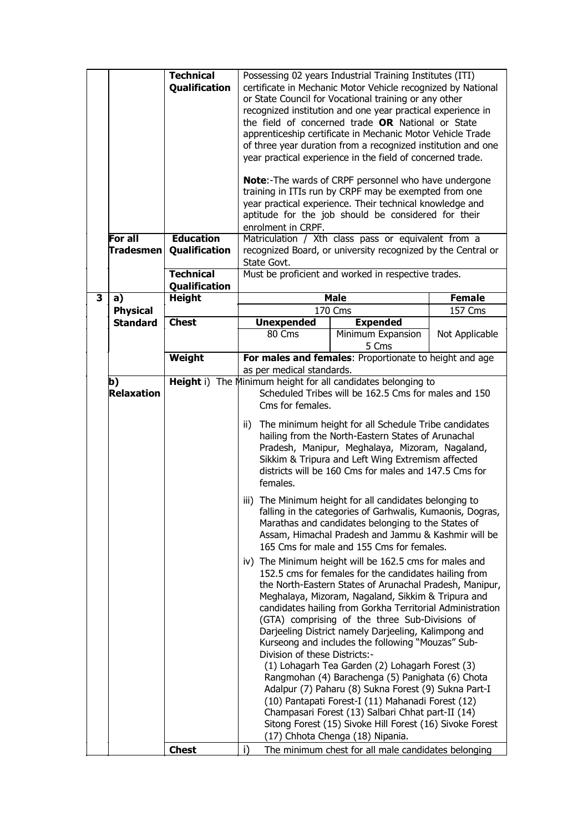| For all<br><b>Tradesmen</b> | <b>Technical</b><br>Qualification<br><b>Education</b><br>Qualification | certificate in Mechanic Motor Vehicle recognized by National<br>or State Council for Vocational training or any other<br>recognized institution and one year practical experience in<br>the field of concerned trade OR National or State<br>apprenticeship certificate in Mechanic Motor Vehicle Trade<br>of three year duration from a recognized institution and one<br>year practical experience in the field of concerned trade.<br><b>Note:-The wards of CRPF personnel who have undergone</b><br>training in ITIs run by CRPF may be exempted from one<br>year practical experience. Their technical knowledge and<br>aptitude for the job should be considered for their<br>enrolment in CRPF.<br>Matriculation / Xth class pass or equivalent from a<br>recognized Board, or university recognized by the Central or<br>State Govt. |                                                                                                                                                                                                                                                                                                                                                                                                                                                                                                                             |                |  |
|-----------------------------|------------------------------------------------------------------------|----------------------------------------------------------------------------------------------------------------------------------------------------------------------------------------------------------------------------------------------------------------------------------------------------------------------------------------------------------------------------------------------------------------------------------------------------------------------------------------------------------------------------------------------------------------------------------------------------------------------------------------------------------------------------------------------------------------------------------------------------------------------------------------------------------------------------------------------|-----------------------------------------------------------------------------------------------------------------------------------------------------------------------------------------------------------------------------------------------------------------------------------------------------------------------------------------------------------------------------------------------------------------------------------------------------------------------------------------------------------------------------|----------------|--|
|                             | <b>Technical</b><br>Qualification                                      |                                                                                                                                                                                                                                                                                                                                                                                                                                                                                                                                                                                                                                                                                                                                                                                                                                              | Must be proficient and worked in respective trades.                                                                                                                                                                                                                                                                                                                                                                                                                                                                         |                |  |
| 3<br>a)                     | <b>Height</b>                                                          |                                                                                                                                                                                                                                                                                                                                                                                                                                                                                                                                                                                                                                                                                                                                                                                                                                              | <b>Male</b>                                                                                                                                                                                                                                                                                                                                                                                                                                                                                                                 | <b>Female</b>  |  |
| <b>Physical</b>             |                                                                        |                                                                                                                                                                                                                                                                                                                                                                                                                                                                                                                                                                                                                                                                                                                                                                                                                                              | 170 Cms                                                                                                                                                                                                                                                                                                                                                                                                                                                                                                                     | 157 Cms        |  |
| <b>Standard</b>             | <b>Chest</b>                                                           | <b>Unexpended</b><br>80 Cms                                                                                                                                                                                                                                                                                                                                                                                                                                                                                                                                                                                                                                                                                                                                                                                                                  | <b>Expended</b><br>Minimum Expansion<br>5 Cms                                                                                                                                                                                                                                                                                                                                                                                                                                                                               | Not Applicable |  |
|                             | <b>Weight</b>                                                          | as per medical standards.                                                                                                                                                                                                                                                                                                                                                                                                                                                                                                                                                                                                                                                                                                                                                                                                                    | For males and females: Proportionate to height and age                                                                                                                                                                                                                                                                                                                                                                                                                                                                      |                |  |
| b)<br><b>Relaxation</b>     |                                                                        | Cms for females.<br>ii)<br>females.                                                                                                                                                                                                                                                                                                                                                                                                                                                                                                                                                                                                                                                                                                                                                                                                          | Height i) The Minimum height for all candidates belonging to<br>Scheduled Tribes will be 162.5 Cms for males and 150<br>The minimum height for all Schedule Tribe candidates<br>hailing from the North-Eastern States of Arunachal<br>Pradesh, Manipur, Meghalaya, Mizoram, Nagaland,<br>Sikkim & Tripura and Left Wing Extremism affected<br>districts will be 160 Cms for males and 147.5 Cms for<br>iii) The Minimum height for all candidates belonging to<br>falling in the categories of Garhwalis, Kumaonis, Dogras, |                |  |
|                             |                                                                        |                                                                                                                                                                                                                                                                                                                                                                                                                                                                                                                                                                                                                                                                                                                                                                                                                                              | Marathas and candidates belonging to the States of<br>Assam, Himachal Pradesh and Jammu & Kashmir will be<br>165 Cms for male and 155 Cms for females.                                                                                                                                                                                                                                                                                                                                                                      |                |  |
|                             |                                                                        |                                                                                                                                                                                                                                                                                                                                                                                                                                                                                                                                                                                                                                                                                                                                                                                                                                              | iv) The Minimum height will be 162.5 cms for males and<br>152.5 cms for females for the candidates hailing from<br>the North-Eastern States of Arunachal Pradesh, Manipur,<br>Meghalaya, Mizoram, Nagaland, Sikkim & Tripura and<br>candidates hailing from Gorkha Territorial Administration<br>(GTA) comprising of the three Sub-Divisions of<br>Darjeeling District namely Darjeeling, Kalimpong and<br>Kurseong and includes the following "Mouzas" Sub-                                                                |                |  |
|                             |                                                                        | Division of these Districts:-<br>(1) Lohagarh Tea Garden (2) Lohagarh Forest (3)<br>Rangmohan (4) Barachenga (5) Panighata (6) Chota<br>Adalpur (7) Paharu (8) Sukna Forest (9) Sukna Part-I<br>(10) Pantapati Forest-I (11) Mahanadi Forest (12)<br>Champasari Forest (13) Salbari Chhat part-II (14)<br>Sitong Forest (15) Sivoke Hill Forest (16) Sivoke Forest<br>(17) Chhota Chenga (18) Nipania.                                                                                                                                                                                                                                                                                                                                                                                                                                       |                                                                                                                                                                                                                                                                                                                                                                                                                                                                                                                             |                |  |
|                             | <b>Chest</b>                                                           | i)                                                                                                                                                                                                                                                                                                                                                                                                                                                                                                                                                                                                                                                                                                                                                                                                                                           | The minimum chest for all male candidates belonging                                                                                                                                                                                                                                                                                                                                                                                                                                                                         |                |  |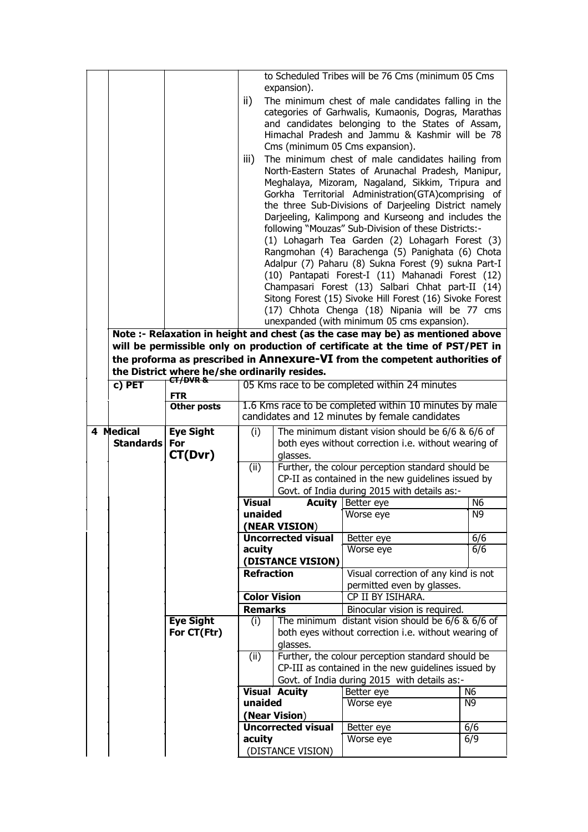|                  |                    |                                                                                                |                           | to Scheduled Tribes will be 76 Cms (minimum 05 Cms                                                           |                |  |  |
|------------------|--------------------|------------------------------------------------------------------------------------------------|---------------------------|--------------------------------------------------------------------------------------------------------------|----------------|--|--|
|                  |                    |                                                                                                | expansion).               |                                                                                                              |                |  |  |
|                  |                    | ii)                                                                                            |                           | The minimum chest of male candidates falling in the                                                          |                |  |  |
|                  |                    |                                                                                                |                           | categories of Garhwalis, Kumaonis, Dogras, Marathas                                                          |                |  |  |
|                  |                    |                                                                                                |                           | and candidates belonging to the States of Assam,                                                             |                |  |  |
|                  |                    |                                                                                                |                           | Himachal Pradesh and Jammu & Kashmir will be 78                                                              |                |  |  |
|                  |                    |                                                                                                |                           | Cms (minimum 05 Cms expansion).                                                                              |                |  |  |
|                  |                    | iii)                                                                                           |                           | The minimum chest of male candidates hailing from                                                            |                |  |  |
|                  |                    |                                                                                                |                           | North-Eastern States of Arunachal Pradesh, Manipur,                                                          |                |  |  |
|                  |                    |                                                                                                |                           | Meghalaya, Mizoram, Nagaland, Sikkim, Tripura and                                                            |                |  |  |
|                  |                    |                                                                                                |                           | Gorkha Territorial Administration(GTA)comprising of                                                          |                |  |  |
|                  |                    |                                                                                                |                           | the three Sub-Divisions of Darjeeling District namely<br>Darjeeling, Kalimpong and Kurseong and includes the |                |  |  |
|                  |                    |                                                                                                |                           | following "Mouzas" Sub-Division of these Districts:-                                                         |                |  |  |
|                  |                    |                                                                                                |                           | (1) Lohagarh Tea Garden (2) Lohagarh Forest (3)                                                              |                |  |  |
|                  |                    |                                                                                                |                           | Rangmohan (4) Barachenga (5) Panighata (6) Chota                                                             |                |  |  |
|                  |                    |                                                                                                |                           | Adalpur (7) Paharu (8) Sukna Forest (9) sukna Part-I                                                         |                |  |  |
|                  |                    |                                                                                                |                           | (10) Pantapati Forest-I (11) Mahanadi Forest (12)                                                            |                |  |  |
|                  |                    |                                                                                                |                           | Champasari Forest (13) Salbari Chhat part-II (14)                                                            |                |  |  |
|                  |                    |                                                                                                |                           | Sitong Forest (15) Sivoke Hill Forest (16) Sivoke Forest                                                     |                |  |  |
|                  |                    |                                                                                                |                           | (17) Chhota Chenga (18) Nipania will be 77 cms                                                               |                |  |  |
|                  |                    |                                                                                                |                           | unexpanded (with minimum 05 cms expansion).                                                                  |                |  |  |
|                  |                    | Note :- Relaxation in height and chest (as the case may be) as mentioned above                 |                           |                                                                                                              |                |  |  |
|                  |                    | will be permissible only on production of certificate at the time of PST/PET in                |                           |                                                                                                              |                |  |  |
|                  |                    | the proforma as prescribed in Annexure-VI from the competent authorities of                    |                           |                                                                                                              |                |  |  |
|                  | CT/DVR&            | the District where he/she ordinarily resides.<br>05 Kms race to be completed within 24 minutes |                           |                                                                                                              |                |  |  |
| c) PET           | <b>FTR</b>         |                                                                                                |                           |                                                                                                              |                |  |  |
|                  | <b>Other posts</b> |                                                                                                |                           | 1.6 Kms race to be completed within 10 minutes by male                                                       |                |  |  |
|                  |                    |                                                                                                |                           | candidates and 12 minutes by female candidates                                                               |                |  |  |
| 4 Medical        | <b>Eye Sight</b>   | (i)                                                                                            |                           | The minimum distant vision should be 6/6 & 6/6 of                                                            |                |  |  |
| <b>Standards</b> | <b>For</b>         |                                                                                                |                           | both eyes without correction i.e. without wearing of                                                         |                |  |  |
|                  | CT(Dvr)            |                                                                                                | glasses.                  |                                                                                                              |                |  |  |
|                  |                    | (ii)                                                                                           |                           | Further, the colour perception standard should be                                                            |                |  |  |
|                  |                    |                                                                                                |                           | CP-II as contained in the new guidelines issued by                                                           |                |  |  |
|                  |                    | <b>Visual</b>                                                                                  |                           | Govt. of India during 2015 with details as:-<br><b>Acuity</b> Better eye                                     | N <sub>6</sub> |  |  |
|                  |                    | unaided                                                                                        |                           | Worse eye                                                                                                    | N9             |  |  |
|                  |                    |                                                                                                | (NEAR VISION)             |                                                                                                              |                |  |  |
|                  |                    |                                                                                                | <b>Uncorrected visual</b> | Better eye                                                                                                   | 6/6            |  |  |
|                  |                    | acuity                                                                                         |                           | Worse eye                                                                                                    | 6/6            |  |  |
|                  |                    |                                                                                                | (DISTANCE VISION)         |                                                                                                              |                |  |  |
|                  |                    | <b>Refraction</b>                                                                              |                           | Visual correction of any kind is not                                                                         |                |  |  |
|                  |                    |                                                                                                |                           | permitted even by glasses.                                                                                   |                |  |  |
|                  |                    | <b>Color Vision</b><br><b>Remarks</b>                                                          |                           | CP II BY ISIHARA.                                                                                            |                |  |  |
|                  | <b>Eye Sight</b>   | (i)                                                                                            |                           | Binocular vision is required.<br>The minimum distant vision should be $6/6$ & $6/6$ of                       |                |  |  |
|                  | For CT(Ftr)        |                                                                                                |                           | both eyes without correction i.e. without wearing of                                                         |                |  |  |
|                  |                    |                                                                                                | glasses.                  |                                                                                                              |                |  |  |
|                  |                    | (ii)                                                                                           |                           | Further, the colour perception standard should be                                                            |                |  |  |
|                  |                    | CP-III as contained in the new guidelines issued by                                            |                           |                                                                                                              |                |  |  |
|                  |                    |                                                                                                |                           | Govt. of India during 2015 with details as:-                                                                 |                |  |  |
|                  |                    |                                                                                                | <b>Visual Acuity</b>      | Better eye                                                                                                   | N <sub>6</sub> |  |  |
|                  |                    |                                                                                                |                           |                                                                                                              |                |  |  |
|                  |                    | unaided                                                                                        |                           | Worse eye                                                                                                    | N9             |  |  |
|                  |                    |                                                                                                | (Near Vision)             |                                                                                                              |                |  |  |
|                  |                    | acuity                                                                                         | <b>Uncorrected visual</b> | Better eye<br>Worse eye                                                                                      | 6/6<br>6/9     |  |  |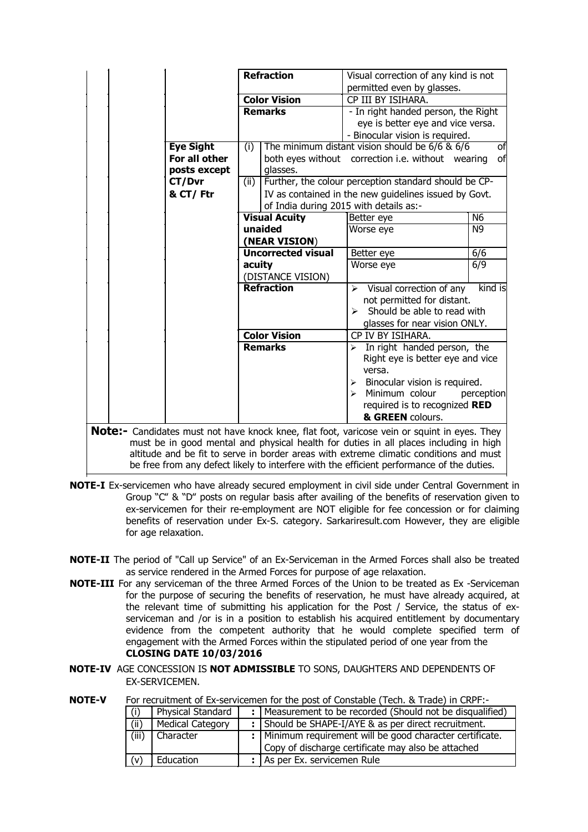|                  | <b>Refraction</b>         |                                        |                       | Visual correction of any kind is not                                                                |                |  |
|------------------|---------------------------|----------------------------------------|-----------------------|-----------------------------------------------------------------------------------------------------|----------------|--|
|                  |                           |                                        |                       | permitted even by glasses.                                                                          |                |  |
|                  | <b>Color Vision</b>       |                                        |                       | CP III BY ISIHARA.                                                                                  |                |  |
|                  | <b>Remarks</b>            |                                        |                       | - In right handed person, the Right                                                                 |                |  |
|                  |                           |                                        |                       | eye is better eye and vice versa.                                                                   |                |  |
|                  |                           |                                        |                       | - Binocular vision is required.                                                                     |                |  |
| <b>Eye Sight</b> | (i)                       |                                        |                       | The minimum distant vision should be $6/6$ & $6/6$                                                  | of             |  |
| For all other    |                           |                                        |                       | both eyes without correction i.e. without wearing                                                   | of             |  |
| posts except     |                           | glasses.                               |                       |                                                                                                     |                |  |
| CT/Dvr           | (i)                       |                                        |                       | Further, the colour perception standard should be CP-                                               |                |  |
| & CT/Ftr         |                           |                                        |                       | IV as contained in the new quidelines issued by Govt.                                               |                |  |
|                  |                           | of India during 2015 with details as:- |                       |                                                                                                     |                |  |
|                  | <b>Visual Acuity</b>      |                                        |                       | Better eye                                                                                          | N6             |  |
|                  | unaided                   |                                        |                       | Worse eye                                                                                           | N <sub>9</sub> |  |
|                  | (NEAR VISION)             |                                        |                       |                                                                                                     |                |  |
|                  | <b>Uncorrected visual</b> |                                        |                       | Better eye                                                                                          | 6/6            |  |
|                  | acuity                    |                                        |                       | Worse eye                                                                                           | 6/9            |  |
|                  |                           | (DISTANCE VISION)                      |                       |                                                                                                     |                |  |
|                  | <b>Refraction</b>         |                                        |                       | $\triangleright$ Visual correction of any                                                           | kind is        |  |
|                  |                           |                                        |                       | not permitted for distant.                                                                          |                |  |
|                  |                           |                                        |                       | $\triangleright$ Should be able to read with                                                        |                |  |
|                  |                           |                                        |                       | glasses for near vision ONLY.                                                                       |                |  |
|                  | <b>Color Vision</b>       |                                        |                       | CP IV BY ISIHARA.                                                                                   |                |  |
|                  | <b>Remarks</b>            |                                        |                       | $\triangleright$ In right handed person, the                                                        |                |  |
|                  |                           |                                        |                       | Right eye is better eye and vice<br>versa.                                                          |                |  |
|                  |                           |                                        | $\blacktriangleright$ | Binocular vision is required.                                                                       |                |  |
|                  |                           |                                        |                       | $\triangleright$ Minimum colour                                                                     | perception     |  |
|                  |                           |                                        |                       | required is to recognized RED                                                                       |                |  |
|                  |                           |                                        |                       | & GREEN colours.                                                                                    |                |  |
|                  |                           |                                        |                       | <b>Note:-</b> Candidates must not have knock knee, flat foot, varicose vein or squint in eyes. They |                |  |
|                  |                           |                                        |                       | must be in good mental and physical health for duties in all places including in high               |                |  |

must be in good mental and physical health for duties in all places including in high altitude and be fit to serve in border areas with extreme climatic conditions and must be free from any defect likely to interfere with the efficient performance of the duties.

- **NOTE-I** Ex-servicemen who have already secured employment in civil side under Central Government in Group "C" & "D" posts on regular basis after availing of the benefits of reservation given to ex-servicemen for their re-employment are NOT eligible for fee concession or for claiming benefits of reservation under Ex-S. category. Sarkariresult.com However, they are eligible for age relaxation.
- **NOTE-II** The period of "Call up Service" of an Ex-Serviceman in the Armed Forces shall also be treated as service rendered in the Armed Forces for purpose of age relaxation.
- **NOTE-III** For any serviceman of the three Armed Forces of the Union to be treated as Ex -Serviceman for the purpose of securing the benefits of reservation, he must have already acquired, at the relevant time of submitting his application for the Post / Service, the status of exserviceman and /or is in a position to establish his acquired entitlement by documentary evidence from the competent authority that he would complete specified term of engagement with the Armed Forces within the stipulated period of one year from the **CLOSING DATE 10/03/2016**
- **NOTE-IV** AGE CONCESSION IS **NOT ADMISSIBLE** TO SONS, DAUGHTERS AND DEPENDENTS OF EX-SERVICEMEN.

| IVV I L-V |       |                         |     | TVI TCC URINCIR OF LA SCIVICCINCITION (NC DOSE OF CONSIGNIC ) TCCNI, OCTTQUE ) IN CIVITT. |
|-----------|-------|-------------------------|-----|-------------------------------------------------------------------------------------------|
|           | (i)   | Physical Standard       |     | Measurement to be recorded (Should not be disqualified)                                   |
|           | (ii)  | <b>Medical Category</b> | . . | Should be SHAPE-I/AYE & as per direct recruitment.                                        |
|           | (iii) | Character               |     | :   Minimum requirement will be good character certificate.                               |
|           |       |                         |     | Copy of discharge certificate may also be attached                                        |
|           | (v)   | Education               |     | : As per Ex. servicemen Rule                                                              |
|           |       |                         |     |                                                                                           |

**NOTE-V** For recruitment of Ex-servicemen for the post of Constable (Tech. & Trade) in CRPF:-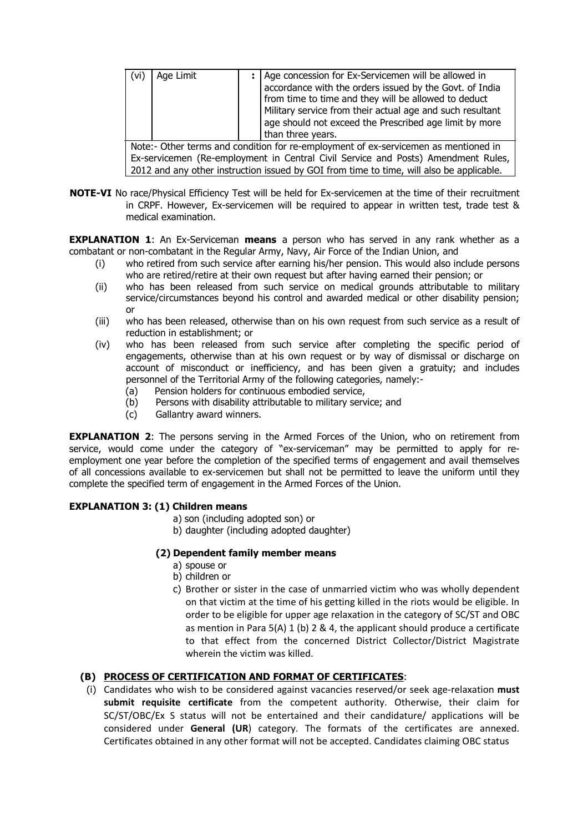| (vi) | Age Limit                                                                                                                          |  | Age concession for Ex-Servicemen will be allowed in<br>accordance with the orders issued by the Govt. of India<br>from time to time and they will be allowed to deduct<br>Military service from their actual age and such resultant<br>age should not exceed the Prescribed age limit by more<br>than three years. |  |
|------|------------------------------------------------------------------------------------------------------------------------------------|--|--------------------------------------------------------------------------------------------------------------------------------------------------------------------------------------------------------------------------------------------------------------------------------------------------------------------|--|
|      | Note:- Other terms and condition for re-employment of ex-servicemen as mentioned in<br>F ' / I ' A ' A ' A ' I A ' I ' A ' I ' A ' |  |                                                                                                                                                                                                                                                                                                                    |  |

Ex-servicemen (Re-employment in Central Civil Service and Posts) Amendment Rules, 2012 and any other instruction issued by GOI from time to time, will also be applicable.

**NOTE-VI** No race/Physical Efficiency Test will be held for Ex-servicemen at the time of their recruitment in CRPF. However, Ex-servicemen will be required to appear in written test, trade test & medical examination.

**EXPLANATION 1**: An Ex-Serviceman **means** a person who has served in any rank whether as a combatant or non-combatant in the Regular Army, Navy, Air Force of the Indian Union, and

- (i) who retired from such service after earning his/her pension. This would also include persons who are retired/retire at their own request but after having earned their pension; or
- (ii) who has been released from such service on medical grounds attributable to military service/circumstances beyond his control and awarded medical or other disability pension; or
- (iii) who has been released, otherwise than on his own request from such service as a result of reduction in establishment; or
- (iv) who has been released from such service after completing the specific period of engagements, otherwise than at his own request or by way of dismissal or discharge on account of misconduct or inefficiency, and has been given a gratuity; and includes personnel of the Territorial Army of the following categories, namely:-
	- (a) Pension holders for continuous embodied service,
	- (b) Persons with disability attributable to military service; and
	- (c) Gallantry award winners.

**EXPLANATION 2:** The persons serving in the Armed Forces of the Union, who on retirement from service, would come under the category of "ex-serviceman" may be permitted to apply for reemployment one year before the completion of the specified terms of engagement and avail themselves of all concessions available to ex-servicemen but shall not be permitted to leave the uniform until they complete the specified term of engagement in the Armed Forces of the Union.

## **EXPLANATION 3: (1) Children means**

- a) son (including adopted son) or
- b) daughter (including adopted daughter)

#### **(2) Dependent family member means**

- a) spouse or
- b) children or
- c) Brother or sister in the case of unmarried victim who was wholly dependent on that victim at the time of his getting killed in the riots would be eligible. In order to be eligible for upper age relaxation in the category of SC/ST and OBC as mention in Para 5(A) 1 (b) 2 & 4, the applicant should produce a certificate to that effect from the concerned District Collector/District Magistrate wherein the victim was killed.

## **(B) PROCESS OF CERTIFICATION AND FORMAT OF CERTIFICATES**:

(i) Candidates who wish to be considered against vacancies reserved/or seek age-relaxation **must submit requisite certificate** from the competent authority. Otherwise, their claim for SC/ST/OBC/Ex S status will not be entertained and their candidature/ applications will be considered under **General (UR**) category. The formats of the certificates are annexed. Certificates obtained in any other format will not be accepted. Candidates claiming OBC status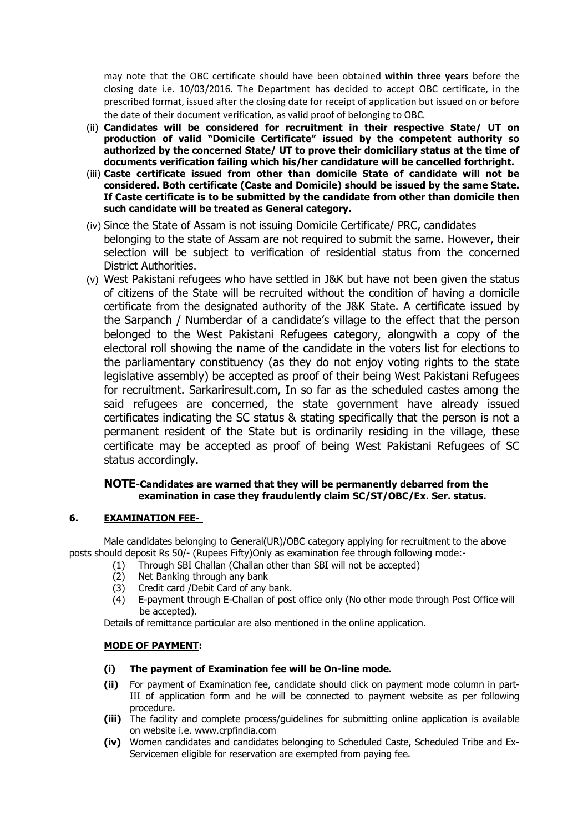may note that the OBC certificate should have been obtained **within three years** before the closing date i.e. 10/03/2016. The Department has decided to accept OBC certificate, in the prescribed format, issued after the closing date for receipt of application but issued on or before the date of their document verification, as valid proof of belonging to OBC.

- (ii) **Candidates will be considered for recruitment in their respective State/ UT on production of valid "Domicile Certificate" issued by the competent authority so authorized by the concerned State/ UT to prove their domiciliary status at the time of documents verification failing which his/her candidature will be cancelled forthright.**
- (iii) **Caste certificate issued from other than domicile State of candidate will not be considered. Both certificate (Caste and Domicile) should be issued by the same State. If Caste certificate is to be submitted by the candidate from other than domicile then such candidate will be treated as General category.**
- (iv) Since the State of Assam is not issuing Domicile Certificate/ PRC, candidates belonging to the state of Assam are not required to submit the same. However, their selection will be subject to verification of residential status from the concerned District Authorities.
- (v) West Pakistani refugees who have settled in J&K but have not been given the status of citizens of the State will be recruited without the condition of having a domicile certificate from the designated authority of the J&K State. A certificate issued by the Sarpanch / Numberdar of a candidate's village to the effect that the person belonged to the West Pakistani Refugees category, alongwith a copy of the electoral roll showing the name of the candidate in the voters list for elections to the parliamentary constituency (as they do not enjoy voting rights to the state legislative assembly) be accepted as proof of their being West Pakistani Refugees for recruitment. Sarkariresult.com, In so far as the scheduled castes among the said refugees are concerned, the state government have already issued certificates indicating the SC status & stating specifically that the person is not a permanent resident of the State but is ordinarily residing in the village, these certificate may be accepted as proof of being West Pakistani Refugees of SC status accordingly.

#### **NOTE-Candidates are warned that they will be permanently debarred from the examination in case they fraudulently claim SC/ST/OBC/Ex. Ser. status.**

## **6. EXAMINATION FEE-**

Male candidates belonging to General(UR)/OBC category applying for recruitment to the above posts should deposit Rs 50/- (Rupees Fifty)Only as examination fee through following mode:-

- (1) Through SBI Challan (Challan other than SBI will not be accepted)
- (2) Net Banking through any bank
- (3) Credit card /Debit Card of any bank.
- (4) E-payment through E-Challan of post office only (No other mode through Post Office will be accepted).

Details of remittance particular are also mentioned in the online application.

#### **MODE OF PAYMENT:**

- **(i) The payment of Examination fee will be On-line mode.**
- **(ii)** For payment of Examination fee, candidate should click on payment mode column in part-III of application form and he will be connected to payment website as per following procedure.
- **(iii)** The facility and complete process/guidelines for submitting online application is available on website i.e. www.crpfindia.com
- **(iv)** Women candidates and candidates belonging to Scheduled Caste, Scheduled Tribe and Ex-Servicemen eligible for reservation are exempted from paying fee.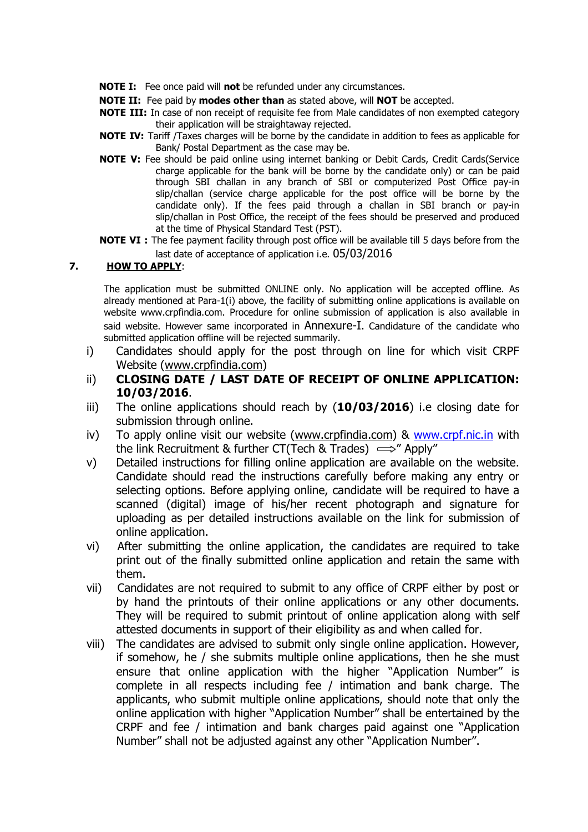- **NOTE I:** Fee once paid will **not** be refunded under any circumstances.
- **NOTE II:** Fee paid by **modes other than** as stated above, will **NOT** be accepted.
- **NOTE III:** In case of non receipt of requisite fee from Male candidates of non exempted category their application will be straightaway rejected.
- **NOTE IV:** Tariff /Taxes charges will be borne by the candidate in addition to fees as applicable for Bank/ Postal Department as the case may be.
- **NOTE V:** Fee should be paid online using internet banking or Debit Cards, Credit Cards(Service charge applicable for the bank will be borne by the candidate only) or can be paid through SBI challan in any branch of SBI or computerized Post Office pay-in slip/challan (service charge applicable for the post office will be borne by the candidate only). If the fees paid through a challan in SBI branch or pay-in slip/challan in Post Office, the receipt of the fees should be preserved and produced at the time of Physical Standard Test (PST).
- **NOTE VI :** The fee payment facility through post office will be available till 5 days before from the last date of acceptance of application i.e. 05/03/2016

## **7. HOW TO APPLY**:

The application must be submitted ONLINE only. No application will be accepted offline. As already mentioned at Para-1(i) above, the facility of submitting online applications is available on website www.crpfindia.com. Procedure for online submission of application is also available in said website. However same incorporated in Annexure-I. Candidature of the candidate who submitted application offline will be rejected summarily.

- i) Candidates should apply for the post through on line for which visit CRPF Website (www.crpfindia.com)
- ii) **CLOSING DATE / LAST DATE OF RECEIPT OF ONLINE APPLICATION: 10/03/2016**.
- iii) The online applications should reach by (**10/03/2016**) i.e closing date for submission through online.
- iv) To apply online visit our website (www.crpfindia.com) & www.crpf.nic.in with the link Recruitment & further CT(Tech & Trades)  $\implies$ " Apply"
- v) Detailed instructions for filling online application are available on the website. Candidate should read the instructions carefully before making any entry or selecting options. Before applying online, candidate will be required to have a scanned (digital) image of his/her recent photograph and signature for uploading as per detailed instructions available on the link for submission of online application.
- vi) After submitting the online application, the candidates are required to take print out of the finally submitted online application and retain the same with them.
- vii) Candidates are not required to submit to any office of CRPF either by post or by hand the printouts of their online applications or any other documents. They will be required to submit printout of online application along with self attested documents in support of their eligibility as and when called for.
- viii) The candidates are advised to submit only single online application. However, if somehow, he / she submits multiple online applications, then he she must ensure that online application with the higher "Application Number" is complete in all respects including fee / intimation and bank charge. The applicants, who submit multiple online applications, should note that only the online application with higher "Application Number" shall be entertained by the CRPF and fee / intimation and bank charges paid against one "Application Number" shall not be adjusted against any other "Application Number".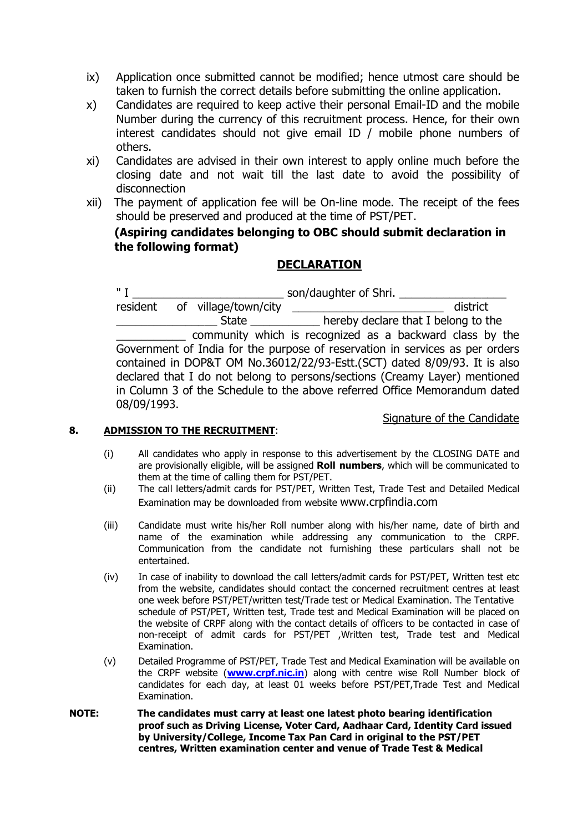- ix) Application once submitted cannot be modified; hence utmost care should be taken to furnish the correct details before submitting the online application.
- x) Candidates are required to keep active their personal Email-ID and the mobile Number during the currency of this recruitment process. Hence, for their own interest candidates should not give email ID / mobile phone numbers of others.
- xi) Candidates are advised in their own interest to apply online much before the closing date and not wait till the last date to avoid the possibility of disconnection
- xii) The payment of application fee will be On-line mode. The receipt of the fees should be preserved and produced at the time of PST/PET.

# **(Aspiring candidates belonging to OBC should submit declaration in the following format)**

# **DECLARATION**

" I \_\_\_\_\_\_\_\_\_\_\_\_\_\_\_\_\_\_\_\_\_\_\_\_\_\_\_\_\_\_\_\_ son/daughter of Shri. \_\_\_\_\_\_\_\_\_\_\_\_\_\_\_\_\_\_\_\_\_ resident of village/town/city \_\_\_\_\_\_\_\_\_\_\_\_\_\_\_\_\_\_\_\_\_\_\_\_ district State  $\frac{1}{\sqrt{2\pi}}$  hereby declare that I belong to the community which is recognized as a backward class by the Government of India for the purpose of reservation in services as per orders contained in DOP&T OM No.36012/22/93-Estt.(SCT) dated 8/09/93. It is also declared that I do not belong to persons/sections (Creamy Layer) mentioned in Column 3 of the Schedule to the above referred Office Memorandum dated 08/09/1993.

## **8. ADMISSION TO THE RECRUITMENT**:

Signature of the Candidate

- (i) All candidates who apply in response to this advertisement by the CLOSING DATE and are provisionally eligible, will be assigned **Roll numbers**, which will be communicated to them at the time of calling them for PST/PET.
- (ii) The call letters/admit cards for PST/PET, Written Test, Trade Test and Detailed Medical Examination may be downloaded from website www.crpfindia.com
- (iii) Candidate must write his/her Roll number along with his/her name, date of birth and name of the examination while addressing any communication to the CRPF. Communication from the candidate not furnishing these particulars shall not be entertained.
- (iv) In case of inability to download the call letters/admit cards for PST/PET, Written test etc from the website, candidates should contact the concerned recruitment centres at least one week before PST/PET/written test/Trade test or Medical Examination. The Tentative schedule of PST/PET, Written test, Trade test and Medical Examination will be placed on the website of CRPF along with the contact details of officers to be contacted in case of non-receipt of admit cards for PST/PET ,Written test, Trade test and Medical Examination.
- (v) Detailed Programme of PST/PET, Trade Test and Medical Examination will be available on the CRPF website (**www.crpf.nic.in**) along with centre wise Roll Number block of candidates for each day, at least 01 weeks before PST/PET,Trade Test and Medical Examination.
- **NOTE: The candidates must carry at least one latest photo bearing identification proof such as Driving License, Voter Card, Aadhaar Card, Identity Card issued by University/College, Income Tax Pan Card in original to the PST/PET centres, Written examination center and venue of Trade Test & Medical**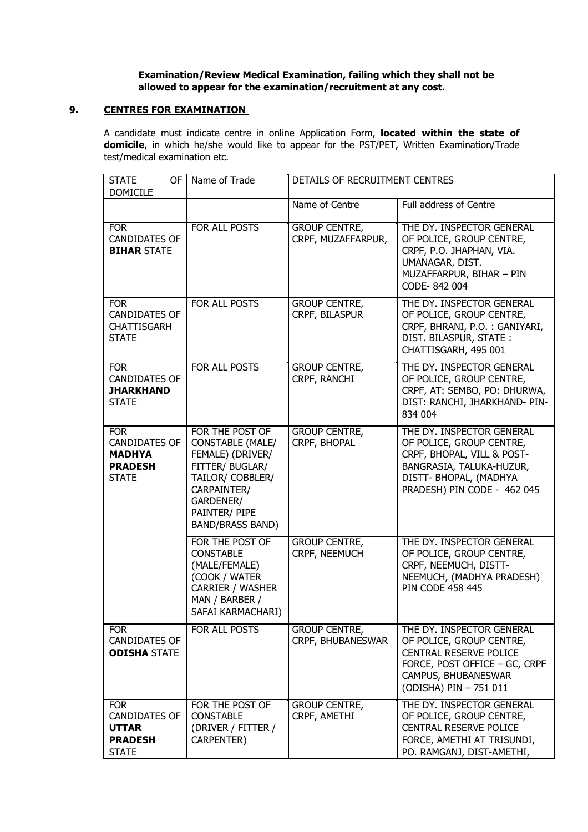#### **Examination/Review Medical Examination, failing which they shall not be allowed to appear for the examination/recruitment at any cost.**

## **9. CENTRES FOR EXAMINATION**

A candidate must indicate centre in online Application Form, **located within the state of domicile**, in which he/she would like to appear for the PST/PET, Written Examination/Trade test/medical examination etc.

| <b>STATE</b><br>0F<br><b>DOMICILE</b>                                                 | Name of Trade                                                                                                                                                                 | DETAILS OF RECRUITMENT CENTRES             |                                                                                                                                                                          |
|---------------------------------------------------------------------------------------|-------------------------------------------------------------------------------------------------------------------------------------------------------------------------------|--------------------------------------------|--------------------------------------------------------------------------------------------------------------------------------------------------------------------------|
|                                                                                       |                                                                                                                                                                               | Name of Centre                             | Full address of Centre                                                                                                                                                   |
| <b>FOR</b><br><b>CANDIDATES OF</b><br><b>BIHAR STATE</b>                              | FOR ALL POSTS                                                                                                                                                                 | <b>GROUP CENTRE,</b><br>CRPF, MUZAFFARPUR, | THE DY. INSPECTOR GENERAL<br>OF POLICE, GROUP CENTRE,<br>CRPF, P.O. JHAPHAN, VIA.<br>UMANAGAR, DIST.<br>MUZAFFARPUR, BIHAR - PIN<br>CODE-842 004                         |
| <b>FOR</b><br><b>CANDIDATES OF</b><br><b>CHATTISGARH</b><br><b>STATE</b>              | FOR ALL POSTS                                                                                                                                                                 | <b>GROUP CENTRE,</b><br>CRPF, BILASPUR     | THE DY. INSPECTOR GENERAL<br>OF POLICE, GROUP CENTRE,<br>CRPF, BHRANI, P.O. : GANIYARI,<br>DIST. BILASPUR, STATE:<br>CHATTISGARH, 495 001                                |
| <b>FOR</b><br><b>CANDIDATES OF</b><br><b>JHARKHAND</b><br><b>STATE</b>                | FOR ALL POSTS                                                                                                                                                                 | <b>GROUP CENTRE,</b><br>CRPF, RANCHI       | THE DY. INSPECTOR GENERAL<br>OF POLICE, GROUP CENTRE,<br>CRPF, AT: SEMBO, PO: DHURWA,<br>DIST: RANCHI, JHARKHAND- PIN-<br>834 004                                        |
| <b>FOR</b><br><b>CANDIDATES OF</b><br><b>MADHYA</b><br><b>PRADESH</b><br><b>STATE</b> | FOR THE POST OF<br><b>CONSTABLE (MALE/</b><br>FEMALE) (DRIVER/<br>FITTER/ BUGLAR/<br>TAILOR/ COBBLER/<br>CARPAINTER/<br>GARDENER/<br>PAINTER/ PIPE<br><b>BAND/BRASS BAND)</b> | <b>GROUP CENTRE,</b><br>CRPF, BHOPAL       | THE DY. INSPECTOR GENERAL<br>OF POLICE, GROUP CENTRE,<br>CRPF, BHOPAL, VILL & POST-<br>BANGRASIA, TALUKA-HUZUR,<br>DISTT- BHOPAL, (MADHYA<br>PRADESH) PIN CODE - 462 045 |
|                                                                                       | FOR THE POST OF<br><b>CONSTABLE</b><br>(MALE/FEMALE)<br>(COOK / WATER<br><b>CARRIER / WASHER</b><br>MAN / BARBER /<br>SAFAI KARMACHARI)                                       | <b>GROUP CENTRE,</b><br>CRPF, NEEMUCH      | THE DY. INSPECTOR GENERAL<br>OF POLICE, GROUP CENTRE,<br>CRPF, NEEMUCH, DISTT-<br>NEEMUCH, (MADHYA PRADESH)<br><b>PIN CODE 458 445</b>                                   |
| <b>FOR</b><br><b>CANDIDATES OF</b><br><b>ODISHA STATE</b>                             | FOR ALL POSTS                                                                                                                                                                 | <b>GROUP CENTRE,</b><br>CRPF, BHUBANESWAR  | THE DY. INSPECTOR GENERAL<br>OF POLICE, GROUP CENTRE,<br>CENTRAL RESERVE POLICE<br>FORCE, POST OFFICE - GC, CRPF<br>CAMPUS, BHUBANESWAR<br>(ODISHA) PIN - 751 011        |
| <b>FOR</b><br><b>CANDIDATES OF</b><br><b>UTTAR</b><br><b>PRADESH</b><br><b>STATE</b>  | FOR THE POST OF<br><b>CONSTABLE</b><br>(DRIVER / FITTER /<br>CARPENTER)                                                                                                       | <b>GROUP CENTRE,</b><br>CRPF, AMETHI       | THE DY. INSPECTOR GENERAL<br>OF POLICE, GROUP CENTRE,<br>CENTRAL RESERVE POLICE<br>FORCE, AMETHI AT TRISUNDI,<br>PO. RAMGANJ, DIST-AMETHI,                               |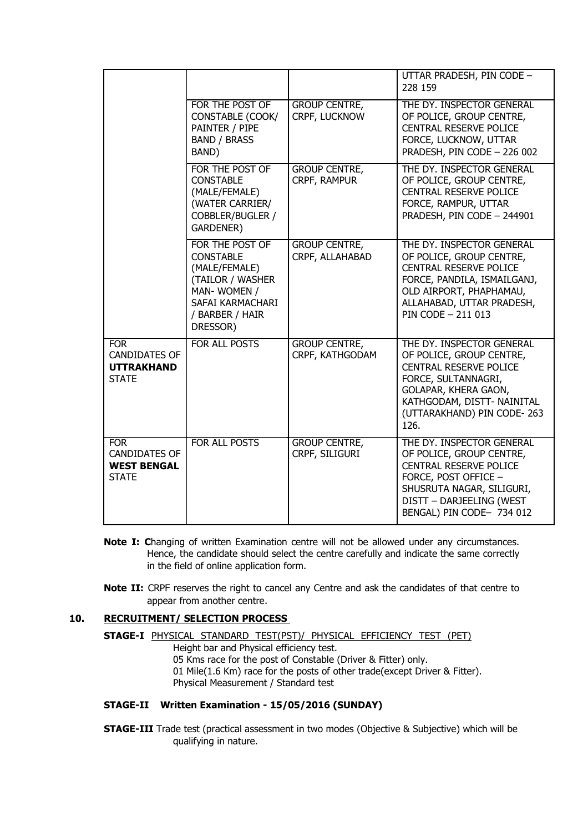|                                                                          |                                                                                                                                            |                                         | UTTAR PRADESH, PIN CODE -<br>228 159                                                                                                                                                               |
|--------------------------------------------------------------------------|--------------------------------------------------------------------------------------------------------------------------------------------|-----------------------------------------|----------------------------------------------------------------------------------------------------------------------------------------------------------------------------------------------------|
|                                                                          | FOR THE POST OF<br>CONSTABLE (COOK/<br>PAINTER / PIPE<br><b>BAND / BRASS</b><br>BAND)                                                      | <b>GROUP CENTRE,</b><br>CRPF, LUCKNOW   | THE DY. INSPECTOR GENERAL<br>OF POLICE, GROUP CENTRE,<br><b>CENTRAL RESERVE POLICE</b><br>FORCE, LUCKNOW, UTTAR<br>PRADESH, PIN CODE - 226 002                                                     |
|                                                                          | FOR THE POST OF<br><b>CONSTABLE</b><br>(MALE/FEMALE)<br>(WATER CARRIER/<br>COBBLER/BUGLER /<br><b>GARDENER)</b>                            | <b>GROUP CENTRE,</b><br>CRPF, RAMPUR    | THE DY. INSPECTOR GENERAL<br>OF POLICE, GROUP CENTRE,<br><b>CENTRAL RESERVE POLICE</b><br>FORCE, RAMPUR, UTTAR<br>PRADESH, PIN CODE - 244901                                                       |
|                                                                          | FOR THE POST OF<br><b>CONSTABLE</b><br>(MALE/FEMALE)<br>(TAILOR / WASHER<br>MAN-WOMEN /<br>SAFAI KARMACHARI<br>/ BARBER / HAIR<br>DRESSOR) | <b>GROUP CENTRE,</b><br>CRPF, ALLAHABAD | THE DY. INSPECTOR GENERAL<br>OF POLICE, GROUP CENTRE,<br>CENTRAL RESERVE POLICE<br>FORCE, PANDILA, ISMAILGANJ,<br>OLD AIRPORT, PHAPHAMAU,<br>ALLAHABAD, UTTAR PRADESH,<br>PIN CODE - 211 013       |
| <b>FOR</b><br><b>CANDIDATES OF</b><br><b>UTTRAKHAND</b><br><b>STATE</b>  | FOR ALL POSTS                                                                                                                              | <b>GROUP CENTRE,</b><br>CRPF, KATHGODAM | THE DY. INSPECTOR GENERAL<br>OF POLICE, GROUP CENTRE,<br>CENTRAL RESERVE POLICE<br>FORCE, SULTANNAGRI,<br>GOLAPAR, KHERA GAON,<br>KATHGODAM, DISTT- NAINITAL<br>(UTTARAKHAND) PIN CODE-263<br>126. |
| <b>FOR</b><br><b>CANDIDATES OF</b><br><b>WEST BENGAL</b><br><b>STATE</b> | <b>FOR ALL POSTS</b>                                                                                                                       | <b>GROUP CENTRE,</b><br>CRPF, SILIGURI  | THE DY. INSPECTOR GENERAL<br>OF POLICE, GROUP CENTRE,<br>CENTRAL RESERVE POLICE<br>FORCE, POST OFFICE -<br>SHUSRUTA NAGAR, SILIGURI,<br>DISTT - DARJEELING (WEST<br>BENGAL) PIN CODE- 734 012      |

- **Note I: C**hanging of written Examination centre will not be allowed under any circumstances. Hence, the candidate should select the centre carefully and indicate the same correctly in the field of online application form.
- **Note II:** CRPF reserves the right to cancel any Centre and ask the candidates of that centre to appear from another centre.

## **10. RECRUITMENT/ SELECTION PROCESS**

**STAGE-I** PHYSICAL STANDARD TEST(PST)/ PHYSICAL EFFICIENCY TEST (PET) Height bar and Physical efficiency test. 05 Kms race for the post of Constable (Driver & Fitter) only. 01 Mile(1.6 Km) race for the posts of other trade(except Driver & Fitter). Physical Measurement / Standard test

#### **STAGE-II Written Examination - 15/05/2016 (SUNDAY)**

**STAGE-III** Trade test (practical assessment in two modes (Objective & Subjective) which will be qualifying in nature.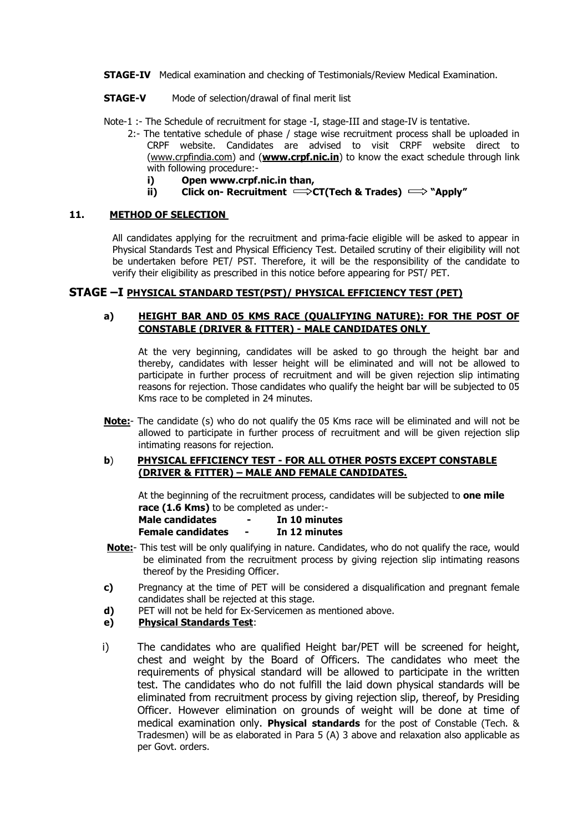**STAGE-IV** Medical examination and checking of Testimonials/Review Medical Examination.

**STAGE-V** Mode of selection/drawal of final merit list

Note-1 :- The Schedule of recruitment for stage -I, stage-III and stage-IV is tentative.

- 2:- The tentative schedule of phase / stage wise recruitment process shall be uploaded in CRPF website. Candidates are advised to visit CRPF website direct to (www.crpfindia.com) and (**www.crpf.nic.in**) to know the exact schedule through link with following procedure:
	- **i) Open www.crpf.nic.in than,**
	- **ii) Click on- Recruitment**  $\Rightarrow$  **CT(Tech & Trades)**  $\Rightarrow$  **"Apply"**

### **11. METHOD OF SELECTION**

All candidates applying for the recruitment and prima-facie eligible will be asked to appear in Physical Standards Test and Physical Efficiency Test. Detailed scrutiny of their eligibility will not be undertaken before PET/ PST. Therefore, it will be the responsibility of the candidate to verify their eligibility as prescribed in this notice before appearing for PST/ PET.

## **STAGE –I PHYSICAL STANDARD TEST(PST)/ PHYSICAL EFFICIENCY TEST (PET)**

#### **a) HEIGHT BAR AND 05 KMS RACE (QUALIFYING NATURE): FOR THE POST OF CONSTABLE (DRIVER & FITTER) - MALE CANDIDATES ONLY**

At the very beginning, candidates will be asked to go through the height bar and thereby, candidates with lesser height will be eliminated and will not be allowed to participate in further process of recruitment and will be given rejection slip intimating reasons for rejection. Those candidates who qualify the height bar will be subjected to 05 Kms race to be completed in 24 minutes.

**Note:**- The candidate (s) who do not qualify the 05 Kms race will be eliminated and will not be allowed to participate in further process of recruitment and will be given rejection slip intimating reasons for rejection.

#### **b**) **PHYSICAL EFFICIENCY TEST - FOR ALL OTHER POSTS EXCEPT CONSTABLE (DRIVER & FITTER) – MALE AND FEMALE CANDIDATES.**

At the beginning of the recruitment process, candidates will be subjected to **one mile race (1.6 Kms)** to be completed as under:-

| Male candidates   | - | In 10 minutes |
|-------------------|---|---------------|
| Female candidates | - | In 12 minutes |

- **Note:** This test will be only qualifying in nature. Candidates, who do not qualify the race, would be eliminated from the recruitment process by giving rejection slip intimating reasons thereof by the Presiding Officer.
- **c)** Pregnancy at the time of PET will be considered a disqualification and pregnant female candidates shall be rejected at this stage.
- **d)** PET will not be held for Ex-Servicemen as mentioned above.

## **e) Physical Standards Test**:

i) The candidates who are qualified Height bar/PET will be screened for height, chest and weight by the Board of Officers. The candidates who meet the requirements of physical standard will be allowed to participate in the written test. The candidates who do not fulfill the laid down physical standards will be eliminated from recruitment process by giving rejection slip, thereof, by Presiding Officer. However elimination on grounds of weight will be done at time of medical examination only. **Physical standards** for the post of Constable (Tech. & Tradesmen) will be as elaborated in Para 5 (A) 3 above and relaxation also applicable as per Govt. orders.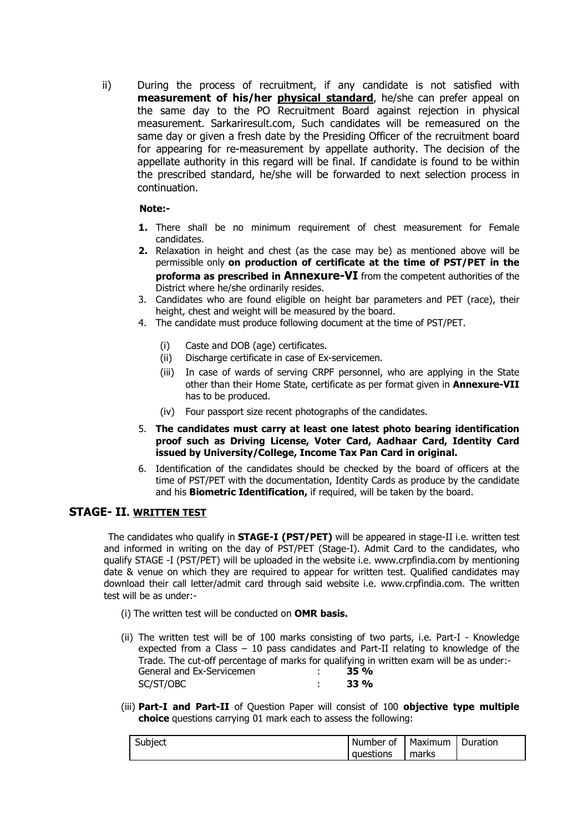ii) During the process of recruitment, if any candidate is not satisfied with **measurement of his/her physical standard**, he/she can prefer appeal on the same day to the PO Recruitment Board against rejection in physical measurement. Sarkariresult.com, Such candidates will be remeasured on the same day or given a fresh date by the Presiding Officer of the recruitment board for appearing for re-measurement by appellate authority. The decision of the appellate authority in this regard will be final. If candidate is found to be within the prescribed standard, he/she will be forwarded to next selection process in continuation.

### **Note:-**

- **1.** There shall be no minimum requirement of chest measurement for Female candidates.
- **2.** Relaxation in height and chest (as the case may be) as mentioned above will be permissible only **on production of certificate at the time of PST/PET in the proforma as prescribed in Annexure-VI** from the competent authorities of the District where he/she ordinarily resides.
- 3. Candidates who are found eligible on height bar parameters and PET (race), their height, chest and weight will be measured by the board.
- 4. The candidate must produce following document at the time of PST/PET.
	- (i) Caste and DOB (age) certificates.
	- (ii) Discharge certificate in case of Ex-servicemen.
	- (iii) In case of wards of serving CRPF personnel, who are applying in the State other than their Home State, certificate as per format given in **Annexure-VII** has to be produced.
	- (iv) Four passport size recent photographs of the candidates.
- 5. **The candidates must carry at least one latest photo bearing identification proof such as Driving License, Voter Card, Aadhaar Card, Identity Card issued by University/College, Income Tax Pan Card in original.**
- 6. Identification of the candidates should be checked by the board of officers at the time of PST/PET with the documentation, Identity Cards as produce by the candidate and his **Biometric Identification,** if required, will be taken by the board.

## **STAGE- II. WRITTEN TEST**

The candidates who qualify in **STAGE-I (PST/PET)** will be appeared in stage-II i.e. written test and informed in writing on the day of PST/PET (Stage-I). Admit Card to the candidates, who qualify STAGE -I (PST/PET) will be uploaded in the website i.e. www.crpfindia.com by mentioning date & venue on which they are required to appear for written test. Qualified candidates may download their call letter/admit card through said website i.e. www.crpfindia.com. The written test will be as under:-

(i) The written test will be conducted on **OMR basis.**

- (ii) The written test will be of 100 marks consisting of two parts, i.e. Part-I Knowledge expected from a Class – 10 pass candidates and Part-II relating to knowledge of the Trade. The cut-off percentage of marks for qualifying in written exam will be as under:- General and Ex-Servicemen : **35 %** SC/ST/OBC : **33 %**
- (iii) **Part-I and Part-II** of Question Paper will consist of 100 **objective type multiple choice** questions carrying 01 mark each to assess the following:

| Subject | Number of | Maximum | Duration |
|---------|-----------|---------|----------|
|         | questions | marks   |          |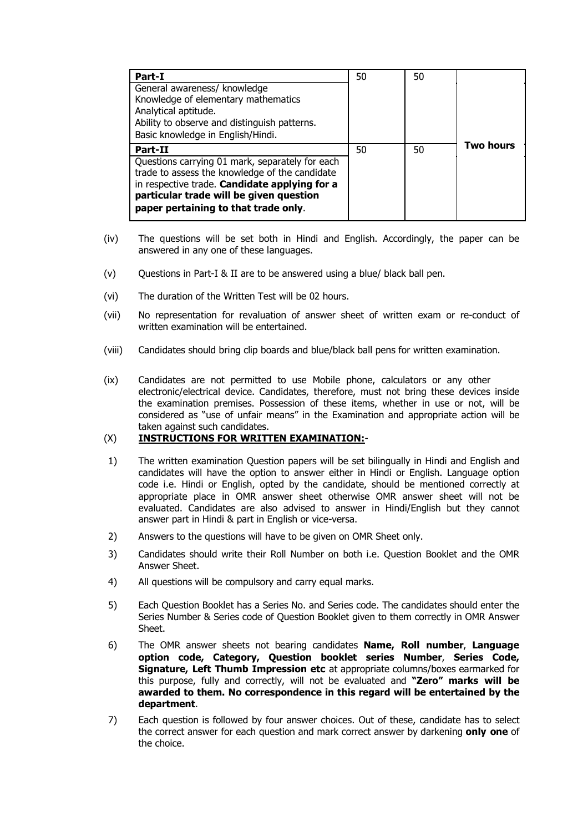| Part-I<br>General awareness/ knowledge<br>Knowledge of elementary mathematics<br>Analytical aptitude.<br>Ability to observe and distinguish patterns.<br>Basic knowledge in English/Hindi.                                                       | 50 | 50 |                  |
|--------------------------------------------------------------------------------------------------------------------------------------------------------------------------------------------------------------------------------------------------|----|----|------------------|
| Part-II<br>Questions carrying 01 mark, separately for each<br>trade to assess the knowledge of the candidate<br>in respective trade. Candidate applying for a<br>particular trade will be given question<br>paper pertaining to that trade only. | 50 | 50 | <b>Two hours</b> |

- (iv) The questions will be set both in Hindi and English. Accordingly, the paper can be answered in any one of these languages.
- (v) Questions in Part-I & II are to be answered using a blue/ black ball pen.
- (vi) The duration of the Written Test will be 02 hours.
- (vii) No representation for revaluation of answer sheet of written exam or re-conduct of written examination will be entertained.
- (viii) Candidates should bring clip boards and blue/black ball pens for written examination.
- (ix) Candidates are not permitted to use Mobile phone, calculators or any other electronic/electrical device. Candidates, therefore, must not bring these devices inside the examination premises. Possession of these items, whether in use or not, will be considered as "use of unfair means" in the Examination and appropriate action will be taken against such candidates.

#### (X) **INSTRUCTIONS FOR WRITTEN EXAMINATION:**-

- 1) The written examination Question papers will be set bilingually in Hindi and English and candidates will have the option to answer either in Hindi or English. Language option code i.e. Hindi or English, opted by the candidate, should be mentioned correctly at appropriate place in OMR answer sheet otherwise OMR answer sheet will not be evaluated. Candidates are also advised to answer in Hindi/English but they cannot answer part in Hindi & part in English or vice-versa.
- 2) Answers to the questions will have to be given on OMR Sheet only.
- 3) Candidates should write their Roll Number on both i.e. Question Booklet and the OMR Answer Sheet.
- 4) All questions will be compulsory and carry equal marks.
- 5) Each Question Booklet has a Series No. and Series code. The candidates should enter the Series Number & Series code of Question Booklet given to them correctly in OMR Answer Sheet.
- 6) The OMR answer sheets not bearing candidates **Name, Roll number**, **Language option code, Category, Question booklet series Number**, **Series Code, Signature, Left Thumb Impression etc** at appropriate columns/boxes earmarked for this purpose, fully and correctly, will not be evaluated and **"Zero" marks will be awarded to them. No correspondence in this regard will be entertained by the department**.
- 7) Each question is followed by four answer choices. Out of these, candidate has to select the correct answer for each question and mark correct answer by darkening **only one** of the choice.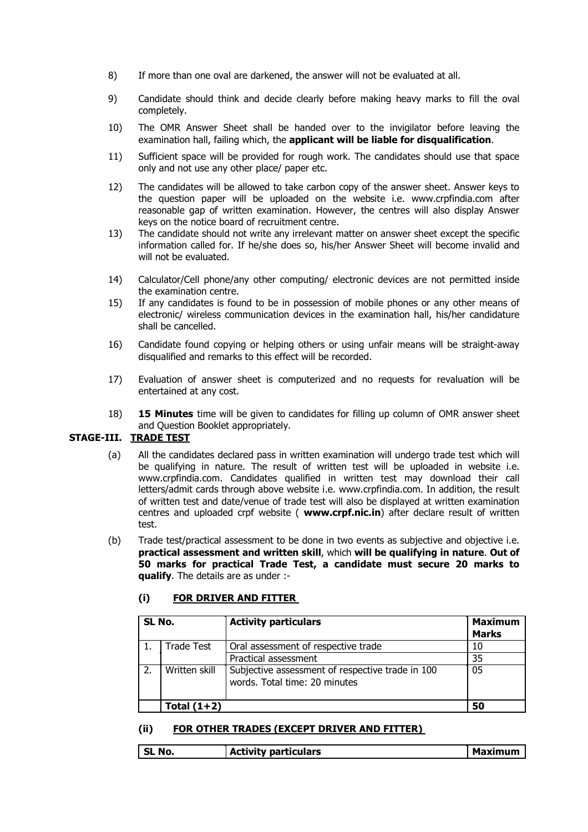- 8) If more than one oval are darkened, the answer will not be evaluated at all.
- 9) Candidate should think and decide clearly before making heavy marks to fill the oval completely.
- 10) The OMR Answer Sheet shall be handed over to the invigilator before leaving the examination hall, failing which, the **applicant will be liable for disqualification**.
- 11) Sufficient space will be provided for rough work. The candidates should use that space only and not use any other place/ paper etc.
- 12) The candidates will be allowed to take carbon copy of the answer sheet. Answer keys to the question paper will be uploaded on the website i.e. www.crpfindia.com after reasonable gap of written examination. However, the centres will also display Answer keys on the notice board of recruitment centre.
- 13) The candidate should not write any irrelevant matter on answer sheet except the specific information called for. If he/she does so, his/her Answer Sheet will become invalid and will not be evaluated.
- 14) Calculator/Cell phone/any other computing/ electronic devices are not permitted inside the examination centre.
- 15) If any candidates is found to be in possession of mobile phones or any other means of electronic/ wireless communication devices in the examination hall, his/her candidature shall be cancelled.
- 16) Candidate found copying or helping others or using unfair means will be straight-away disqualified and remarks to this effect will be recorded.
- 17) Evaluation of answer sheet is computerized and no requests for revaluation will be entertained at any cost.
- 18) **15 Minutes** time will be given to candidates for filling up column of OMR answer sheet and Question Booklet appropriately.

## **STAGE-III. TRADE TEST**

- (a) All the candidates declared pass in written examination will undergo trade test which will be qualifying in nature. The result of written test will be uploaded in website i.e. www.crpfindia.com. Candidates qualified in written test may download their call letters/admit cards through above website i.e. www.crpfindia.com. In addition, the result of written test and date/venue of trade test will also be displayed at written examination centres and uploaded crpf website ( **www.crpf.nic.in**) after declare result of written test.
- (b) Trade test/practical assessment to be done in two events as subjective and objective i.e. **practical assessment and written skill**, which **will be qualifying in nature**. **Out of 50 marks for practical Trade Test, a candidate must secure 20 marks to qualify**. The details are as under :-

#### **(i) FOR DRIVER AND FITTER**

| SL No. |               | <b>Activity particulars</b>                                                       | <b>Maximum</b> |
|--------|---------------|-----------------------------------------------------------------------------------|----------------|
|        |               |                                                                                   | <b>Marks</b>   |
|        | Trade Test    | Oral assessment of respective trade                                               | 10             |
|        |               | Practical assessment                                                              | 35             |
|        | Written skill | Subjective assessment of respective trade in 100<br>words. Total time: 20 minutes | 05             |
|        | Total $(1+2)$ |                                                                                   | 50             |

#### **(ii) FOR OTHER TRADES (EXCEPT DRIVER AND FITTER)**

**SL No. Activity particulars Maximum**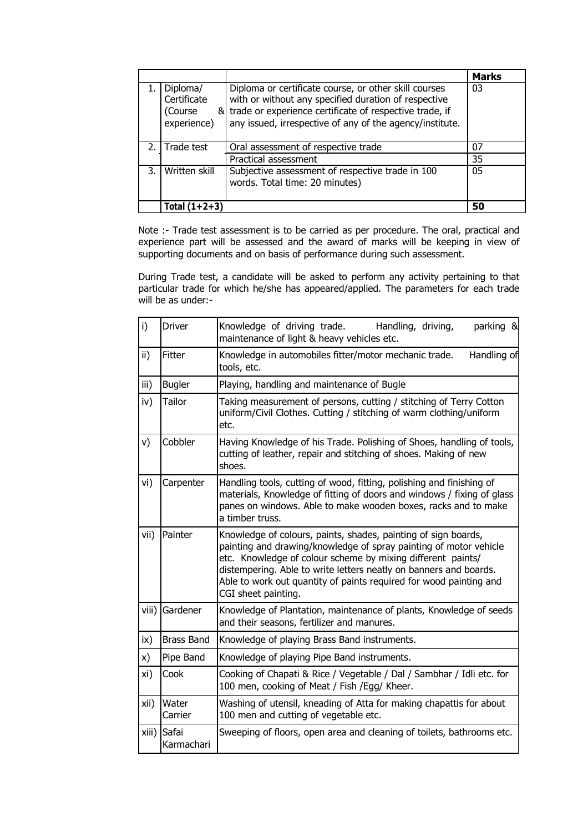|    |                                                   |                                                                                                                                                                                                                                        | <b>Marks</b> |
|----|---------------------------------------------------|----------------------------------------------------------------------------------------------------------------------------------------------------------------------------------------------------------------------------------------|--------------|
|    | Diploma/<br>Certificate<br>(Course<br>experience) | Diploma or certificate course, or other skill courses<br>with or without any specified duration of respective<br>& trade or experience certificate of respective trade, if<br>any issued, irrespective of any of the agency/institute. | 03           |
|    |                                                   |                                                                                                                                                                                                                                        |              |
|    | 2. Trade test                                     | Oral assessment of respective trade                                                                                                                                                                                                    | 07           |
|    |                                                   | Practical assessment                                                                                                                                                                                                                   | 35           |
| 3. | Written skill                                     | Subjective assessment of respective trade in 100<br>words. Total time: 20 minutes)                                                                                                                                                     | 05           |
|    | Total $(1+2+3)$                                   |                                                                                                                                                                                                                                        | 50           |

Note :- Trade test assessment is to be carried as per procedure. The oral, practical and experience part will be assessed and the award of marks will be keeping in view of supporting documents and on basis of performance during such assessment.

During Trade test, a candidate will be asked to perform any activity pertaining to that particular trade for which he/she has appeared/applied. The parameters for each trade will be as under:-

| i)    | Driver              | Knowledge of driving trade. Handling, driving,<br>parking &<br>maintenance of light & heavy vehicles etc.                                                                                                                                                                                                                                                            |  |  |
|-------|---------------------|----------------------------------------------------------------------------------------------------------------------------------------------------------------------------------------------------------------------------------------------------------------------------------------------------------------------------------------------------------------------|--|--|
| ii)   | Fitter              | Knowledge in automobiles fitter/motor mechanic trade.<br>Handling of<br>tools, etc.                                                                                                                                                                                                                                                                                  |  |  |
| iii)  | <b>Bugler</b>       | Playing, handling and maintenance of Bugle                                                                                                                                                                                                                                                                                                                           |  |  |
| iv)   | Tailor              | Taking measurement of persons, cutting / stitching of Terry Cotton<br>uniform/Civil Clothes. Cutting / stitching of warm clothing/uniform<br>etc.                                                                                                                                                                                                                    |  |  |
| v)    | Cobbler             | Having Knowledge of his Trade. Polishing of Shoes, handling of tools,<br>cutting of leather, repair and stitching of shoes. Making of new<br>shoes.                                                                                                                                                                                                                  |  |  |
| vi)   | Carpenter           | Handling tools, cutting of wood, fitting, polishing and finishing of<br>materials, Knowledge of fitting of doors and windows / fixing of glass<br>panes on windows. Able to make wooden boxes, racks and to make<br>a timber truss.                                                                                                                                  |  |  |
| vii)  | Painter             | Knowledge of colours, paints, shades, painting of sign boards,<br>painting and drawing/knowledge of spray painting of motor vehicle<br>etc. Knowledge of colour scheme by mixing different paints/<br>distempering. Able to write letters neatly on banners and boards.<br>Able to work out quantity of paints required for wood painting and<br>CGI sheet painting. |  |  |
| viii) | Gardener            | Knowledge of Plantation, maintenance of plants, Knowledge of seeds<br>and their seasons, fertilizer and manures.                                                                                                                                                                                                                                                     |  |  |
| ix)   | <b>Brass Band</b>   | Knowledge of playing Brass Band instruments.                                                                                                                                                                                                                                                                                                                         |  |  |
| x)    | Pipe Band           | Knowledge of playing Pipe Band instruments.                                                                                                                                                                                                                                                                                                                          |  |  |
| xi)   | Cook                | Cooking of Chapati & Rice / Vegetable / Dal / Sambhar / Idli etc. for<br>100 men, cooking of Meat / Fish /Egg/ Kheer.                                                                                                                                                                                                                                                |  |  |
| xii)  | Water<br>Carrier    | Washing of utensil, kneading of Atta for making chapattis for about<br>100 men and cutting of vegetable etc.                                                                                                                                                                                                                                                         |  |  |
| xiii) | Safai<br>Karmachari | Sweeping of floors, open area and cleaning of toilets, bathrooms etc.                                                                                                                                                                                                                                                                                                |  |  |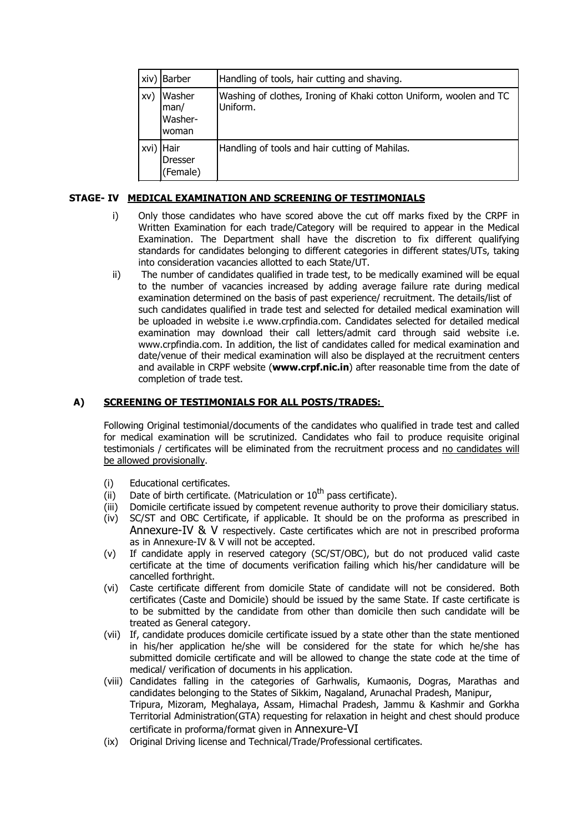| xiv) | <b>Barber</b>                      | Handling of tools, hair cutting and shaving.                                   |
|------|------------------------------------|--------------------------------------------------------------------------------|
| XV)  | Washer<br>man/<br>Washer-<br>woman | Washing of clothes, Ironing of Khaki cotton Uniform, woolen and TC<br>Uniform. |
| xvi) | Hair<br><b>Dresser</b><br>(Female) | Handling of tools and hair cutting of Mahilas.                                 |

## **STAGE- IV MEDICAL EXAMINATION AND SCREENING OF TESTIMONIALS**

- i) Only those candidates who have scored above the cut off marks fixed by the CRPF in Written Examination for each trade/Category will be required to appear in the Medical Examination. The Department shall have the discretion to fix different qualifying standards for candidates belonging to different categories in different states/UTs, taking into consideration vacancies allotted to each State/UT.
- ii) The number of candidates qualified in trade test, to be medically examined will be equal to the number of vacancies increased by adding average failure rate during medical examination determined on the basis of past experience/ recruitment. The details/list of such candidates qualified in trade test and selected for detailed medical examination will be uploaded in website i.e www.crpfindia.com. Candidates selected for detailed medical examination may download their call letters/admit card through said website i.e. www.crpfindia.com. In addition, the list of candidates called for medical examination and date/venue of their medical examination will also be displayed at the recruitment centers and available in CRPF website (**www.crpf.nic.in**) after reasonable time from the date of completion of trade test.

### **A) SCREENING OF TESTIMONIALS FOR ALL POSTS/TRADES:**

Following Original testimonial/documents of the candidates who qualified in trade test and called for medical examination will be scrutinized. Candidates who fail to produce requisite original testimonials / certificates will be eliminated from the recruitment process and no candidates will be allowed provisionally.

- (i) Educational certificates.
- (i) Date of birth certificate. (Matriculation or  $10<sup>th</sup>$  pass certificate).
- (iii) Domicile certificate issued by competent revenue authority to prove their domiciliary status.
- (iv) SC/ST and OBC Certificate, if applicable. It should be on the proforma as prescribed in Annexure-IV & V respectively. Caste certificates which are not in prescribed proforma as in Annexure-IV & V will not be accepted.
- (v) If candidate apply in reserved category (SC/ST/OBC), but do not produced valid caste certificate at the time of documents verification failing which his/her candidature will be cancelled forthright.
- (vi) Caste certificate different from domicile State of candidate will not be considered. Both certificates (Caste and Domicile) should be issued by the same State. If caste certificate is to be submitted by the candidate from other than domicile then such candidate will be treated as General category.
- (vii) If, candidate produces domicile certificate issued by a state other than the state mentioned in his/her application he/she will be considered for the state for which he/she has submitted domicile certificate and will be allowed to change the state code at the time of medical/ verification of documents in his application.
- (viii) Candidates falling in the categories of Garhwalis, Kumaonis, Dogras, Marathas and candidates belonging to the States of Sikkim, Nagaland, Arunachal Pradesh, Manipur, Tripura, Mizoram, Meghalaya, Assam, Himachal Pradesh, Jammu & Kashmir and Gorkha Territorial Administration(GTA) requesting for relaxation in height and chest should produce certificate in proforma/format given in Annexure-VI
- (ix) Original Driving license and Technical/Trade/Professional certificates.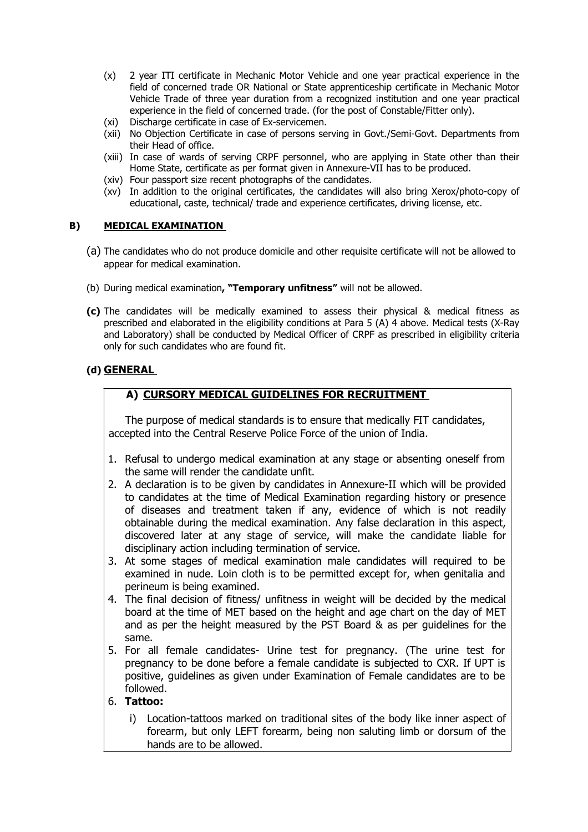- (x) 2 year ITI certificate in Mechanic Motor Vehicle and one year practical experience in the field of concerned trade OR National or State apprenticeship certificate in Mechanic Motor Vehicle Trade of three year duration from a recognized institution and one year practical experience in the field of concerned trade. (for the post of Constable/Fitter only).
- (xi) Discharge certificate in case of Ex-servicemen.
- (xii) No Objection Certificate in case of persons serving in Govt./Semi-Govt. Departments from their Head of office.
- (xiii) In case of wards of serving CRPF personnel, who are applying in State other than their Home State, certificate as per format given in Annexure-VII has to be produced.
- (xiv) Four passport size recent photographs of the candidates.
- (xv) In addition to the original certificates, the candidates will also bring Xerox/photo-copy of educational, caste, technical/ trade and experience certificates, driving license, etc.

#### **B) MEDICAL EXAMINATION**

- (a) The candidates who do not produce domicile and other requisite certificate will not be allowed to appear for medical examination.
- (b) During medical examination**, "Temporary unfitness"** will not be allowed.
- **(c)** The candidates will be medically examined to assess their physical & medical fitness as prescribed and elaborated in the eligibility conditions at Para 5 (A) 4 above. Medical tests (X-Ray and Laboratory) shall be conducted by Medical Officer of CRPF as prescribed in eligibility criteria only for such candidates who are found fit.

## **(d) GENERAL**

# **A) CURSORY MEDICAL GUIDELINES FOR RECRUITMENT**

The purpose of medical standards is to ensure that medically FIT candidates, accepted into the Central Reserve Police Force of the union of India.

- 1. Refusal to undergo medical examination at any stage or absenting oneself from the same will render the candidate unfit.
- 2. A declaration is to be given by candidates in Annexure-II which will be provided to candidates at the time of Medical Examination regarding history or presence of diseases and treatment taken if any, evidence of which is not readily obtainable during the medical examination. Any false declaration in this aspect, discovered later at any stage of service, will make the candidate liable for disciplinary action including termination of service.
- 3. At some stages of medical examination male candidates will required to be examined in nude. Loin cloth is to be permitted except for, when genitalia and perineum is being examined.
- 4. The final decision of fitness/ unfitness in weight will be decided by the medical board at the time of MET based on the height and age chart on the day of MET and as per the height measured by the PST Board & as per guidelines for the same.
- 5. For all female candidates- Urine test for pregnancy. (The urine test for pregnancy to be done before a female candidate is subjected to CXR. If UPT is positive, guidelines as given under Examination of Female candidates are to be followed.

#### 6. **Tattoo:**

i) Location-tattoos marked on traditional sites of the body like inner aspect of forearm, but only LEFT forearm, being non saluting limb or dorsum of the hands are to be allowed.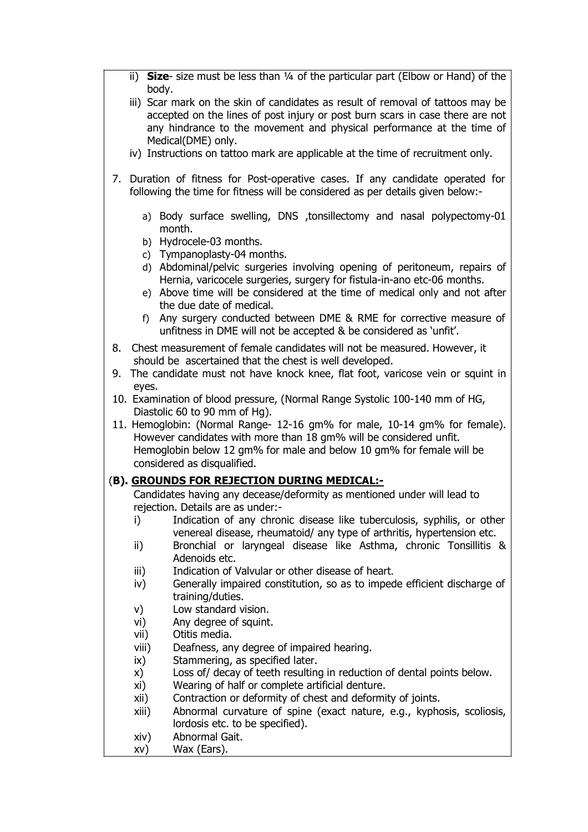- ii) **Size** size must be less than ¼ of the particular part (Elbow or Hand) of the body.
- iii) Scar mark on the skin of candidates as result of removal of tattoos may be accepted on the lines of post injury or post burn scars in case there are not any hindrance to the movement and physical performance at the time of Medical(DME) only.
- iv) Instructions on tattoo mark are applicable at the time of recruitment only.
- 7. Duration of fitness for Post-operative cases. If any candidate operated for following the time for fitness will be considered as per details given below:
	- a) Body surface swelling, DNS ,tonsillectomy and nasal polypectomy-01 month.
	- b) Hydrocele-03 months.
	- c) Tympanoplasty-04 months.
	- d) Abdominal/pelvic surgeries involving opening of peritoneum, repairs of Hernia, varicocele surgeries, surgery for fistula-in-ano etc-06 months.
	- e) Above time will be considered at the time of medical only and not after the due date of medical.
	- f) Any surgery conducted between DME & RME for corrective measure of unfitness in DME will not be accepted & be considered as 'unfit'.
- 8. Chest measurement of female candidates will not be measured. However, it should be ascertained that the chest is well developed.
- 9. The candidate must not have knock knee, flat foot, varicose vein or squint in eyes.
- 10. Examination of blood pressure, (Normal Range Systolic 100-140 mm of HG, Diastolic 60 to 90 mm of Hg).
- 11. Hemoglobin: (Normal Range- 12-16 gm% for male, 10-14 gm% for female). However candidates with more than 18 gm% will be considered unfit. Hemoglobin below 12 gm% for male and below 10 gm% for female will be considered as disqualified.

# (**B). GROUNDS FOR REJECTION DURING MEDICAL:-**

Candidates having any decease/deformity as mentioned under will lead to rejection. Details are as under:-

- i) Indication of any chronic disease like tuberculosis, syphilis, or other venereal disease, rheumatoid/ any type of arthritis, hypertension etc.
- ii) Bronchial or laryngeal disease like Asthma, chronic Tonsillitis & Adenoids etc.
- iii) Indication of Valvular or other disease of heart.
- iv) Generally impaired constitution, so as to impede efficient discharge of training/duties.
- v) Low standard vision.
- vi) Any degree of squint.
- vii) Otitis media.
- viii) Deafness, any degree of impaired hearing.
- ix) Stammering, as specified later.
- x) Loss of/ decay of teeth resulting in reduction of dental points below.
- xi) Wearing of half or complete artificial denture.
- xii) Contraction or deformity of chest and deformity of joints.
- xiii) Abnormal curvature of spine (exact nature, e.g., kyphosis, scoliosis, lordosis etc. to be specified).
- xiv) Abnormal Gait.
- xv) Wax (Ears).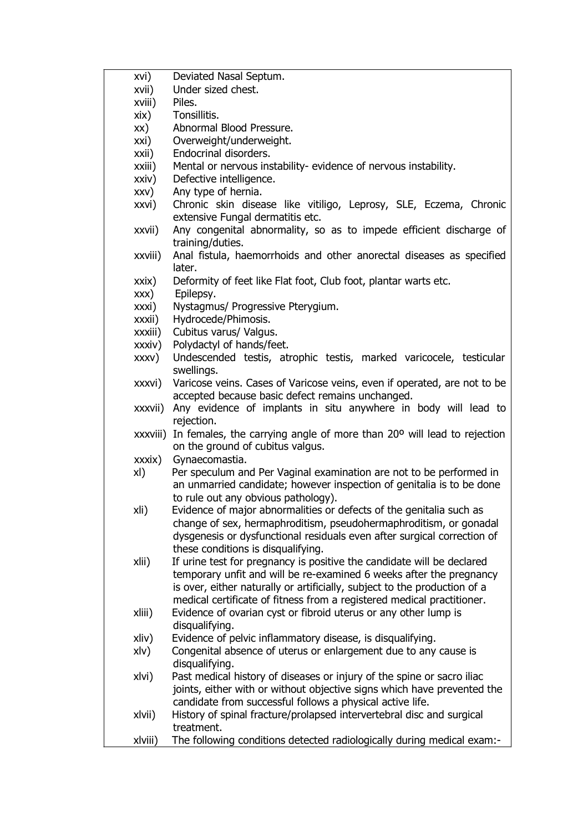| xvi)    | Deviated Nasal Septum.                                                                                                                       |
|---------|----------------------------------------------------------------------------------------------------------------------------------------------|
| xvii)   | Under sized chest.                                                                                                                           |
| xviii)  | Piles.                                                                                                                                       |
| xix)    | Tonsillitis.                                                                                                                                 |
| XX)     | Abnormal Blood Pressure.                                                                                                                     |
| xxi)    | Overweight/underweight.                                                                                                                      |
| xxii)   | Endocrinal disorders.                                                                                                                        |
| xxiii)  | Mental or nervous instability- evidence of nervous instability.                                                                              |
| xxiv)   | Defective intelligence.                                                                                                                      |
| XXV)    | Any type of hernia.                                                                                                                          |
| xxvi)   | Chronic skin disease like vitiligo, Leprosy, SLE, Eczema, Chronic                                                                            |
|         | extensive Fungal dermatitis etc.                                                                                                             |
| xxvii)  | Any congenital abnormality, so as to impede efficient discharge of<br>training/duties.                                                       |
| xxviii) | Anal fistula, haemorrhoids and other anorectal diseases as specified                                                                         |
|         | later.                                                                                                                                       |
| xxix)   | Deformity of feet like Flat foot, Club foot, plantar warts etc.                                                                              |
| XXX)    | Epilepsy.                                                                                                                                    |
| xxxi)   | Nystagmus/ Progressive Pterygium.                                                                                                            |
| xxxii)  | Hydrocede/Phimosis.                                                                                                                          |
| xxxiii) | Cubitus varus/ Valgus.                                                                                                                       |
| xxxiv)  | Polydactyl of hands/feet.                                                                                                                    |
| XXXV)   | Undescended testis, atrophic testis, marked varicocele, testicular<br>swellings.                                                             |
| xxxvi)  | Varicose veins. Cases of Varicose veins, even if operated, are not to be<br>accepted because basic defect remains unchanged.                 |
| xxxvii) | Any evidence of implants in situ anywhere in body will lead to                                                                               |
|         | rejection.                                                                                                                                   |
|         | xxxviii) In females, the carrying angle of more than 20° will lead to rejection                                                              |
|         | on the ground of cubitus valgus.                                                                                                             |
| xxxix)  | Gynaecomastia.                                                                                                                               |
| xI)     | Per speculum and Per Vaginal examination are not to be performed in<br>an unmarried candidate; however inspection of genitalia is to be done |
|         | to rule out any obvious pathology).                                                                                                          |
| xli)    | Evidence of major abnormalities or defects of the genitalia such as                                                                          |
|         | change of sex, hermaphroditism, pseudohermaphroditism, or gonadal                                                                            |
|         | dysgenesis or dysfunctional residuals even after surgical correction of                                                                      |
|         | these conditions is disqualifying.                                                                                                           |
| xlii)   | If urine test for pregnancy is positive the candidate will be declared                                                                       |
|         | temporary unfit and will be re-examined 6 weeks after the pregnancy                                                                          |
|         | is over, either naturally or artificially, subject to the production of a                                                                    |
|         | medical certificate of fitness from a registered medical practitioner.                                                                       |
| xliii)  | Evidence of ovarian cyst or fibroid uterus or any other lump is<br>disqualifying.                                                            |
| xliv)   | Evidence of pelvic inflammatory disease, is disqualifying.                                                                                   |
| xlv)    | Congenital absence of uterus or enlargement due to any cause is<br>disqualifying.                                                            |
| xlvi)   | Past medical history of diseases or injury of the spine or sacro iliac                                                                       |
|         | joints, either with or without objective signs which have prevented the                                                                      |
|         | candidate from successful follows a physical active life.                                                                                    |
| xlvii)  | History of spinal fracture/prolapsed intervertebral disc and surgical<br>treatment.                                                          |
| xlviii) | The following conditions detected radiologically during medical exam:-                                                                       |
|         |                                                                                                                                              |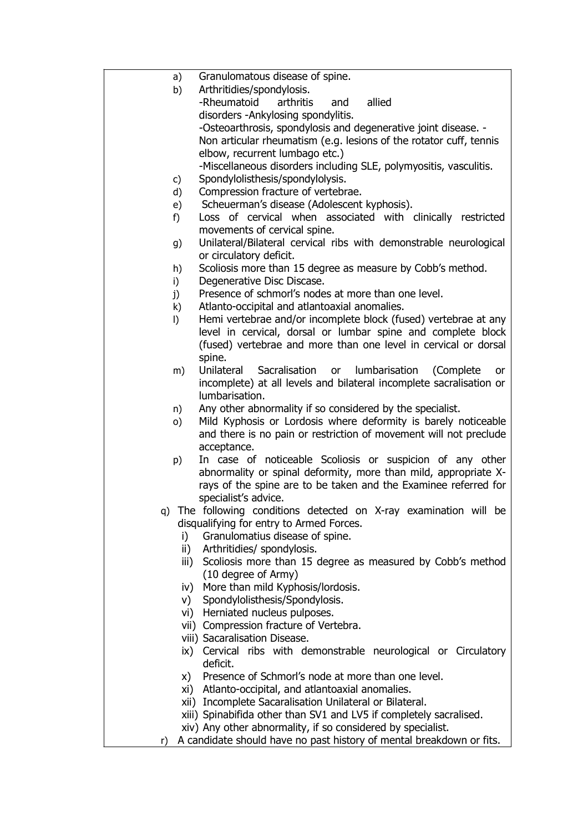| a)             | Granulomatous disease of spine.                                                                                  |
|----------------|------------------------------------------------------------------------------------------------------------------|
| b)             | Arthritidies/spondylosis.                                                                                        |
|                | -Rheumatoid<br>arthritis<br>and<br>allied                                                                        |
|                | disorders - Ankylosing spondylitis.                                                                              |
|                | -Osteoarthrosis, spondylosis and degenerative joint disease. -                                                   |
|                | Non articular rheumatism (e.g. lesions of the rotator cuff, tennis                                               |
|                | elbow, recurrent lumbago etc.)                                                                                   |
|                | -Miscellaneous disorders including SLE, polymyositis, vasculitis.                                                |
| c)             | Spondylolisthesis/spondylolysis.                                                                                 |
| d)             | Compression fracture of vertebrae.                                                                               |
| e)             | Scheuerman's disease (Adolescent kyphosis).                                                                      |
| f)             | Loss of cervical when associated with clinically restricted                                                      |
|                | movements of cervical spine.                                                                                     |
| g)             | Unilateral/Bilateral cervical ribs with demonstrable neurological                                                |
|                | or circulatory deficit.                                                                                          |
| h)             | Scoliosis more than 15 degree as measure by Cobb's method.                                                       |
| i)             | Degenerative Disc Discase.<br>Presence of schmorl's nodes at more than one level.                                |
| j)             |                                                                                                                  |
| k)             | Atlanto-occipital and atlantoaxial anomalies.<br>Hemi vertebrae and/or incomplete block (fused) vertebrae at any |
| $\vert$        | level in cervical, dorsal or lumbar spine and complete block                                                     |
|                | (fused) vertebrae and more than one level in cervical or dorsal                                                  |
|                | spine.                                                                                                           |
| m)             | Unilateral Sacralisation<br>lumbarisation<br>or<br>(Complete)<br>or                                              |
|                | incomplete) at all levels and bilateral incomplete sacralisation or                                              |
|                | lumbarisation.                                                                                                   |
| n)             | Any other abnormality if so considered by the specialist.                                                        |
| $\circ$ )      | Mild Kyphosis or Lordosis where deformity is barely noticeable                                                   |
|                | and there is no pain or restriction of movement will not preclude                                                |
|                | acceptance.                                                                                                      |
| p)             | In case of noticeable Scoliosis or suspicion of any other                                                        |
|                | abnormality or spinal deformity, more than mild, appropriate X-                                                  |
|                | rays of the spine are to be taken and the Examinee referred for                                                  |
|                | specialist's advice.                                                                                             |
| q)             | The following conditions detected on X-ray examination will be                                                   |
|                | disqualifying for entry to Armed Forces.                                                                         |
| i)             | Granulomatius disease of spine.                                                                                  |
| ii)            | Arthritidies/ spondylosis.                                                                                       |
| iii)           | Scoliosis more than 15 degree as measured by Cobb's method                                                       |
|                | (10 degree of Army)                                                                                              |
|                | iv) More than mild Kyphosis/lordosis.                                                                            |
|                | v) Spondylolisthesis/Spondylosis.                                                                                |
|                | vi) Herniated nucleus pulposes.                                                                                  |
|                | vii) Compression fracture of Vertebra.                                                                           |
|                | viii) Sacaralisation Disease.                                                                                    |
| $\mathsf{ix})$ | Cervical ribs with demonstrable neurological or Circulatory                                                      |
|                | deficit.                                                                                                         |
| X)             | Presence of Schmorl's node at more than one level.                                                               |
|                | xi) Atlanto-occipital, and atlantoaxial anomalies.                                                               |
|                | xii) Incomplete Sacaralisation Unilateral or Bilateral.                                                          |
|                | xiii) Spinabifida other than SV1 and LV5 if completely sacralised.                                               |

xiv) Any other abnormality, if so considered by specialist. r) A candidate should have no past history of mental breakdown or fits.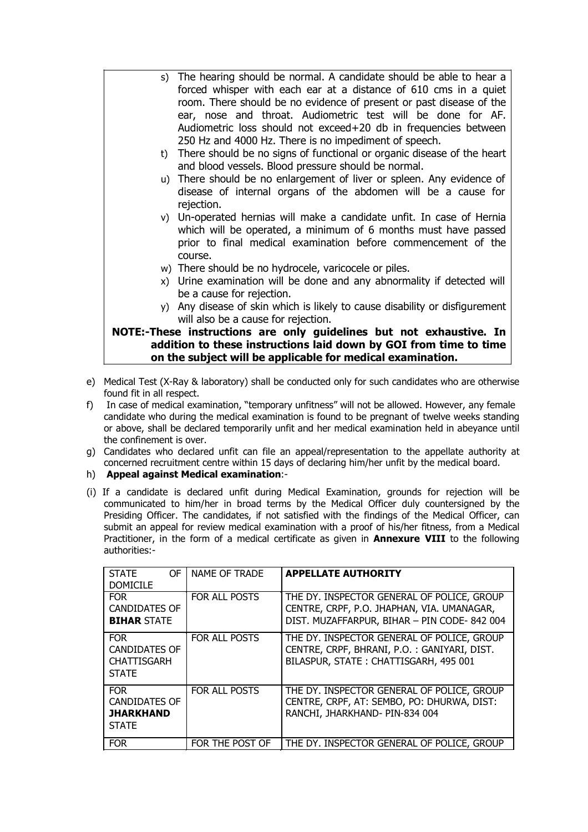- s) The hearing should be normal. A candidate should be able to hear a forced whisper with each ear at a distance of 610 cms in a quiet room. There should be no evidence of present or past disease of the ear, nose and throat. Audiometric test will be done for AF. Audiometric loss should not exceed+20 db in frequencies between 250 Hz and 4000 Hz. There is no impediment of speech.
	- t) There should be no signs of functional or organic disease of the heart and blood vessels. Blood pressure should be normal.
	- u) There should be no enlargement of liver or spleen. Any evidence of disease of internal organs of the abdomen will be a cause for rejection.
	- v) Un-operated hernias will make a candidate unfit. In case of Hernia which will be operated, a minimum of 6 months must have passed prior to final medical examination before commencement of the course.
	- w) There should be no hydrocele, varicocele or piles.
	- x) Urine examination will be done and any abnormality if detected will be a cause for rejection.
	- y) Any disease of skin which is likely to cause disability or disfigurement will also be a cause for rejection.

## **NOTE:-These instructions are only guidelines but not exhaustive. In addition to these instructions laid down by GOI from time to time on the subject will be applicable for medical examination.**

- e) Medical Test (X-Ray & laboratory) shall be conducted only for such candidates who are otherwise found fit in all respect.
- f) In case of medical examination, "temporary unfitness" will not be allowed. However, any female candidate who during the medical examination is found to be pregnant of twelve weeks standing or above, shall be declared temporarily unfit and her medical examination held in abeyance until the confinement is over.
- g) Candidates who declared unfit can file an appeal/representation to the appellate authority at concerned recruitment centre within 15 days of declaring him/her unfit by the medical board.
- h) **Appeal against Medical examination**:-
- (i) If a candidate is declared unfit during Medical Examination, grounds for rejection will be communicated to him/her in broad terms by the Medical Officer duly countersigned by the Presiding Officer. The candidates, if not satisfied with the findings of the Medical Officer, can submit an appeal for review medical examination with a proof of his/her fitness, from a Medical Practitioner, in the form of a medical certificate as given in **Annexure VIII** to the following authorities:-

| <b>STATE</b><br><b>DOMICILE</b>                                          | OF I NAME OF TRADE | <b>APPELLATE AUTHORITY</b>                                                                                                               |
|--------------------------------------------------------------------------|--------------------|------------------------------------------------------------------------------------------------------------------------------------------|
| <b>FOR</b><br><b>CANDIDATES OF</b><br><b>BIHAR STATE</b>                 | FOR ALL POSTS      | THE DY. INSPECTOR GENERAL OF POLICE, GROUP<br>CENTRE, CRPF, P.O. JHAPHAN, VIA. UMANAGAR,<br>DIST. MUZAFFARPUR, BIHAR - PIN CODE- 842 004 |
| <b>FOR</b><br><b>CANDIDATES OF</b><br><b>CHATTISGARH</b><br><b>STATE</b> | FOR ALL POSTS      | THE DY. INSPECTOR GENERAL OF POLICE, GROUP<br>CENTRE, CRPF, BHRANI, P.O.: GANIYARI, DIST.<br>BILASPUR, STATE: CHATTISGARH, 495 001       |
| <b>FOR</b><br><b>CANDIDATES OF</b><br><b>JHARKHAND</b><br><b>STATE</b>   | FOR ALL POSTS      | THE DY. INSPECTOR GENERAL OF POLICE, GROUP<br>CENTRE, CRPF, AT: SEMBO, PO: DHURWA, DIST:<br>RANCHI, JHARKHAND- PIN-834 004               |
| <b>FOR</b>                                                               | FOR THE POST OF    | THE DY. INSPECTOR GENERAL OF POLICE, GROUP                                                                                               |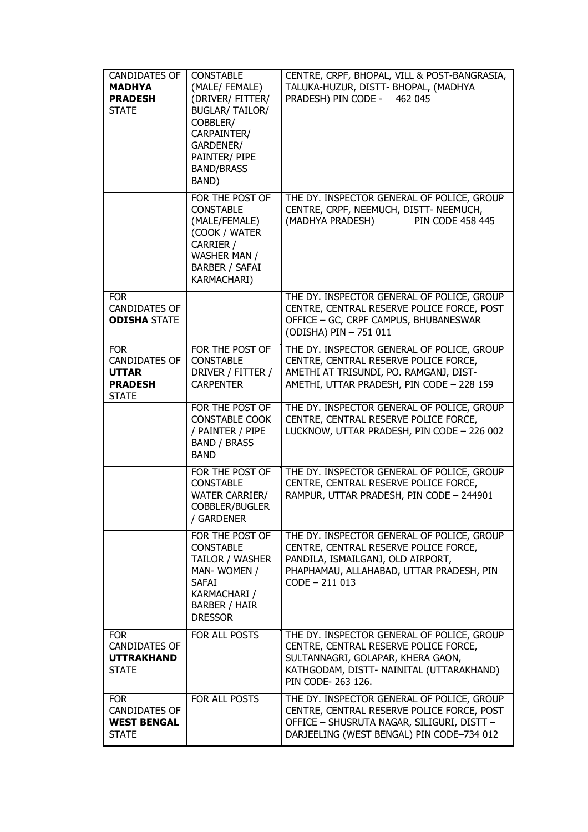| <b>CANDIDATES OF</b><br><b>MADHYA</b><br><b>PRADESH</b><br><b>STATE</b>              | <b>CONSTABLE</b><br>(MALE/ FEMALE)<br>(DRIVER/ FITTER/<br><b>BUGLAR/ TAILOR/</b><br>COBBLER/<br>CARPAINTER/<br>GARDENER/<br>PAINTER/ PIPE<br><b>BAND/BRASS</b><br>BAND) | CENTRE, CRPF, BHOPAL, VILL & POST-BANGRASIA,<br>TALUKA-HUZUR, DISTT- BHOPAL, (MADHYA<br>PRADESH) PIN CODE -<br>462 045                                                                     |
|--------------------------------------------------------------------------------------|-------------------------------------------------------------------------------------------------------------------------------------------------------------------------|--------------------------------------------------------------------------------------------------------------------------------------------------------------------------------------------|
|                                                                                      | FOR THE POST OF<br><b>CONSTABLE</b><br>(MALE/FEMALE)<br>(COOK / WATER<br>CARRIER /<br>WASHER MAN /<br><b>BARBER / SAFAI</b><br>KARMACHARI)                              | THE DY. INSPECTOR GENERAL OF POLICE, GROUP<br>CENTRE, CRPF, NEEMUCH, DISTT- NEEMUCH,<br>(MADHYA PRADESH)<br><b>PIN CODE 458 445</b>                                                        |
| <b>FOR</b><br><b>CANDIDATES OF</b><br><b>ODISHA STATE</b>                            |                                                                                                                                                                         | THE DY. INSPECTOR GENERAL OF POLICE, GROUP<br>CENTRE, CENTRAL RESERVE POLICE FORCE, POST<br>OFFICE - GC, CRPF CAMPUS, BHUBANESWAR<br>(ODISHA) PIN - 751 011                                |
| <b>FOR</b><br><b>CANDIDATES OF</b><br><b>UTTAR</b><br><b>PRADESH</b><br><b>STATE</b> | FOR THE POST OF<br><b>CONSTABLE</b><br>DRIVER / FITTER /<br><b>CARPENTER</b>                                                                                            | THE DY. INSPECTOR GENERAL OF POLICE, GROUP<br>CENTRE, CENTRAL RESERVE POLICE FORCE,<br>AMETHI AT TRISUNDI, PO. RAMGANJ, DIST-<br>AMETHI, UTTAR PRADESH, PIN CODE - 228 159                 |
|                                                                                      | FOR THE POST OF<br><b>CONSTABLE COOK</b><br>/ PAINTER / PIPE<br><b>BAND / BRASS</b><br><b>BAND</b>                                                                      | THE DY. INSPECTOR GENERAL OF POLICE, GROUP<br>CENTRE, CENTRAL RESERVE POLICE FORCE,<br>LUCKNOW, UTTAR PRADESH, PIN CODE - 226 002                                                          |
|                                                                                      | FOR THE POST OF<br><b>CONSTABLE</b><br><b>WATER CARRIER/</b><br>COBBLER/BUGLER<br>/ GARDENER                                                                            | THE DY. INSPECTOR GENERAL OF POLICE, GROUP<br>CENTRE, CENTRAL RESERVE POLICE FORCE,<br>RAMPUR, UTTAR PRADESH, PIN CODE - 244901                                                            |
|                                                                                      | FOR THE POST OF<br><b>CONSTABLE</b><br>TAILOR / WASHER<br>MAN-WOMEN /<br><b>SAFAI</b><br><b>KARMACHARI /</b><br><b>BARBER / HAIR</b><br><b>DRESSOR</b>                  | THE DY. INSPECTOR GENERAL OF POLICE, GROUP<br>CENTRE, CENTRAL RESERVE POLICE FORCE,<br>PANDILA, ISMAILGANJ, OLD AIRPORT,<br>PHAPHAMAU, ALLAHABAD, UTTAR PRADESH, PIN<br>$CODE - 211013$    |
| <b>FOR</b><br><b>CANDIDATES OF</b><br><b>UTTRAKHAND</b><br><b>STATE</b>              | FOR ALL POSTS                                                                                                                                                           | THE DY. INSPECTOR GENERAL OF POLICE, GROUP<br>CENTRE, CENTRAL RESERVE POLICE FORCE,<br>SULTANNAGRI, GOLAPAR, KHERA GAON,<br>KATHGODAM, DISTT- NAINITAL (UTTARAKHAND)<br>PIN CODE- 263 126. |
| <b>FOR</b><br><b>CANDIDATES OF</b><br><b>WEST BENGAL</b><br><b>STATE</b>             | FOR ALL POSTS                                                                                                                                                           | THE DY. INSPECTOR GENERAL OF POLICE, GROUP<br>CENTRE, CENTRAL RESERVE POLICE FORCE, POST<br>OFFICE - SHUSRUTA NAGAR, SILIGURI, DISTT -<br>DARJEELING (WEST BENGAL) PIN CODE-734 012        |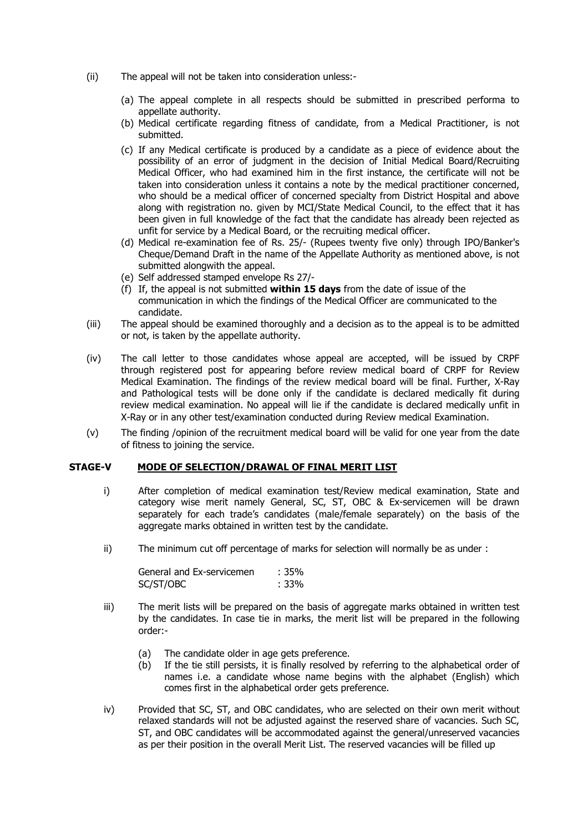- (ii) The appeal will not be taken into consideration unless:-
	- (a) The appeal complete in all respects should be submitted in prescribed performa to appellate authority.
	- (b) Medical certificate regarding fitness of candidate, from a Medical Practitioner, is not submitted.
	- (c) If any Medical certificate is produced by a candidate as a piece of evidence about the possibility of an error of judgment in the decision of Initial Medical Board/Recruiting Medical Officer, who had examined him in the first instance, the certificate will not be taken into consideration unless it contains a note by the medical practitioner concerned, who should be a medical officer of concerned specialty from District Hospital and above along with registration no. given by MCI/State Medical Council, to the effect that it has been given in full knowledge of the fact that the candidate has already been rejected as unfit for service by a Medical Board, or the recruiting medical officer.
	- (d) Medical re-examination fee of Rs. 25/- (Rupees twenty five only) through IPO/Banker's Cheque/Demand Draft in the name of the Appellate Authority as mentioned above, is not submitted alongwith the appeal.
	- (e) Self addressed stamped envelope Rs 27/-
	- (f) If, the appeal is not submitted **within 15 days** from the date of issue of the communication in which the findings of the Medical Officer are communicated to the candidate.
- (iii) The appeal should be examined thoroughly and a decision as to the appeal is to be admitted or not, is taken by the appellate authority.
- (iv) The call letter to those candidates whose appeal are accepted, will be issued by CRPF through registered post for appearing before review medical board of CRPF for Review Medical Examination. The findings of the review medical board will be final. Further, X-Ray and Pathological tests will be done only if the candidate is declared medically fit during review medical examination. No appeal will lie if the candidate is declared medically unfit in X-Ray or in any other test/examination conducted during Review medical Examination.
- (v) The finding /opinion of the recruitment medical board will be valid for one year from the date of fitness to joining the service.

#### **STAGE-V MODE OF SELECTION/DRAWAL OF FINAL MERIT LIST**

- i) After completion of medical examination test/Review medical examination, State and category wise merit namely General, SC, ST, OBC & Ex-servicemen will be drawn separately for each trade's candidates (male/female separately) on the basis of the aggregate marks obtained in written test by the candidate.
- ii) The minimum cut off percentage of marks for selection will normally be as under :

| General and Ex-servicemen | : 35%   |
|---------------------------|---------|
| SC/ST/OBC                 | $:33\%$ |

- iii) The merit lists will be prepared on the basis of aggregate marks obtained in written test by the candidates. In case tie in marks, the merit list will be prepared in the following order:-
	- (a) The candidate older in age gets preference.
	- (b) If the tie still persists, it is finally resolved by referring to the alphabetical order of names i.e. a candidate whose name begins with the alphabet (English) which comes first in the alphabetical order gets preference.
- iv) Provided that SC, ST, and OBC candidates, who are selected on their own merit without relaxed standards will not be adjusted against the reserved share of vacancies. Such SC, ST, and OBC candidates will be accommodated against the general/unreserved vacancies as per their position in the overall Merit List. The reserved vacancies will be filled up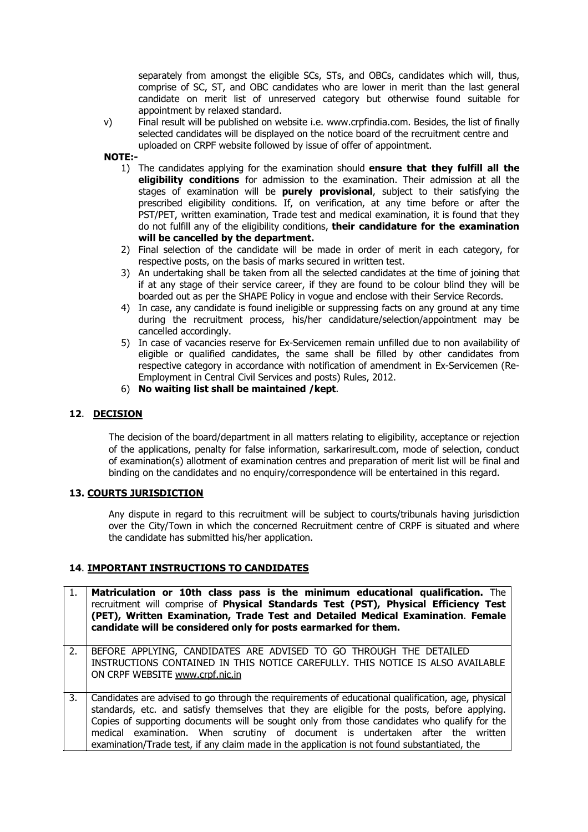separately from amongst the eligible SCs, STs, and OBCs, candidates which will, thus, comprise of SC, ST, and OBC candidates who are lower in merit than the last general candidate on merit list of unreserved category but otherwise found suitable for appointment by relaxed standard.

v) Final result will be published on website i.e. www.crpfindia.com. Besides, the list of finally selected candidates will be displayed on the notice board of the recruitment centre and uploaded on CRPF website followed by issue of offer of appointment.

**NOTE:-**

- 1) The candidates applying for the examination should **ensure that they fulfill all the eligibility conditions** for admission to the examination. Their admission at all the stages of examination will be **purely provisional**, subject to their satisfying the prescribed eligibility conditions. If, on verification, at any time before or after the PST/PET, written examination, Trade test and medical examination, it is found that they do not fulfill any of the eligibility conditions, **their candidature for the examination will be cancelled by the department.**
- 2) Final selection of the candidate will be made in order of merit in each category, for respective posts, on the basis of marks secured in written test.
- 3) An undertaking shall be taken from all the selected candidates at the time of joining that if at any stage of their service career, if they are found to be colour blind they will be boarded out as per the SHAPE Policy in vogue and enclose with their Service Records.
- 4) In case, any candidate is found ineligible or suppressing facts on any ground at any time during the recruitment process, his/her candidature/selection/appointment may be cancelled accordingly.
- 5) In case of vacancies reserve for Ex-Servicemen remain unfilled due to non availability of eligible or qualified candidates, the same shall be filled by other candidates from respective category in accordance with notification of amendment in Ex-Servicemen (Re-Employment in Central Civil Services and posts) Rules, 2012.
- 6) **No waiting list shall be maintained /kept**.

#### **12**. **DECISION**

The decision of the board/department in all matters relating to eligibility, acceptance or rejection of the applications, penalty for false information, sarkariresult.com, mode of selection, conduct of examination(s) allotment of examination centres and preparation of merit list will be final and binding on the candidates and no enquiry/correspondence will be entertained in this regard.

#### **13. COURTS JURISDICTION**

Any dispute in regard to this recruitment will be subject to courts/tribunals having jurisdiction over the City/Town in which the concerned Recruitment centre of CRPF is situated and where the candidate has submitted his/her application.

#### **14**. **IMPORTANT INSTRUCTIONS TO CANDIDATES**

- 1. **Matriculation or 10th class pass is the minimum educational qualification.** The recruitment will comprise of **Physical Standards Test (PST), Physical Efficiency Test (PET), Written Examination, Trade Test and Detailed Medical Examination**. **Female candidate will be considered only for posts earmarked for them.**  2. BEFORE APPLYING, CANDIDATES ARE ADVISED TO GO THROUGH THE DETAILED INSTRUCTIONS CONTAINED IN THIS NOTICE CAREFULLY. THIS NOTICE IS ALSO AVAILABLE ON CRPF WEBSITE www.crpf.nic.in 3. Candidates are advised to go through the requirements of educational qualification, age, physical
- standards, etc. and satisfy themselves that they are eligible for the posts, before applying. Copies of supporting documents will be sought only from those candidates who qualify for the medical examination. When scrutiny of document is undertaken after the written examination/Trade test, if any claim made in the application is not found substantiated, the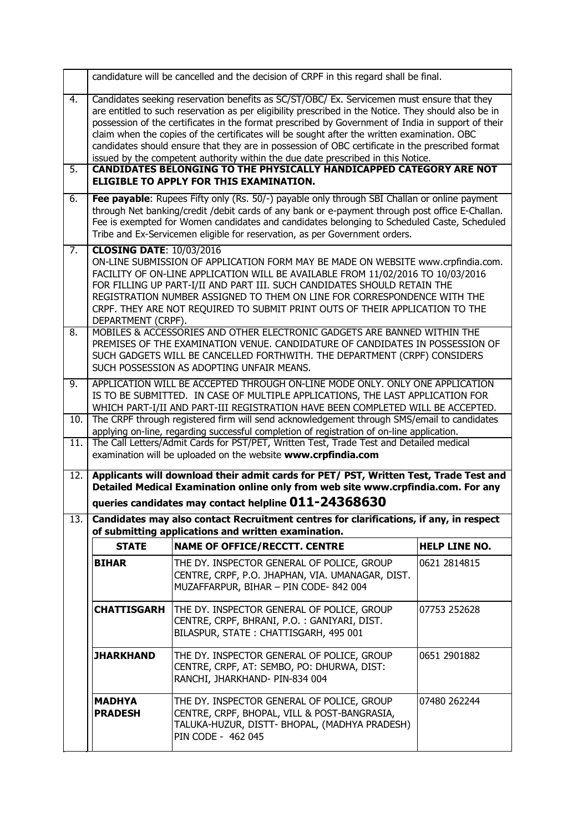|                        |                                                       | candidature will be cancelled and the decision of CRPF in this regard shall be final.                                                                                                                                                                                                                                                                                                                                                                                                                                                                                                                                                                                                                                    |                      |
|------------------------|-------------------------------------------------------|--------------------------------------------------------------------------------------------------------------------------------------------------------------------------------------------------------------------------------------------------------------------------------------------------------------------------------------------------------------------------------------------------------------------------------------------------------------------------------------------------------------------------------------------------------------------------------------------------------------------------------------------------------------------------------------------------------------------------|----------------------|
| 4.<br>5.               |                                                       | Candidates seeking reservation benefits as SC/ST/OBC/ Ex. Servicemen must ensure that they<br>are entitled to such reservation as per eligibility prescribed in the Notice. They should also be in<br>possession of the certificates in the format prescribed by Government of India in support of their<br>claim when the copies of the certificates will be sought after the written examination. OBC<br>candidates should ensure that they are in possession of OBC certificate in the prescribed format<br>issued by the competent authority within the due date prescribed in this Notice.<br><b>CANDIDATES BELONGING TO THE PHYSICALLY HANDICAPPED CATEGORY ARE NOT</b><br>ELIGIBLE TO APPLY FOR THIS EXAMINATION. |                      |
| 6.                     |                                                       | Fee payable: Rupees Fifty only (Rs. 50/-) payable only through SBI Challan or online payment<br>through Net banking/credit /debit cards of any bank or e-payment through post office E-Challan.<br>Fee is exempted for Women candidates and candidates belonging to Scheduled Caste, Scheduled<br>Tribe and Ex-Servicemen eligible for reservation, as per Government orders.                                                                                                                                                                                                                                                                                                                                            |                      |
| 7.<br>$\overline{8}$ . | <b>CLOSING DATE: 10/03/2016</b><br>DEPARTMENT (CRPF). | ON-LINE SUBMISSION OF APPLICATION FORM MAY BE MADE ON WEBSITE www.crpfindia.com.<br>FACILITY OF ON-LINE APPLICATION WILL BE AVAILABLE FROM 11/02/2016 TO 10/03/2016<br>FOR FILLING UP PART-I/II AND PART III. SUCH CANDIDATES SHOULD RETAIN THE<br>REGISTRATION NUMBER ASSIGNED TO THEM ON LINE FOR CORRESPONDENCE WITH THE<br>CRPF. THEY ARE NOT REQUIRED TO SUBMIT PRINT OUTS OF THEIR APPLICATION TO THE<br>MOBILES & ACCESSORIES AND OTHER ELECTRONIC GADGETS ARE BANNED WITHIN THE                                                                                                                                                                                                                                  |                      |
|                        |                                                       | PREMISES OF THE EXAMINATION VENUE. CANDIDATURE OF CANDIDATES IN POSSESSION OF<br>SUCH GADGETS WILL BE CANCELLED FORTHWITH. THE DEPARTMENT (CRPF) CONSIDERS<br>SUCH POSSESSION AS ADOPTING UNFAIR MEANS.                                                                                                                                                                                                                                                                                                                                                                                                                                                                                                                  |                      |
| 9.                     |                                                       | APPLICATION WILL BE ACCEPTED THROUGH ON-LINE MODE ONLY. ONLY ONE APPLICATION<br>IS TO BE SUBMITTED. IN CASE OF MULTIPLE APPLICATIONS, THE LAST APPLICATION FOR<br>WHICH PART-I/II AND PART-III REGISTRATION HAVE BEEN COMPLETED WILL BE ACCEPTED.                                                                                                                                                                                                                                                                                                                                                                                                                                                                        |                      |
| 10.<br>11.             |                                                       | The CRPF through registered firm will send acknowledgement through SMS/email to candidates<br>applying on-line, regarding successful completion of registration of on-line application.<br>The Call Letters/Admit Cards for PST/PET, Written Test, Trade Test and Detailed medical<br>examination will be uploaded on the website www.crpfindia.com                                                                                                                                                                                                                                                                                                                                                                      |                      |
| 12.                    |                                                       | Applicants will download their admit cards for PET/ PST, Written Test, Trade Test and<br>Detailed Medical Examination online only from web site www.crpfindia.com. For any<br>queries candidates may contact helpline 011-24368630                                                                                                                                                                                                                                                                                                                                                                                                                                                                                       |                      |
| 13.                    |                                                       | Candidates may also contact Recruitment centres for clarifications, if any, in respect<br>of submitting applications and written examination.                                                                                                                                                                                                                                                                                                                                                                                                                                                                                                                                                                            |                      |
|                        | <b>STATE</b>                                          | <b>NAME OF OFFICE/RECCTT. CENTRE</b>                                                                                                                                                                                                                                                                                                                                                                                                                                                                                                                                                                                                                                                                                     | <b>HELP LINE NO.</b> |
|                        | <b>BIHAR</b>                                          | THE DY. INSPECTOR GENERAL OF POLICE, GROUP<br>CENTRE, CRPF, P.O. JHAPHAN, VIA. UMANAGAR, DIST.<br>MUZAFFARPUR, BIHAR - PIN CODE- 842 004                                                                                                                                                                                                                                                                                                                                                                                                                                                                                                                                                                                 | 0621 2814815         |
|                        | <b>CHATTISGARH</b>                                    | THE DY. INSPECTOR GENERAL OF POLICE, GROUP<br>CENTRE, CRPF, BHRANI, P.O. : GANIYARI, DIST.<br>BILASPUR, STATE: CHATTISGARH, 495 001                                                                                                                                                                                                                                                                                                                                                                                                                                                                                                                                                                                      | 07753 252628         |
|                        | <b>JHARKHAND</b>                                      | THE DY. INSPECTOR GENERAL OF POLICE, GROUP<br>CENTRE, CRPF, AT: SEMBO, PO: DHURWA, DIST:<br>RANCHI, JHARKHAND- PIN-834 004                                                                                                                                                                                                                                                                                                                                                                                                                                                                                                                                                                                               | 0651 2901882         |
|                        | <b>MADHYA</b><br><b>PRADESH</b>                       | THE DY. INSPECTOR GENERAL OF POLICE, GROUP<br>CENTRE, CRPF, BHOPAL, VILL & POST-BANGRASIA,<br>TALUKA-HUZUR, DISTT- BHOPAL, (MADHYA PRADESH)<br>PIN CODE - 462 045                                                                                                                                                                                                                                                                                                                                                                                                                                                                                                                                                        | 07480 262244         |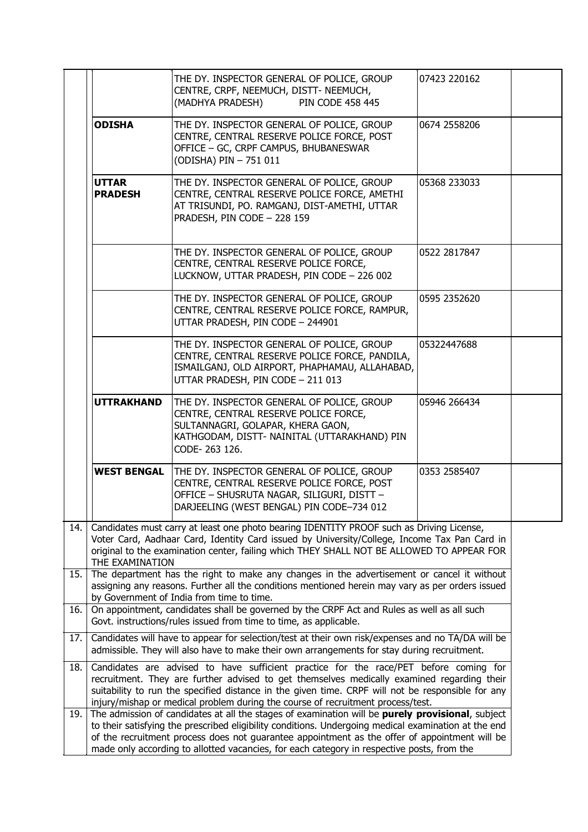|     |                                | THE DY. INSPECTOR GENERAL OF POLICE, GROUP<br>CENTRE, CRPF, NEEMUCH, DISTT- NEEMUCH,<br><b>PIN CODE 458 445</b><br>(MADHYA PRADESH)                                                                                                                                                                                                                                                                     | 07423 220162 |  |
|-----|--------------------------------|---------------------------------------------------------------------------------------------------------------------------------------------------------------------------------------------------------------------------------------------------------------------------------------------------------------------------------------------------------------------------------------------------------|--------------|--|
|     | <b>ODISHA</b>                  | THE DY. INSPECTOR GENERAL OF POLICE, GROUP<br>CENTRE, CENTRAL RESERVE POLICE FORCE, POST<br>OFFICE - GC, CRPF CAMPUS, BHUBANESWAR<br>(ODISHA) PIN - 751 011                                                                                                                                                                                                                                             | 0674 2558206 |  |
|     | <b>UTTAR</b><br><b>PRADESH</b> | THE DY. INSPECTOR GENERAL OF POLICE, GROUP<br>CENTRE, CENTRAL RESERVE POLICE FORCE, AMETHI<br>AT TRISUNDI, PO. RAMGANJ, DIST-AMETHI, UTTAR<br>PRADESH, PIN CODE - 228 159                                                                                                                                                                                                                               | 05368 233033 |  |
|     |                                | THE DY. INSPECTOR GENERAL OF POLICE, GROUP<br>CENTRE, CENTRAL RESERVE POLICE FORCE,<br>LUCKNOW, UTTAR PRADESH, PIN CODE - 226 002                                                                                                                                                                                                                                                                       | 0522 2817847 |  |
|     |                                | THE DY. INSPECTOR GENERAL OF POLICE, GROUP<br>CENTRE, CENTRAL RESERVE POLICE FORCE, RAMPUR,<br>UTTAR PRADESH, PIN CODE - 244901                                                                                                                                                                                                                                                                         | 0595 2352620 |  |
|     |                                | THE DY. INSPECTOR GENERAL OF POLICE, GROUP<br>CENTRE, CENTRAL RESERVE POLICE FORCE, PANDILA,<br>ISMAILGANJ, OLD AIRPORT, PHAPHAMAU, ALLAHABAD,<br>UTTAR PRADESH, PIN CODE - 211 013                                                                                                                                                                                                                     | 05322447688  |  |
|     | <b>UTTRAKHAND</b>              | THE DY. INSPECTOR GENERAL OF POLICE, GROUP<br>CENTRE, CENTRAL RESERVE POLICE FORCE,<br>SULTANNAGRI, GOLAPAR, KHERA GAON,<br>KATHGODAM, DISTT- NAINITAL (UTTARAKHAND) PIN<br>CODE-263 126.                                                                                                                                                                                                               | 05946 266434 |  |
|     | <b>WEST BENGAL</b>             | THE DY. INSPECTOR GENERAL OF POLICE, GROUP<br>CENTRE, CENTRAL RESERVE POLICE FORCE, POST<br>OFFICE - SHUSRUTA NAGAR, SILIGURI, DISTT -<br>DARJEELING (WEST BENGAL) PIN CODE-734 012                                                                                                                                                                                                                     | 0353 2585407 |  |
| 14. | THE EXAMINATION                | Candidates must carry at least one photo bearing IDENTITY PROOF such as Driving License,<br>Voter Card, Aadhaar Card, Identity Card issued by University/College, Income Tax Pan Card in<br>original to the examination center, failing which THEY SHALL NOT BE ALLOWED TO APPEAR FOR                                                                                                                   |              |  |
| 15. |                                | The department has the right to make any changes in the advertisement or cancel it without<br>assigning any reasons. Further all the conditions mentioned herein may vary as per orders issued<br>by Government of India from time to time.                                                                                                                                                             |              |  |
| 16. |                                | On appointment, candidates shall be governed by the CRPF Act and Rules as well as all such<br>Govt. instructions/rules issued from time to time, as applicable.                                                                                                                                                                                                                                         |              |  |
| 17. |                                | Candidates will have to appear for selection/test at their own risk/expenses and no TA/DA will be<br>admissible. They will also have to make their own arrangements for stay during recruitment.                                                                                                                                                                                                        |              |  |
| 18. |                                | Candidates are advised to have sufficient practice for the race/PET before coming for<br>recruitment. They are further advised to get themselves medically examined regarding their<br>suitability to run the specified distance in the given time. CRPF will not be responsible for any<br>injury/mishap or medical problem during the course of recruitment process/test.                             |              |  |
| 19. |                                | The admission of candidates at all the stages of examination will be purely provisional, subject<br>to their satisfying the prescribed eligibility conditions. Undergoing medical examination at the end<br>of the recruitment process does not guarantee appointment as the offer of appointment will be<br>made only according to allotted vacancies, for each category in respective posts, from the |              |  |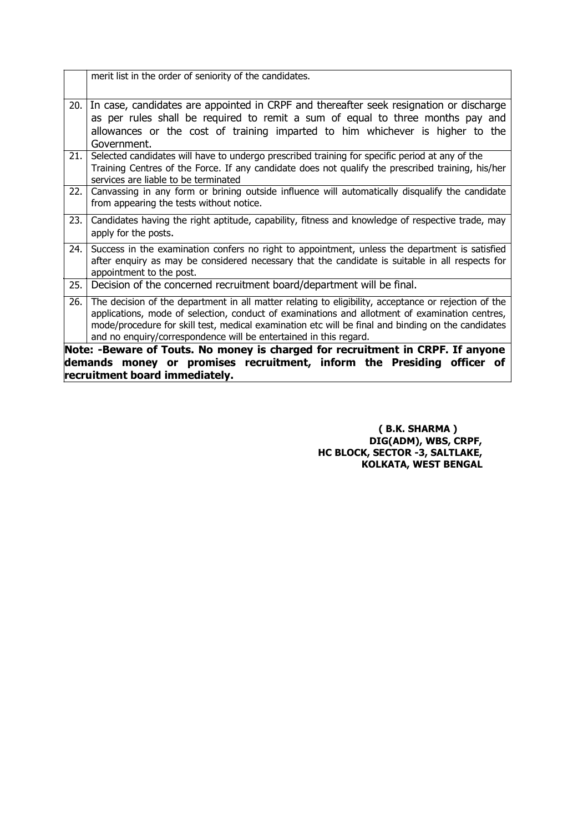|      | merit list in the order of seniority of the candidates.                                                                                                                                                                                                                                                                                                                           |
|------|-----------------------------------------------------------------------------------------------------------------------------------------------------------------------------------------------------------------------------------------------------------------------------------------------------------------------------------------------------------------------------------|
| 20.  | In case, candidates are appointed in CRPF and thereafter seek resignation or discharge<br>as per rules shall be required to remit a sum of equal to three months pay and<br>allowances or the cost of training imparted to him whichever is higher to the<br>Government.                                                                                                          |
| 21.  | Selected candidates will have to undergo prescribed training for specific period at any of the<br>Training Centres of the Force. If any candidate does not qualify the prescribed training, his/her<br>services are liable to be terminated                                                                                                                                       |
| 22.1 | Canvassing in any form or brining outside influence will automatically disqualify the candidate<br>from appearing the tests without notice.                                                                                                                                                                                                                                       |
| 23.  | Candidates having the right aptitude, capability, fitness and knowledge of respective trade, may<br>apply for the posts.                                                                                                                                                                                                                                                          |
| 24.  | Success in the examination confers no right to appointment, unless the department is satisfied<br>after enquiry as may be considered necessary that the candidate is suitable in all respects for<br>appointment to the post.                                                                                                                                                     |
| 25.  | Decision of the concerned recruitment board/department will be final.                                                                                                                                                                                                                                                                                                             |
| 26.  | The decision of the department in all matter relating to eligibility, acceptance or rejection of the<br>applications, mode of selection, conduct of examinations and allotment of examination centres,<br>mode/procedure for skill test, medical examination etc will be final and binding on the candidates<br>and no enquiry/correspondence will be entertained in this regard. |
|      | Note: -Beware of Touts. No money is charged for recruitment in CRPF. If anyone<br>demands money or promises recruitment, inform the Presiding officer of<br>recruitment board immediately.                                                                                                                                                                                        |

**( B.K. SHARMA ) DIG(ADM), WBS, CRPF, HC BLOCK, SECTOR -3, SALTLAKE, KOLKATA, WEST BENGAL**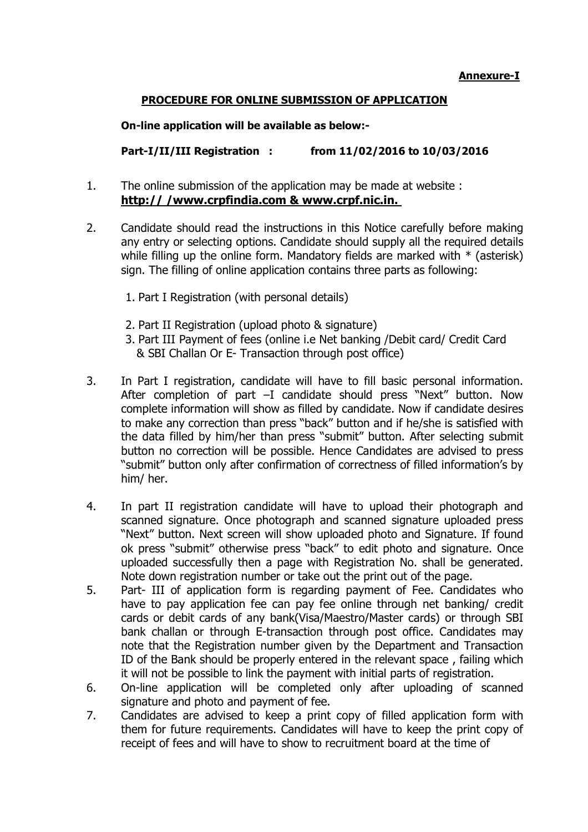## **Annexure-I**

## **PROCEDURE FOR ONLINE SUBMISSION OF APPLICATION**

**On-line application will be available as below:-**

**Part-I/II/III Registration : from 11/02/2016 to 10/03/2016**

- 1. The online submission of the application may be made at website : **http:// /www.crpfindia.com & www.crpf.nic.in.**
- 2. Candidate should read the instructions in this Notice carefully before making any entry or selecting options. Candidate should supply all the required details while filling up the online form. Mandatory fields are marked with  $*$  (asterisk) sign. The filling of online application contains three parts as following:
	- 1. Part I Registration (with personal details)
	- 2. Part II Registration (upload photo & signature)
	- 3. Part III Payment of fees (online i.e Net banking /Debit card/ Credit Card & SBI Challan Or E- Transaction through post office)
- 3. In Part I registration, candidate will have to fill basic personal information. After completion of part –I candidate should press "Next" button. Now complete information will show as filled by candidate. Now if candidate desires to make any correction than press "back" button and if he/she is satisfied with the data filled by him/her than press "submit" button. After selecting submit button no correction will be possible. Hence Candidates are advised to press "submit" button only after confirmation of correctness of filled information's by him/ her.
- 4. In part II registration candidate will have to upload their photograph and scanned signature. Once photograph and scanned signature uploaded press "Next" button. Next screen will show uploaded photo and Signature. If found ok press "submit" otherwise press "back" to edit photo and signature. Once uploaded successfully then a page with Registration No. shall be generated. Note down registration number or take out the print out of the page.
- 5. Part- III of application form is regarding payment of Fee. Candidates who have to pay application fee can pay fee online through net banking/ credit cards or debit cards of any bank(Visa/Maestro/Master cards) or through SBI bank challan or through E-transaction through post office. Candidates may note that the Registration number given by the Department and Transaction ID of the Bank should be properly entered in the relevant space , failing which it will not be possible to link the payment with initial parts of registration.
- 6. On-line application will be completed only after uploading of scanned signature and photo and payment of fee.
- 7. Candidates are advised to keep a print copy of filled application form with them for future requirements. Candidates will have to keep the print copy of receipt of fees and will have to show to recruitment board at the time of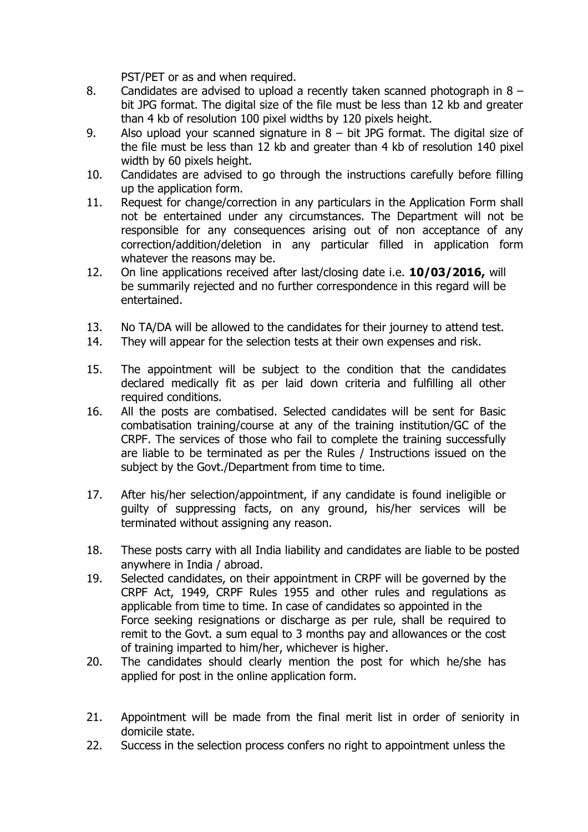PST/PET or as and when required.

- 8. Candidates are advised to upload a recently taken scanned photograph in 8 bit JPG format. The digital size of the file must be less than 12 kb and greater than 4 kb of resolution 100 pixel widths by 120 pixels height.
- 9. Also upload your scanned signature in 8 bit JPG format. The digital size of the file must be less than 12 kb and greater than 4 kb of resolution 140 pixel width by 60 pixels height.
- 10. Candidates are advised to go through the instructions carefully before filling up the application form.
- 11. Request for change/correction in any particulars in the Application Form shall not be entertained under any circumstances. The Department will not be responsible for any consequences arising out of non acceptance of any correction/addition/deletion in any particular filled in application form whatever the reasons may be.
- 12. On line applications received after last/closing date i.e. **10/03/2016,** will be summarily rejected and no further correspondence in this regard will be entertained.
- 13. No TA/DA will be allowed to the candidates for their journey to attend test.
- 14. They will appear for the selection tests at their own expenses and risk.
- 15. The appointment will be subject to the condition that the candidates declared medically fit as per laid down criteria and fulfilling all other required conditions.
- 16. All the posts are combatised. Selected candidates will be sent for Basic combatisation training/course at any of the training institution/GC of the CRPF. The services of those who fail to complete the training successfully are liable to be terminated as per the Rules / Instructions issued on the subject by the Govt./Department from time to time.
- 17. After his/her selection/appointment, if any candidate is found ineligible or guilty of suppressing facts, on any ground, his/her services will be terminated without assigning any reason.
- 18. These posts carry with all India liability and candidates are liable to be posted anywhere in India / abroad.
- 19. Selected candidates, on their appointment in CRPF will be governed by the CRPF Act, 1949, CRPF Rules 1955 and other rules and regulations as applicable from time to time. In case of candidates so appointed in the Force seeking resignations or discharge as per rule, shall be required to remit to the Govt. a sum equal to 3 months pay and allowances or the cost of training imparted to him/her, whichever is higher.
- 20. The candidates should clearly mention the post for which he/she has applied for post in the online application form.
- 21. Appointment will be made from the final merit list in order of seniority in domicile state.
- 22. Success in the selection process confers no right to appointment unless the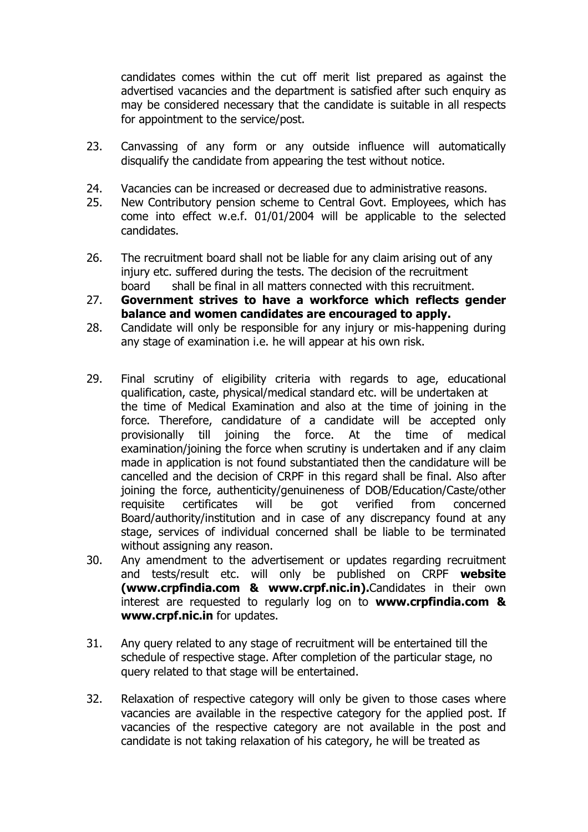candidates comes within the cut off merit list prepared as against the advertised vacancies and the department is satisfied after such enquiry as may be considered necessary that the candidate is suitable in all respects for appointment to the service/post.

- 23. Canvassing of any form or any outside influence will automatically disqualify the candidate from appearing the test without notice.
- 24. Vacancies can be increased or decreased due to administrative reasons.
- 25. New Contributory pension scheme to Central Govt. Employees, which has come into effect w.e.f. 01/01/2004 will be applicable to the selected candidates.
- 26. The recruitment board shall not be liable for any claim arising out of any injury etc. suffered during the tests. The decision of the recruitment board shall be final in all matters connected with this recruitment.
- 27. **Government strives to have a workforce which reflects gender balance and women candidates are encouraged to apply.**
- 28. Candidate will only be responsible for any injury or mis-happening during any stage of examination i.e. he will appear at his own risk.
- 29. Final scrutiny of eligibility criteria with regards to age, educational qualification, caste, physical/medical standard etc. will be undertaken at the time of Medical Examination and also at the time of joining in the force. Therefore, candidature of a candidate will be accepted only provisionally till joining the force. At the time of medical examination/joining the force when scrutiny is undertaken and if any claim made in application is not found substantiated then the candidature will be cancelled and the decision of CRPF in this regard shall be final. Also after joining the force, authenticity/genuineness of DOB/Education/Caste/other requisite certificates will be got verified from concerned Board/authority/institution and in case of any discrepancy found at any stage, services of individual concerned shall be liable to be terminated without assigning any reason.
- 30. Any amendment to the advertisement or updates regarding recruitment and tests/result etc. will only be published on CRPF **website (www.crpfindia.com & www.crpf.nic.in).**Candidates in their own interest are requested to regularly log on to **www.crpfindia.com & www.crpf.nic.in** for updates.
- 31. Any query related to any stage of recruitment will be entertained till the schedule of respective stage. After completion of the particular stage, no query related to that stage will be entertained.
- 32. Relaxation of respective category will only be given to those cases where vacancies are available in the respective category for the applied post. If vacancies of the respective category are not available in the post and candidate is not taking relaxation of his category, he will be treated as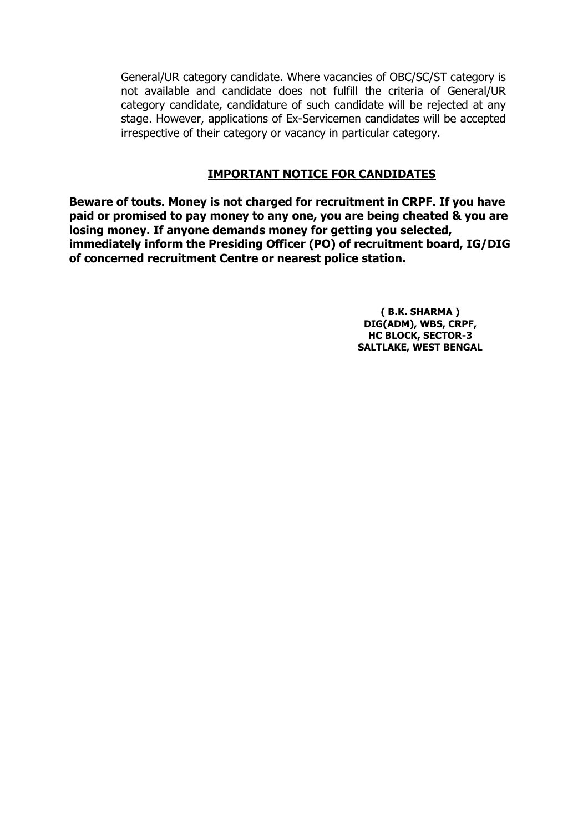General/UR category candidate. Where vacancies of OBC/SC/ST category is not available and candidate does not fulfill the criteria of General/UR category candidate, candidature of such candidate will be rejected at any stage. However, applications of Ex-Servicemen candidates will be accepted irrespective of their category or vacancy in particular category.

# **IMPORTANT NOTICE FOR CANDIDATES**

**Beware of touts. Money is not charged for recruitment in CRPF. If you have paid or promised to pay money to any one, you are being cheated & you are losing money. If anyone demands money for getting you selected, immediately inform the Presiding Officer (PO) of recruitment board, IG/DIG of concerned recruitment Centre or nearest police station.**

> **( B.K. SHARMA ) DIG(ADM), WBS, CRPF, HC BLOCK, SECTOR-3 SALTLAKE, WEST BENGAL**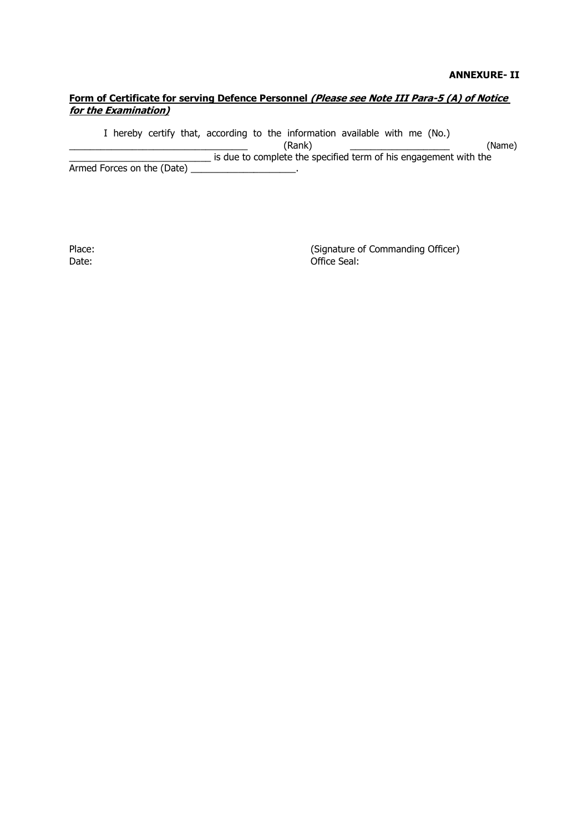#### **ANNEXURE- II**

## Form of Certificate for serving Defence Personnel (Please see Note III Para-5 (A) of Notice **for the Examination)**

I hereby certify that, according to the information available with me (No.) \_\_\_\_\_\_\_\_\_\_\_\_\_\_\_\_\_\_\_\_\_\_\_\_\_\_\_\_\_\_\_\_\_\_ (Rank) \_\_\_\_\_\_\_\_\_\_\_\_\_\_\_\_\_\_\_ (Name) \_\_\_\_\_\_\_\_\_\_\_\_\_\_\_\_\_\_\_\_\_\_\_\_\_\_\_ is due to complete the specified term of his engagement with the Armed Forces on the (Date)

Place: Place: Place: Place: Place: Place: Place: Place: Place: Place: Place: Place: Place: Place: Place: Place: Place: Place: Place: Place: Place: Place: Place: Place: Place: Place: Place: Place: Place: Place: Place: Place Date: Contract the Contract of the Contract of Contract of Contract of Contract of Contract of Contract of Contract of Contract of Contract of Contract of Contract of Contract of Contract of Contract of Contract of Contrac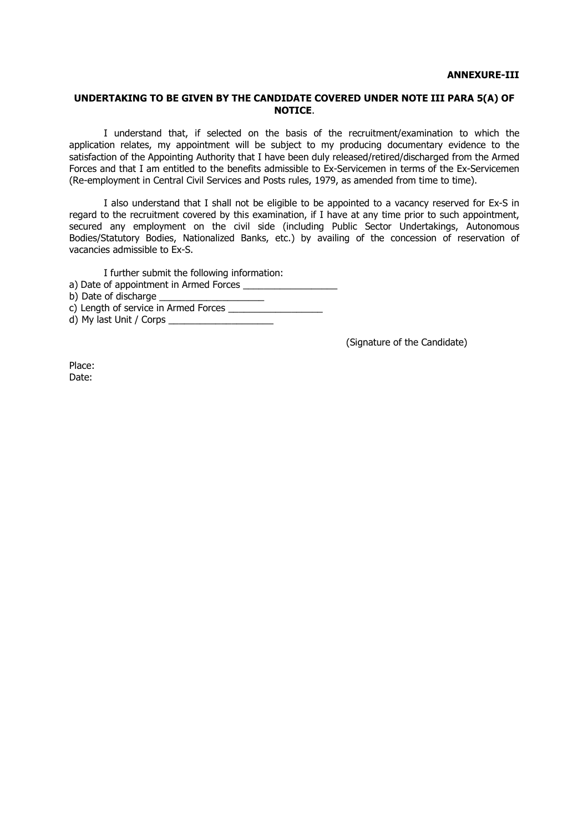#### **UNDERTAKING TO BE GIVEN BY THE CANDIDATE COVERED UNDER NOTE III PARA 5(A) OF NOTICE**.

I understand that, if selected on the basis of the recruitment/examination to which the application relates, my appointment will be subject to my producing documentary evidence to the satisfaction of the Appointing Authority that I have been duly released/retired/discharged from the Armed Forces and that I am entitled to the benefits admissible to Ex-Servicemen in terms of the Ex-Servicemen (Re-employment in Central Civil Services and Posts rules, 1979, as amended from time to time).

I also understand that I shall not be eligible to be appointed to a vacancy reserved for Ex-S in regard to the recruitment covered by this examination, if I have at any time prior to such appointment, secured any employment on the civil side (including Public Sector Undertakings, Autonomous Bodies/Statutory Bodies, Nationalized Banks, etc.) by availing of the concession of reservation of vacancies admissible to Ex-S.

I further submit the following information: a) Date of appointment in Armed Forces b) Date of discharge \_\_\_\_\_\_\_\_\_\_\_\_\_\_\_\_\_\_\_\_ c) Length of service in Armed Forces \_\_\_\_\_\_\_\_\_\_\_\_\_\_\_\_\_\_ d) My last Unit / Corps

(Signature of the Candidate)

Place: Date: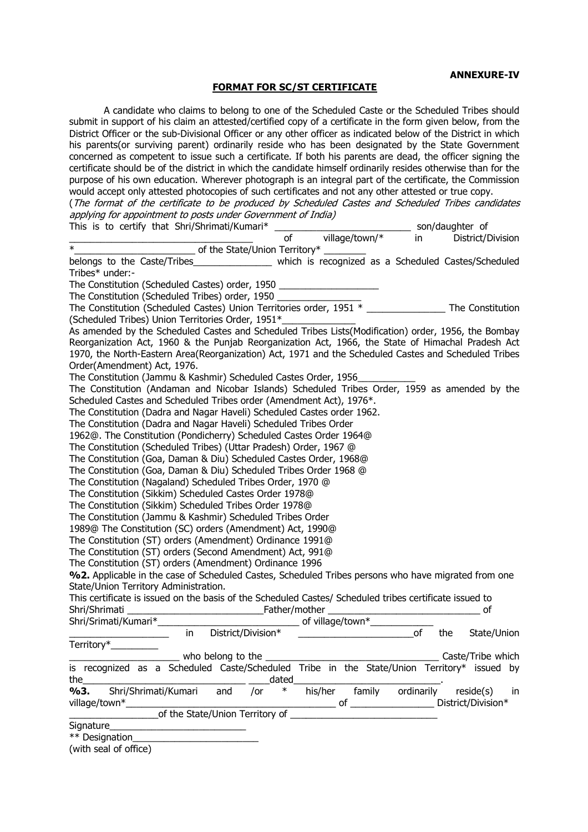#### **FORMAT FOR SC/ST CERTIFICATE**

A candidate who claims to belong to one of the Scheduled Caste or the Scheduled Tribes should submit in support of his claim an attested/certified copy of a certificate in the form given below, from the District Officer or the sub-Divisional Officer or any other officer as indicated below of the District in which his parents(or surviving parent) ordinarily reside who has been designated by the State Government concerned as competent to issue such a certificate. If both his parents are dead, the officer signing the certificate should be of the district in which the candidate himself ordinarily resides otherwise than for the purpose of his own education. Wherever photograph is an integral part of the certificate, the Commission would accept only attested photocopies of such certificates and not any other attested or true copy.

(The format of the certificate to be produced by Scheduled Castes and Scheduled Tribes candidates applying for appointment to posts under Government of India)  $T$  is the  $T$  of  $\overline{C}$  to certify the structure  $\overline{C}$  is the structure of  $\overline{C}$  son/daughter of  $\overline{C}$ 

| $\frac{1}{10}$ s to certify that Surfyshmially annual $\frac{1}{10}$ solution $\frac{1}{10}$ solution in District/Division                            |
|-------------------------------------------------------------------------------------------------------------------------------------------------------|
| $\ast$                                                                                                                                                |
| belongs to the Caste/Tribes__________________ which is recognized as a Scheduled Castes/Scheduled<br>Tribes* under:-                                  |
| The Constitution (Scheduled Castes) order, 1950 ________________________________                                                                      |
|                                                                                                                                                       |
|                                                                                                                                                       |
| (Scheduled Tribes) Union Territories Order, 1951*                                                                                                     |
| As amended by the Scheduled Castes and Scheduled Tribes Lists(Modification) order, 1956, the Bombay                                                   |
| Reorganization Act, 1960 & the Punjab Reorganization Act, 1966, the State of Himachal Pradesh Act                                                     |
| 1970, the North-Eastern Area(Reorganization) Act, 1971 and the Scheduled Castes and Scheduled Tribes                                                  |
| Order(Amendment) Act, 1976.                                                                                                                           |
| The Constitution (Jammu & Kashmir) Scheduled Castes Order, 1956                                                                                       |
| The Constitution (Andaman and Nicobar Islands) Scheduled Tribes Order, 1959 as amended by the                                                         |
| Scheduled Castes and Scheduled Tribes order (Amendment Act), 1976*.                                                                                   |
| The Constitution (Dadra and Nagar Haveli) Scheduled Castes order 1962.                                                                                |
| The Constitution (Dadra and Nagar Haveli) Scheduled Tribes Order                                                                                      |
| 1962@. The Constitution (Pondicherry) Scheduled Castes Order 1964@                                                                                    |
| The Constitution (Scheduled Tribes) (Uttar Pradesh) Order, 1967 @                                                                                     |
| The Constitution (Goa, Daman & Diu) Scheduled Castes Order, 1968@                                                                                     |
| The Constitution (Goa, Daman & Diu) Scheduled Tribes Order 1968 @                                                                                     |
| The Constitution (Nagaland) Scheduled Tribes Order, 1970 @                                                                                            |
| The Constitution (Sikkim) Scheduled Castes Order 1978@                                                                                                |
| The Constitution (Sikkim) Scheduled Tribes Order 1978@                                                                                                |
| The Constitution (Jammu & Kashmir) Scheduled Tribes Order                                                                                             |
| 1989@ The Constitution (SC) orders (Amendment) Act, 1990@                                                                                             |
| The Constitution (ST) orders (Amendment) Ordinance 1991@                                                                                              |
| The Constitution (ST) orders (Second Amendment) Act, 991@                                                                                             |
| The Constitution (ST) orders (Amendment) Ordinance 1996                                                                                               |
| %2. Applicable in the case of Scheduled Castes, Scheduled Tribes persons who have migrated from one                                                   |
| State/Union Territory Administration.                                                                                                                 |
| This certificate is issued on the basis of the Scheduled Castes/ Scheduled tribes certificate issued to                                               |
|                                                                                                                                                       |
|                                                                                                                                                       |
| <u>__________________</u> in District/Division*<br>$\overline{\text{of}}$ and $\overline{\text{of}}$ and $\overline{\text{of}}$<br>the<br>State/Union |
| Territory*__________                                                                                                                                  |
|                                                                                                                                                       |
| is recognized as a Scheduled Caste/Scheduled Tribe in the State/Union Territory* issued by                                                            |
| the $\_$<br>dated                                                                                                                                     |
| his/her family ordinarily<br>Shri/Shrimati/Kumari<br>%3.<br>and<br>$\ast$<br>reside(s)<br>/or<br>in                                                   |
| _________ of ________________________ District/Division*<br>village/town*                                                                             |
| of the State/Union Territory of                                                                                                                       |
| Signature                                                                                                                                             |
|                                                                                                                                                       |
| (with seal of office)                                                                                                                                 |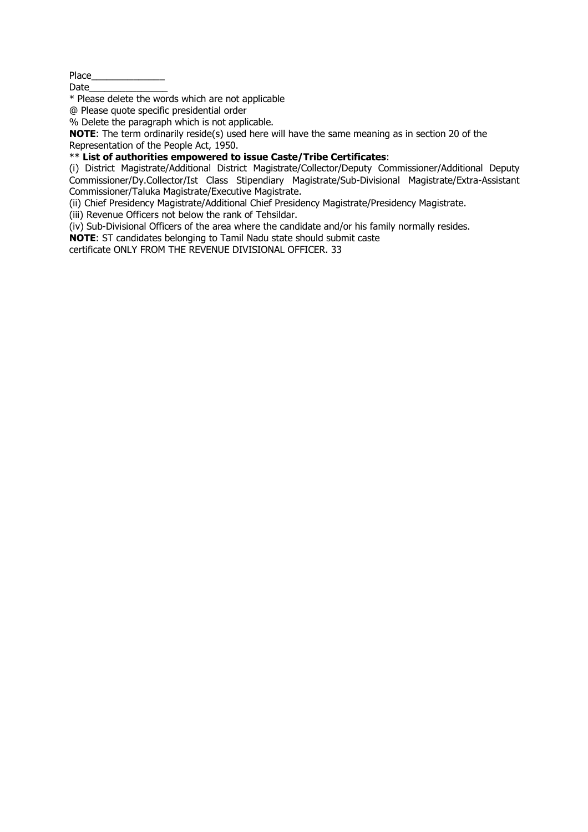Place\_\_\_\_\_\_\_\_\_\_\_\_\_\_

Date

\* Please delete the words which are not applicable

@ Please quote specific presidential order

% Delete the paragraph which is not applicable.

**NOTE**: The term ordinarily reside(s) used here will have the same meaning as in section 20 of the Representation of the People Act, 1950.

\*\* **List of authorities empowered to issue Caste/Tribe Certificates**:

(i) District Magistrate/Additional District Magistrate/Collector/Deputy Commissioner/Additional Deputy Commissioner/Dy.Collector/Ist Class Stipendiary Magistrate/Sub-Divisional Magistrate/Extra-Assistant Commissioner/Taluka Magistrate/Executive Magistrate.

(ii) Chief Presidency Magistrate/Additional Chief Presidency Magistrate/Presidency Magistrate.

(iii) Revenue Officers not below the rank of Tehsildar.

 $\overrightarrow{(iv)}$  Sub-Divisional Officers of the area where the candidate and/or his family normally resides.

**NOTE**: ST candidates belonging to Tamil Nadu state should submit caste

certificate ONLY FROM THE REVENUE DIVISIONAL OFFICER. 33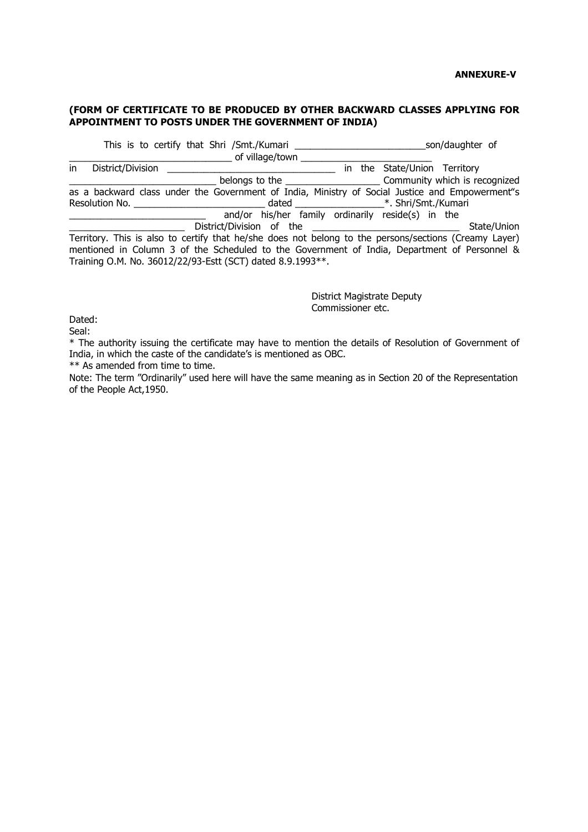#### **(FORM OF CERTIFICATE TO BE PRODUCED BY OTHER BACKWARD CLASSES APPLYING FOR APPOINTMENT TO POSTS UNDER THE GOVERNMENT OF INDIA)**

This is to certify that Shri /Smt./Kumari \_\_\_\_\_\_\_\_\_\_\_\_\_\_\_\_\_\_\_\_\_\_\_\_\_\_\_\_\_\_\_\_son/daughter of \_\_\_\_\_\_\_\_\_\_\_\_\_\_\_\_\_\_\_\_\_\_\_\_\_\_\_\_\_\_\_ of village/town \_\_\_\_\_\_\_\_\_\_\_\_\_\_\_\_\_\_\_\_\_\_\_\_\_ in District/Division \_\_\_\_\_\_\_\_\_\_\_\_\_\_\_\_\_\_\_\_\_\_\_\_\_\_\_\_\_\_\_\_ in the State/Union Territory \_\_\_\_\_\_\_\_\_\_\_\_\_\_\_\_\_\_\_\_\_\_\_\_\_\_\_\_ belongs to the \_\_\_\_\_\_\_\_\_\_\_\_\_\_\_\_\_\_ Community which is recognized as a backward class under the Government of India, Ministry of Social Justice and Empowerment"s Resolution No. \_\_\_\_\_\_\_\_\_\_\_\_\_\_\_\_\_\_\_\_\_\_\_\_\_ dated \_\_\_\_\_\_\_\_\_\_\_\_\_\_\_\_\_\*. Shri/Smt./Kumari and/or his/her family ordinarily reside(s) in the District/Division of the **District/Division of the** State/Union Territory. This is also to certify that he/she does not belong to the persons/sections (Creamy Layer) mentioned in Column 3 of the Scheduled to the Government of India, Department of Personnel & Training O.M. No. 36012/22/93-Estt (SCT) dated 8.9.1993\*\*.

> District Magistrate Deputy Commissioner etc.

Dated:

Seal:

\* The authority issuing the certificate may have to mention the details of Resolution of Government of India, in which the caste of the candidate's is mentioned as OBC.

\*\* As amended from time to time.

Note: The term "Ordinarily" used here will have the same meaning as in Section 20 of the Representation of the People Act,1950.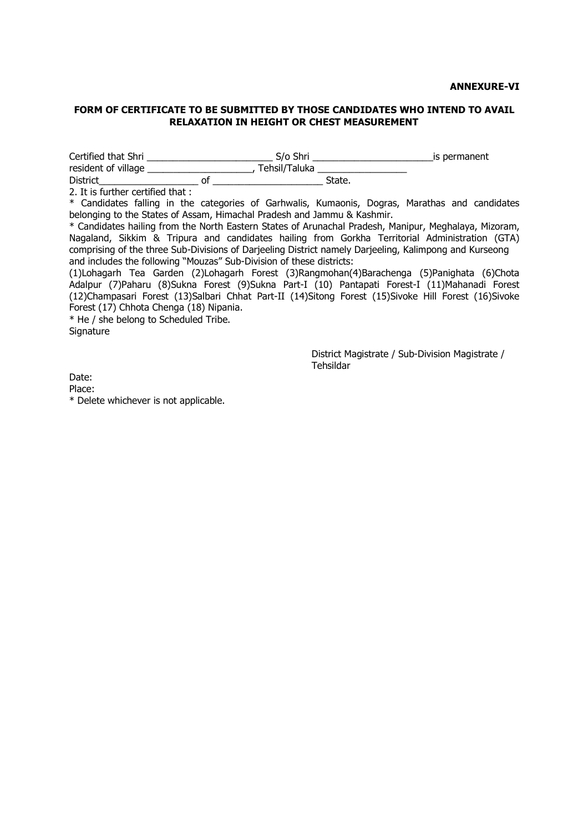#### **ANNEXURE-VI**

#### **FORM OF CERTIFICATE TO BE SUBMITTED BY THOSE CANDIDATES WHO INTEND TO AVAIL RELAXATION IN HEIGHT OR CHEST MEASUREMENT**

Certified that Shri \_\_\_\_\_\_\_\_\_\_\_\_\_\_\_\_\_\_\_\_\_\_\_\_ S/o Shri \_\_\_\_\_\_\_\_\_\_\_\_\_\_\_\_\_\_\_\_\_\_\_is permanent resident of village \_\_\_\_\_\_\_\_\_\_\_\_\_\_\_\_\_\_\_\_\_\_, Tehsil/Taluka \_\_\_\_\_\_\_\_\_\_\_\_\_\_\_\_\_\_\_\_\_\_

District\_\_\_\_\_\_\_\_\_\_\_\_\_\_\_\_\_\_\_ of \_\_\_\_\_\_\_\_\_\_\_\_\_\_\_\_\_\_\_\_\_ State.

2. It is further certified that :

\* Candidates falling in the categories of Garhwalis, Kumaonis, Dogras, Marathas and candidates belonging to the States of Assam, Himachal Pradesh and Jammu & Kashmir.

\* Candidates hailing from the North Eastern States of Arunachal Pradesh, Manipur, Meghalaya, Mizoram, Nagaland, Sikkim & Tripura and candidates hailing from Gorkha Territorial Administration (GTA) comprising of the three Sub-Divisions of Darjeeling District namely Darjeeling, Kalimpong and Kurseong and includes the following "Mouzas" Sub-Division of these districts:

(1)Lohagarh Tea Garden (2)Lohagarh Forest (3)Rangmohan(4)Barachenga (5)Panighata (6)Chota Adalpur (7)Paharu (8)Sukna Forest (9)Sukna Part-I (10) Pantapati Forest-I (11)Mahanadi Forest (12)Champasari Forest (13)Salbari Chhat Part-II (14)Sitong Forest (15)Sivoke Hill Forest (16)Sivoke Forest (17) Chhota Chenga (18) Nipania.

\* He / she belong to Scheduled Tribe. **Signature** 

> District Magistrate / Sub-Division Magistrate / Tehsildar

Date:

Place:

\* Delete whichever is not applicable.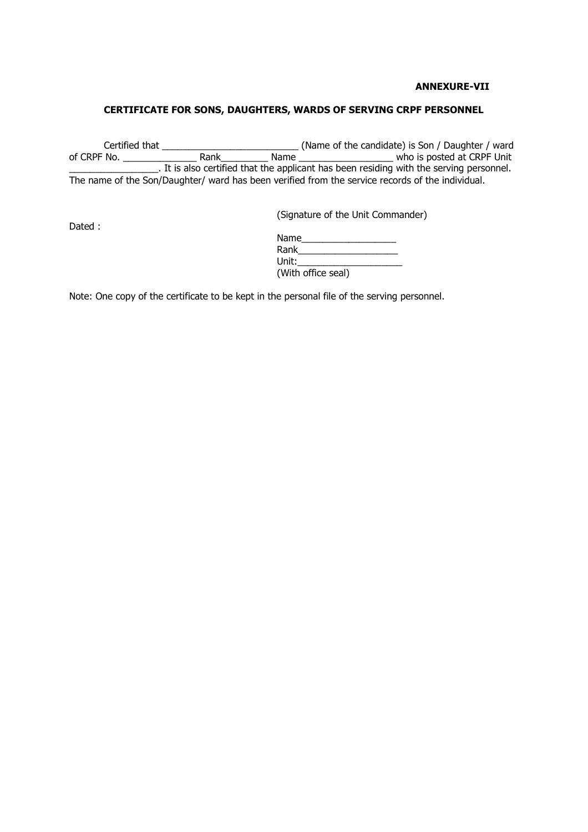#### **ANNEXURE-VII**

### **CERTIFICATE FOR SONS, DAUGHTERS, WARDS OF SERVING CRPF PERSONNEL**

Certified that \_\_\_\_\_\_\_\_\_\_\_\_\_\_\_\_\_\_\_\_\_\_\_\_\_\_ (Name of the candidate) is Son / Daughter / ward of CRPF No. \_\_\_\_\_\_\_\_\_\_\_\_\_\_ Rank\_\_\_\_\_\_\_\_\_ Name \_\_\_\_\_\_\_\_\_\_\_\_\_\_\_\_\_\_ who is posted at CRPF Unit \_\_\_\_\_\_\_\_\_\_\_\_\_\_\_\_\_. It is also certified that the applicant has been residing with the serving personnel. The name of the Son/Daughter/ ward has been verified from the service records of the individual.

Dated :

(Signature of the Unit Commander)

| Name               |  |
|--------------------|--|
| Rank               |  |
| Unit:              |  |
| (With office seal) |  |

Note: One copy of the certificate to be kept in the personal file of the serving personnel.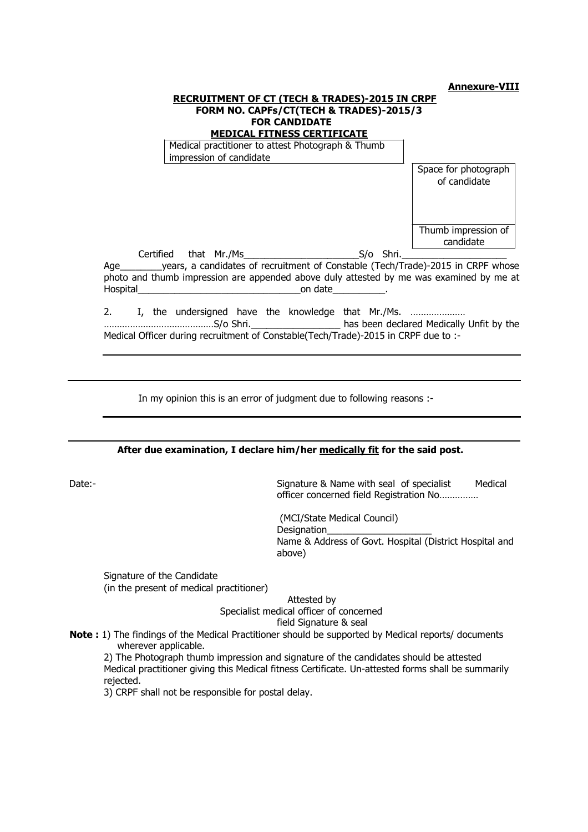#### **Annexure-VIII**

| <b>RECRUITMENT OF CT (TECH &amp; TRADES)-2015 IN CRPF</b><br>FORM NO. CAPFs/CT(TECH & TRADES)-2015/3<br><b>FOR CANDIDATE</b><br><b>MEDICAL FITNESS CERTIFICATE</b>                                                                   |                                      |  |
|--------------------------------------------------------------------------------------------------------------------------------------------------------------------------------------------------------------------------------------|--------------------------------------|--|
| Medical practitioner to attest Photograph & Thumb<br>impression of candidate                                                                                                                                                         |                                      |  |
|                                                                                                                                                                                                                                      | Space for photograph<br>of candidate |  |
| Age _________ years, a candidates of recruitment of Constable (Tech/Trade)-2015 in CRPF whose<br>photo and thumb impression are appended above duly attested by me was examined by me at<br>Hospital example and the conduct on date | Thumb impression of<br>candidate     |  |
| 2. I, the undersigned have the knowledge that Mr./Ms.<br>Medical Officer during recruitment of Constable (Tech/Trade)-2015 in CRPF due to :-                                                                                         |                                      |  |

In my opinion this is an error of judgment due to following reasons :-

**After due examination, I declare him/her medically fit for the said post.**

Date:- Date:- Signature & Name with seal of specialist Medical officer concerned field Registration No……………

> (MCI/State Medical Council) Designation\_ Name & Address of Govt. Hospital (District Hospital and above)

Signature of the Candidate (in the present of medical practitioner)

Attested by

Specialist medical officer of concerned field Signature & seal

**Note :** 1) The findings of the Medical Practitioner should be supported by Medical reports/ documents wherever applicable.

2) The Photograph thumb impression and signature of the candidates should be attested Medical practitioner giving this Medical fitness Certificate. Un-attested forms shall be summarily rejected.

3) CRPF shall not be responsible for postal delay.